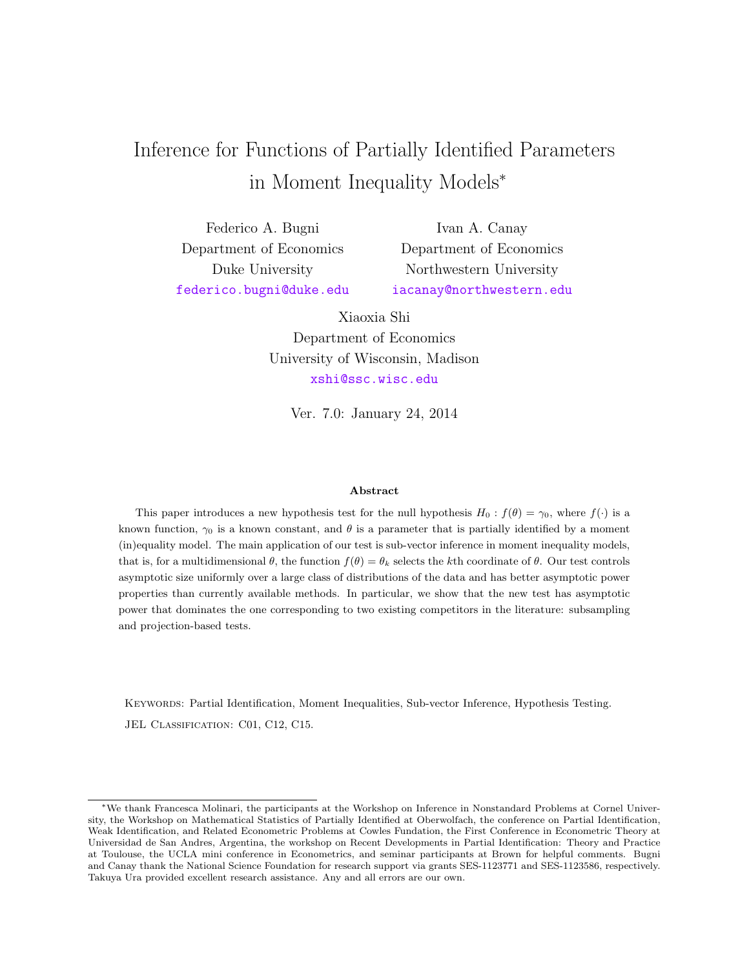# Inference for Functions of Partially Identified Parameters in Moment Inequality Models<sup>∗</sup>

Federico A. Bugni Department of Economics Duke University [federico.bugni@duke.edu](mailto:federico.bugni@duke.edu)

Ivan A. Canay Department of Economics Northwestern University [iacanay@northwestern.edu](mailto:iacanay@northwestern.edu)

Xiaoxia Shi Department of Economics University of Wisconsin, Madison [xshi@ssc.wisc.edu](mailto:xshi@ssc.wisc.edu)

Ver. 7.0: January 24, 2014

#### Abstract

This paper introduces a new hypothesis test for the null hypothesis  $H_0 : f(\theta) = \gamma_0$ , where  $f(\cdot)$  is a known function,  $\gamma_0$  is a known constant, and  $\theta$  is a parameter that is partially identified by a moment (in)equality model. The main application of our test is sub-vector inference in moment inequality models, that is, for a multidimensional  $\theta$ , the function  $f(\theta) = \theta_k$  selects the kth coordinate of  $\theta$ . Our test controls asymptotic size uniformly over a large class of distributions of the data and has better asymptotic power properties than currently available methods. In particular, we show that the new test has asymptotic power that dominates the one corresponding to two existing competitors in the literature: subsampling and projection-based tests.

Keywords: Partial Identification, Moment Inequalities, Sub-vector Inference, Hypothesis Testing. JEL CLASSIFICATION: C01, C12, C15.

<sup>∗</sup>We thank Francesca Molinari, the participants at the Workshop on Inference in Nonstandard Problems at Cornel University, the Workshop on Mathematical Statistics of Partially Identified at Oberwolfach, the conference on Partial Identification, Weak Identification, and Related Econometric Problems at Cowles Fundation, the First Conference in Econometric Theory at Universidad de San Andres, Argentina, the workshop on Recent Developments in Partial Identification: Theory and Practice at Toulouse, the UCLA mini conference in Econometrics, and seminar participants at Brown for helpful comments. Bugni and Canay thank the National Science Foundation for research support via grants SES-1123771 and SES-1123586, respectively. Takuya Ura provided excellent research assistance. Any and all errors are our own.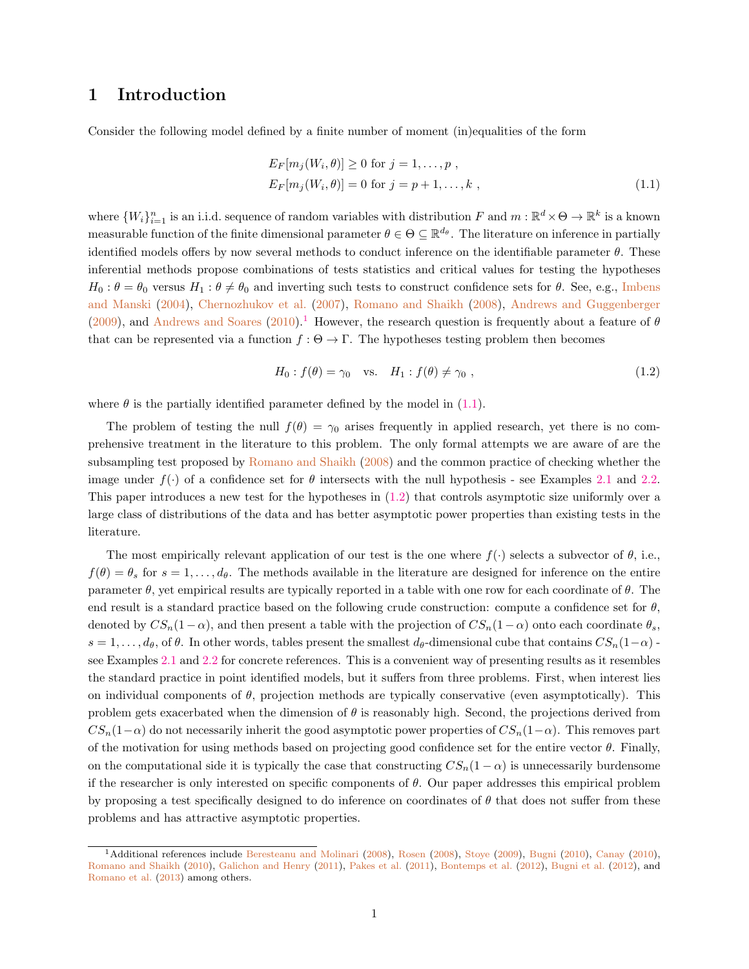# 1 Introduction

Consider the following model defined by a finite number of moment (in)equalities of the form

<span id="page-1-1"></span>
$$
E_F[m_j(W_i, \theta)] \ge 0 \text{ for } j = 1, \dots, p,
$$
  
\n
$$
E_F[m_j(W_i, \theta)] = 0 \text{ for } j = p+1, \dots, k,
$$
\n(1.1)

where  $\{W_i\}_{i=1}^n$  is an i.i.d. sequence of random variables with distribution F and  $m : \mathbb{R}^d \times \Theta \to \mathbb{R}^k$  is a known measurable function of the finite dimensional parameter  $\theta \in \Theta \subseteq \mathbb{R}^{d_{\theta}}$ . The literature on inference in partially identified models offers by now several methods to conduct inference on the identifiable parameter  $\theta$ . These inferential methods propose combinations of tests statistics and critical values for testing the hypotheses  $H_0: \theta = \theta_0$  versus  $H_1: \theta \neq \theta_0$  and inverting such tests to construct confidence sets for  $\theta$ . See, e.g., [Imbens](#page-40-0) [and Manski](#page-40-0) [\(2004\)](#page-40-0), [Chernozhukov et al.](#page-39-0) [\(2007\)](#page-39-0), [Romano and Shaikh](#page-40-1) [\(2008\)](#page-40-1), [Andrews and Guggenberger](#page-39-1)  $(2009)$ , and [Andrews and Soares](#page-39-2)  $(2010)$ .<sup>[1](#page-1-0)</sup> However, the research question is frequently about a feature of  $\theta$ that can be represented via a function  $f : \Theta \to \Gamma$ . The hypotheses testing problem then becomes

<span id="page-1-2"></span>
$$
H_0: f(\theta) = \gamma_0 \quad \text{vs.} \quad H_1: f(\theta) \neq \gamma_0 \tag{1.2}
$$

where  $\theta$  is the partially identified parameter defined by the model in [\(1.1\)](#page-1-1).

The problem of testing the null  $f(\theta) = \gamma_0$  arises frequently in applied research, yet there is no comprehensive treatment in the literature to this problem. The only formal attempts we are aware of are the subsampling test proposed by [Romano and Shaikh](#page-40-1) [\(2008\)](#page-40-1) and the common practice of checking whether the image under  $f(\cdot)$  of a confidence set for  $\theta$  intersects with the null hypothesis - see Examples [2.1](#page-3-0) and [2.2.](#page-3-1) This paper introduces a new test for the hypotheses in [\(1.2\)](#page-1-2) that controls asymptotic size uniformly over a large class of distributions of the data and has better asymptotic power properties than existing tests in the literature.

The most empirically relevant application of our test is the one where  $f(\cdot)$  selects a subvector of  $\theta$ , i.e.,  $f(\theta) = \theta_s$  for  $s = 1, \ldots, d_\theta$ . The methods available in the literature are designed for inference on the entire parameter  $\theta$ , yet empirical results are typically reported in a table with one row for each coordinate of  $\theta$ . The end result is a standard practice based on the following crude construction: compute a confidence set for  $\theta$ , denoted by  $CS_n(1-\alpha)$ , and then present a table with the projection of  $CS_n(1-\alpha)$  onto each coordinate  $\theta_s$ ,  $s = 1, \ldots, d_\theta$ , of  $\theta$ . In other words, tables present the smallest  $d_\theta$ -dimensional cube that contains  $CS_n(1-\alpha)$ . see Examples [2.1](#page-3-0) and [2.2](#page-3-1) for concrete references. This is a convenient way of presenting results as it resembles the standard practice in point identified models, but it suffers from three problems. First, when interest lies on individual components of  $\theta$ , projection methods are typically conservative (even asymptotically). This problem gets exacerbated when the dimension of  $\theta$  is reasonably high. Second, the projections derived from  $CS_n(1-\alpha)$  do not necessarily inherit the good asymptotic power properties of  $CS_n(1-\alpha)$ . This removes part of the motivation for using methods based on projecting good confidence set for the entire vector  $\theta$ . Finally, on the computational side it is typically the case that constructing  $CS_n(1-\alpha)$  is unnecessarily burdensome if the researcher is only interested on specific components of  $\theta$ . Our paper addresses this empirical problem by proposing a test specifically designed to do inference on coordinates of  $\theta$  that does not suffer from these problems and has attractive asymptotic properties.

<span id="page-1-0"></span><sup>&</sup>lt;sup>1</sup>Additional references include [Beresteanu and Molinari](#page-39-3) [\(2008\)](#page-40-2), [Rosen](#page-40-2) (2008), [Stoye](#page-40-3) [\(2009\)](#page-40-3), [Bugni](#page-39-4) [\(2010\)](#page-39-5), [Canay](#page-39-5) (2010), [Romano and Shaikh](#page-40-4) [\(2010\)](#page-40-4), [Galichon and Henry](#page-40-5) [\(2011\)](#page-40-5), [Pakes et al.](#page-40-6) [\(2011\)](#page-40-6), [Bontemps et al.](#page-39-6) [\(2012\)](#page-39-6), [Bugni et al.](#page-39-7) [\(2012\)](#page-39-7), and [Romano et al.](#page-40-7) [\(2013\)](#page-40-7) among others.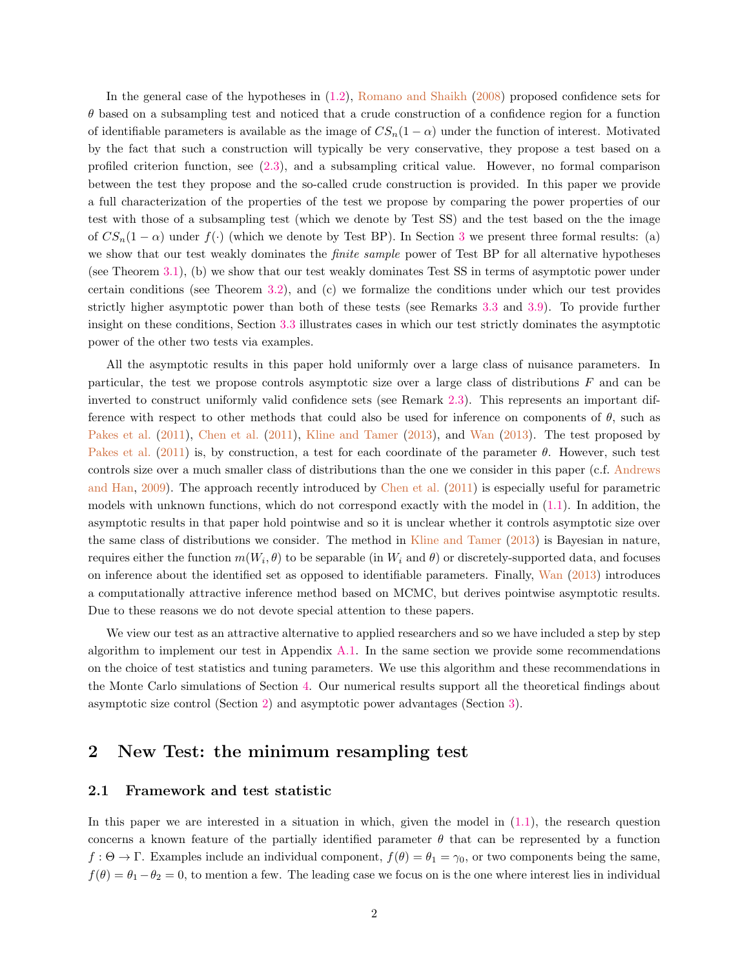In the general case of the hypotheses in [\(1.2\)](#page-1-2), [Romano and Shaikh](#page-40-1) [\(2008\)](#page-40-1) proposed confidence sets for  $\theta$  based on a subsampling test and noticed that a crude construction of a confidence region for a function of identifiable parameters is available as the image of  $CS_n(1-\alpha)$  under the function of interest. Motivated by the fact that such a construction will typically be very conservative, they propose a test based on a profiled criterion function, see [\(2.3\)](#page-4-0), and a subsampling critical value. However, no formal comparison between the test they propose and the so-called crude construction is provided. In this paper we provide a full characterization of the properties of the test we propose by comparing the power properties of our test with those of a subsampling test (which we denote by Test SS) and the test based on the the image of  $CS_n(1-\alpha)$  under  $f(\cdot)$  (which we denote by Test BP). In Section [3](#page-7-0) we present three formal results: (a) we show that our test weakly dominates the *finite sample* power of Test BP for all alternative hypotheses (see Theorem [3.1\)](#page-9-0), (b) we show that our test weakly dominates Test SS in terms of asymptotic power under certain conditions (see Theorem [3.2\)](#page-10-0), and (c) we formalize the conditions under which our test provides strictly higher asymptotic power than both of these tests (see Remarks [3.3](#page-9-1) and [3.9\)](#page-14-0). To provide further insight on these conditions, Section [3.3](#page-10-1) illustrates cases in which our test strictly dominates the asymptotic power of the other two tests via examples.

All the asymptotic results in this paper hold uniformly over a large class of nuisance parameters. In particular, the test we propose controls asymptotic size over a large class of distributions F and can be inverted to construct uniformly valid confidence sets (see Remark [2.3\)](#page-7-1). This represents an important difference with respect to other methods that could also be used for inference on components of  $\theta$ , such as [Pakes et al.](#page-40-6) [\(2011\)](#page-40-6), [Chen et al.](#page-39-8) [\(2011\)](#page-39-8), [Kline and Tamer](#page-40-8) [\(2013\)](#page-40-8), and [Wan](#page-40-9) [\(2013\)](#page-40-9). The test proposed by [Pakes et al.](#page-40-6) [\(2011\)](#page-40-6) is, by construction, a test for each coordinate of the parameter  $\theta$ . However, such test controls size over a much smaller class of distributions than the one we consider in this paper (c.f. [Andrews](#page-39-9) [and Han,](#page-39-9) [2009\)](#page-39-9). The approach recently introduced by [Chen et al.](#page-39-8) [\(2011\)](#page-39-8) is especially useful for parametric models with unknown functions, which do not correspond exactly with the model in [\(1.1\)](#page-1-1). In addition, the asymptotic results in that paper hold pointwise and so it is unclear whether it controls asymptotic size over the same class of distributions we consider. The method in [Kline and Tamer](#page-40-8) [\(2013\)](#page-40-8) is Bayesian in nature, requires either the function  $m(W_i, \theta)$  to be separable (in  $W_i$  and  $\theta$ ) or discretely-supported data, and focuses on inference about the identified set as opposed to identifiable parameters. Finally, [Wan](#page-40-9) [\(2013\)](#page-40-9) introduces a computationally attractive inference method based on MCMC, but derives pointwise asymptotic results. Due to these reasons we do not devote special attention to these papers.

We view our test as an attractive alternative to applied researchers and so we have included a step by step algorithm to implement our test in Appendix [A.1.](#page-18-0) In the same section we provide some recommendations on the choice of test statistics and tuning parameters. We use this algorithm and these recommendations in the Monte Carlo simulations of Section [4.](#page-14-1) Our numerical results support all the theoretical findings about asymptotic size control (Section [2\)](#page-2-0) and asymptotic power advantages (Section [3\)](#page-7-0).

## <span id="page-2-0"></span>2 New Test: the minimum resampling test

### 2.1 Framework and test statistic

In this paper we are interested in a situation in which, given the model in [\(1.1\)](#page-1-1), the research question concerns a known feature of the partially identified parameter  $\theta$  that can be represented by a function  $f : \Theta \to \Gamma$ . Examples include an individual component,  $f(\theta) = \theta_1 = \gamma_0$ , or two components being the same,  $f(\theta) = \theta_1 - \theta_2 = 0$ , to mention a few. The leading case we focus on is the one where interest lies in individual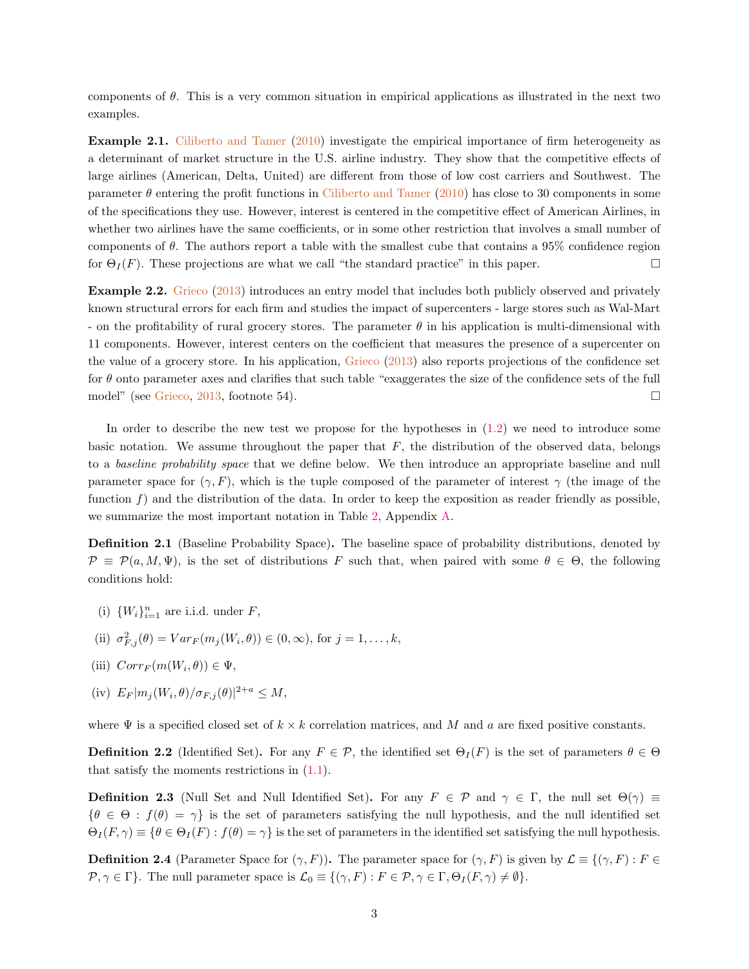components of θ. This is a very common situation in empirical applications as illustrated in the next two examples.

<span id="page-3-0"></span>Example 2.1. [Ciliberto and Tamer](#page-40-10) [\(2010\)](#page-40-10) investigate the empirical importance of firm heterogeneity as a determinant of market structure in the U.S. airline industry. They show that the competitive effects of large airlines (American, Delta, United) are different from those of low cost carriers and Southwest. The parameter  $\theta$  entering the profit functions in [Ciliberto and Tamer](#page-40-10) [\(2010\)](#page-40-10) has close to 30 components in some of the specifications they use. However, interest is centered in the competitive effect of American Airlines, in whether two airlines have the same coefficients, or in some other restriction that involves a small number of components of  $\theta$ . The authors report a table with the smallest cube that contains a 95% confidence region for  $\Theta_I(F)$ . These projections are what we call "the standard practice" in this paper.

<span id="page-3-1"></span>Example 2.2. [Grieco](#page-40-11) [\(2013\)](#page-40-11) introduces an entry model that includes both publicly observed and privately known structural errors for each firm and studies the impact of supercenters - large stores such as Wal-Mart - on the profitability of rural grocery stores. The parameter  $\theta$  in his application is multi-dimensional with 11 components. However, interest centers on the coefficient that measures the presence of a supercenter on the value of a grocery store. In his application, [Grieco](#page-40-11) [\(2013\)](#page-40-11) also reports projections of the confidence set for  $\theta$  onto parameter axes and clarifies that such table "exaggerates the size of the confidence sets of the full model" (see [Grieco,](#page-40-11) [2013,](#page-40-11) footnote 54).

In order to describe the new test we propose for the hypotheses in [\(1.2\)](#page-1-2) we need to introduce some basic notation. We assume throughout the paper that  $F$ , the distribution of the observed data, belongs to a baseline probability space that we define below. We then introduce an appropriate baseline and null parameter space for  $(\gamma, F)$ , which is the tuple composed of the parameter of interest  $\gamma$  (the image of the function  $f$ ) and the distribution of the data. In order to keep the exposition as reader friendly as possible, we summarize the most important notation in Table [2,](#page-18-1) Appendix [A.](#page-18-2)

Definition 2.1 (Baseline Probability Space). The baseline space of probability distributions, denoted by  $\mathcal{P} \equiv \mathcal{P}(a, M, \Psi)$ , is the set of distributions F such that, when paired with some  $\theta \in \Theta$ , the following conditions hold:

- (i)  $\{W_i\}_{i=1}^n$  are i.i.d. under F,
- (ii)  $\sigma_{F,j}^2(\theta) = Var_F(m_j(W_i, \theta)) \in (0, \infty)$ , for  $j = 1, \ldots, k$ ,
- (iii)  $Corr_F(m(W_i, \theta)) \in \Psi$ ,
- (iv)  $E_F |m_j(W_i, \theta)/\sigma_{F,j}(\theta)|^{2+a} \leq M$ ,

where  $\Psi$  is a specified closed set of  $k \times k$  correlation matrices, and M and a are fixed positive constants.

**Definition 2.2** (Identified Set). For any  $F \in \mathcal{P}$ , the identified set  $\Theta_I(F)$  is the set of parameters  $\theta \in \Theta$ that satisfy the moments restrictions in  $(1.1)$ .

<span id="page-3-3"></span>**Definition 2.3** (Null Set and Null Identified Set). For any  $F \in \mathcal{P}$  and  $\gamma \in \Gamma$ , the null set  $\Theta(\gamma) \equiv$  ${\theta \in \Theta : f(\theta) = \gamma}$  is the set of parameters satisfying the null hypothesis, and the null identified set  $\Theta_I(F,\gamma) \equiv \{ \theta \in \Theta_I(F) : f(\theta) = \gamma \}$  is the set of parameters in the identified set satisfying the null hypothesis.

<span id="page-3-2"></span>**Definition 2.4** (Parameter Space for  $(\gamma, F)$ ). The parameter space for  $(\gamma, F)$  is given by  $\mathcal{L} \equiv \{(\gamma, F) : F \in$  $\mathcal{P}, \gamma \in \Gamma$ . The null parameter space is  $\mathcal{L}_0 \equiv \{(\gamma, F) : F \in \mathcal{P}, \gamma \in \Gamma, \Theta_I(F, \gamma) \neq \emptyset\}.$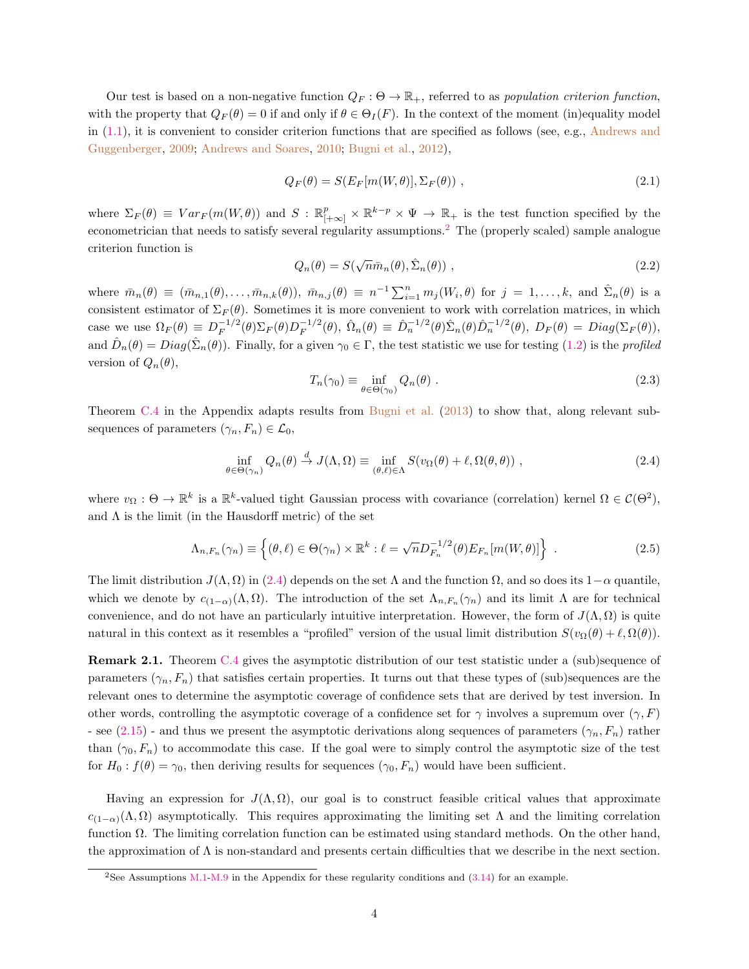Our test is based on a non-negative function  $Q_F : \Theta \to \mathbb{R}_+$ , referred to as population criterion function, with the property that  $Q_F(\theta) = 0$  if and only if  $\theta \in \Theta_I(F)$ . In the context of the moment (in)equality model in  $(1.1)$ , it is convenient to consider criterion functions that are specified as follows (see, e.g., [Andrews and](#page-39-1) [Guggenberger,](#page-39-1) [2009;](#page-39-1) [Andrews and Soares,](#page-39-2) [2010;](#page-39-2) [Bugni et al.,](#page-39-7) [2012\)](#page-39-7),

<span id="page-4-4"></span>
$$
Q_F(\theta) = S(E_F[m(W, \theta)], \Sigma_F(\theta)), \qquad (2.1)
$$

where  $\Sigma_F(\theta) \equiv Var_F(m(W, \theta))$  and  $S : \mathbb{R}_{[+\infty]}^p \times \mathbb{R}^{k-p} \times \Psi \to \mathbb{R}_+$  is the test function specified by the econometrician that needs to satisfy several regularity assumptions.[2](#page-4-1) The (properly scaled) sample analogue criterion function is √

<span id="page-4-3"></span>
$$
Q_n(\theta) = S(\sqrt{n}\bar{m}_n(\theta), \hat{\Sigma}_n(\theta)), \qquad (2.2)
$$

where  $\bar{m}_n(\theta) \equiv (\bar{m}_{n,1}(\theta), \ldots, \bar{m}_{n,k}(\theta)), \ \bar{m}_{n,j}(\theta) \equiv n^{-1} \sum_{i=1}^n m_j(W_i, \theta)$  for  $j = 1, \ldots, k$ , and  $\hat{\Sigma}_n(\theta)$  is a consistent estimator of  $\Sigma_F(\theta)$ . Sometimes it is more convenient to work with correlation matrices, in which case we use  $\Omega_F(\theta) \equiv D_F^{-1/2}$  $\bar{F}^{1/2}(\theta)\Sigma_F(\theta)D_F^{-1/2}$  $\hat{D}_F^{-1/2}(\theta)$ ,  $\hat{\Omega}_n(\theta) \equiv \hat{D}_n^{-1/2}(\theta) \hat{\Sigma}_n(\theta) \hat{D}_n^{-1/2}(\theta)$ ,  $D_F(\theta) = Diag(\Sigma_F(\theta))$ , and  $\hat{D}_n(\theta) = Diag(\hat{\Sigma}_n(\theta))$ . Finally, for a given  $\gamma_0 \in \Gamma$ , the test statistic we use for testing [\(1.2\)](#page-1-2) is the *profiled* version of  $Q_n(\theta)$ ,

<span id="page-4-2"></span>
$$
T_n(\gamma_0) \equiv \inf_{\theta \in \Theta(\gamma_0)} Q_n(\theta) . \tag{2.3}
$$

<span id="page-4-0"></span>Theorem [C.4](#page-23-0) in the Appendix adapts results from [Bugni et al.](#page-39-10) [\(2013\)](#page-39-10) to show that, along relevant subsequences of parameters  $(\gamma_n, F_n) \in \mathcal{L}_0$ ,

$$
\inf_{\theta \in \Theta(\gamma_n)} Q_n(\theta) \stackrel{d}{\to} J(\Lambda, \Omega) \equiv \inf_{(\theta, \ell) \in \Lambda} S(v_\Omega(\theta) + \ell, \Omega(\theta, \theta)), \qquad (2.4)
$$

where  $v_{\Omega}: \Theta \to \mathbb{R}^k$  is a  $\mathbb{R}^k$ -valued tight Gaussian process with covariance (correlation) kernel  $\Omega \in \mathcal{C}(\Theta^2)$ , and  $\Lambda$  is the limit (in the Hausdorff metric) of the set

$$
\Lambda_{n,F_n}(\gamma_n) \equiv \left\{ (\theta,\ell) \in \Theta(\gamma_n) \times \mathbb{R}^k : \ell = \sqrt{n} D_{F_n}^{-1/2}(\theta) E_{F_n}[m(W,\theta)] \right\} . \tag{2.5}
$$

The limit distribution  $J(\Lambda, \Omega)$  in [\(2.4\)](#page-4-2) depends on the set  $\Lambda$  and the function  $\Omega$ , and so does its 1– $\alpha$  quantile, which we denote by  $c_{(1-\alpha)}(\Lambda,\Omega)$ . The introduction of the set  $\Lambda_{n,F_n}(\gamma_n)$  and its limit  $\Lambda$  are for technical convenience, and do not have an particularly intuitive interpretation. However, the form of  $J(\Lambda, \Omega)$  is quite natural in this context as it resembles a "profiled" version of the usual limit distribution  $S(v_{\Omega}(\theta) + \ell, \Omega(\theta))$ .

Remark 2.1. Theorem [C.4](#page-23-0) gives the asymptotic distribution of our test statistic under a (sub)sequence of parameters  $(\gamma_n, F_n)$  that satisfies certain properties. It turns out that these types of (sub)sequences are the relevant ones to determine the asymptotic coverage of confidence sets that are derived by test inversion. In other words, controlling the asymptotic coverage of a confidence set for  $\gamma$  involves a supremum over  $(\gamma, F)$ - see [\(2.15\)](#page-7-2) - and thus we present the asymptotic derivations along sequences of parameters ( $\gamma_n$ ,  $F_n$ ) rather than  $(\gamma_0, F_n)$  to accommodate this case. If the goal were to simply control the asymptotic size of the test for  $H_0$ :  $f(\theta) = \gamma_0$ , then deriving results for sequences  $(\gamma_0, F_n)$  would have been sufficient.

Having an expression for  $J(\Lambda, \Omega)$ , our goal is to construct feasible critical values that approximate  $c_{(1-\alpha)}(\Lambda,\Omega)$  asymptotically. This requires approximating the limiting set  $\Lambda$  and the limiting correlation function Ω. The limiting correlation function can be estimated using standard methods. On the other hand, the approximation of  $\Lambda$  is non-standard and presents certain difficulties that we describe in the next section.

<span id="page-4-1"></span><sup>&</sup>lt;sup>2</sup>See Assumptions [M.1-](#page-22-0)[M.9](#page-22-1) in the Appendix for these regularity conditions and  $(3.14)$  for an example.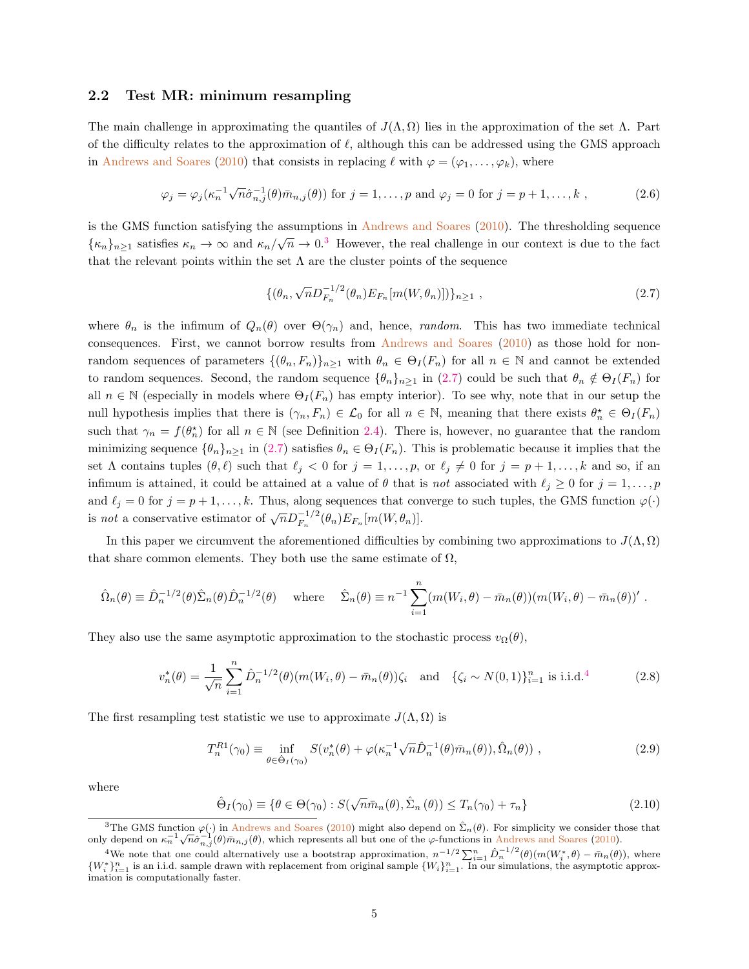### 2.2 Test MR: minimum resampling

The main challenge in approximating the quantiles of  $J(\Lambda, \Omega)$  lies in the approximation of the set  $\Lambda$ . Part of the difficulty relates to the approximation of  $\ell$ , although this can be addressed using the GMS approach in [Andrews and Soares](#page-39-2) [\(2010\)](#page-39-2) that consists in replacing  $\ell$  with  $\varphi = (\varphi_1, \ldots, \varphi_k)$ , where

$$
\varphi_j = \varphi_j(\kappa_n^{-1} \sqrt{n} \hat{\sigma}_{n,j}^{-1}(\theta) \bar{m}_{n,j}(\theta)) \text{ for } j = 1, \dots, p \text{ and } \varphi_j = 0 \text{ for } j = p+1, \dots, k ,
$$
 (2.6)

is the GMS function satisfying the assumptions in [Andrews and Soares](#page-39-2) [\(2010\)](#page-39-2). The thresholding sequence  ${k_n}_{n \geq 1}$  satisfies  $\kappa_n \to \infty$  and  $\kappa_n / \sqrt{n} \to 0.3$  $\kappa_n / \sqrt{n} \to 0.3$  However, the real challenge in our context is due to the fact that the relevant points within the set  $\Lambda$  are the cluster points of the sequence

<span id="page-5-3"></span><span id="page-5-1"></span>
$$
\{(\theta_n, \sqrt{n}D_{F_n}^{-1/2}(\theta_n)E_{F_n}[m(W,\theta_n)])\}_{n\geq 1},
$$
\n(2.7)

where  $\theta_n$  is the infimum of  $Q_n(\theta)$  over  $\Theta(\gamma_n)$  and, hence, *random*. This has two immediate technical consequences. First, we cannot borrow results from [Andrews and Soares](#page-39-2) [\(2010\)](#page-39-2) as those hold for nonrandom sequences of parameters  $\{(\theta_n, F_n)\}_{n\geq 1}$  with  $\theta_n \in \Theta_I(F_n)$  for all  $n \in \mathbb{N}$  and cannot be extended to random sequences. Second, the random sequence  $\{\theta_n\}_{n>1}$  in [\(2.7\)](#page-5-1) could be such that  $\theta_n \notin \Theta_I(F_n)$  for all  $n \in \mathbb{N}$  (especially in models where  $\Theta_I(F_n)$  has empty interior). To see why, note that in our setup the null hypothesis implies that there is  $(\gamma_n, F_n) \in \mathcal{L}_0$  for all  $n \in \mathbb{N}$ , meaning that there exists  $\theta_n^* \in \Theta_I(F_n)$ such that  $\gamma_n = f(\theta_n^*)$  for all  $n \in \mathbb{N}$  (see Definition [2.4\)](#page-3-2). There is, however, no guarantee that the random minimizing sequence  $\{\theta_n\}_{n\geq 1}$  in [\(2.7\)](#page-5-1) satisfies  $\theta_n \in \Theta_I(F_n)$ . This is problematic because it implies that the set  $\Lambda$  contains tuples  $(\theta, \ell)$  such that  $\ell_j < 0$  for  $j = 1, \ldots, p$ , or  $\ell_j \neq 0$  for  $j = p + 1, \ldots, k$  and so, if an infimum is attained, it could be attained at a value of  $\theta$  that is not associated with  $\ell_j \geq 0$  for  $j = 1, \ldots, p$ and  $\ell_j = 0$  for  $j = p + 1, \ldots, k$ . Thus, along sequences that converge to such tuples, the GMS function  $\varphi(\cdot)$ is not a conservative estimator of  $\sqrt{n}D_{F_n}^{-1/2}(\theta_n)E_{F_n}[m(W,\theta_n)].$ 

In this paper we circumvent the aforementioned difficulties by combining two approximations to  $J(\Lambda,\Omega)$ that share common elements. They both use the same estimate of  $\Omega$ ,

$$
\hat{\Omega}_n(\theta) \equiv \hat{D}_n^{-1/2}(\theta) \hat{\Sigma}_n(\theta) \hat{D}_n^{-1/2}(\theta) \quad \text{where} \quad \hat{\Sigma}_n(\theta) \equiv n^{-1} \sum_{i=1}^n (m(W_i, \theta) - \bar{m}_n(\theta)) (m(W_i, \theta) - \bar{m}_n(\theta))'
$$

They also use the same asymptotic approximation to the stochastic process  $v_{\Omega}(\theta)$ ,

$$
v_n^*(\theta) = \frac{1}{\sqrt{n}} \sum_{i=1}^n \hat{D}_n^{-1/2}(\theta) (m(W_i, \theta) - \bar{m}_n(\theta)) \zeta_i \text{ and } \{\zeta_i \sim N(0, 1)\}_{i=1}^n \text{ is i.i.d.}^4
$$
 (2.8)

The first resampling test statistic we use to approximate  $J(\Lambda, \Omega)$  is

<span id="page-5-5"></span><span id="page-5-4"></span>
$$
T_n^{R1}(\gamma_0) \equiv \inf_{\theta \in \hat{\Theta}_I(\gamma_0)} S(v_n^*(\theta) + \varphi(\kappa_n^{-1}\sqrt{n}\hat{D}_n^{-1}(\theta)\bar{m}_n(\theta)), \hat{\Omega}_n(\theta)), \qquad (2.9)
$$

where

$$
\hat{\Theta}_I(\gamma_0) \equiv \{ \theta \in \Theta(\gamma_0) : S(\sqrt{n}\bar{m}_n(\theta), \hat{\Sigma}_n(\theta)) \le T_n(\gamma_0) + \tau_n \}
$$
\n(2.10)

<span id="page-5-0"></span><sup>&</sup>lt;sup>3</sup>The GMS function  $\varphi(\cdot)$  in [Andrews and Soares](#page-39-2) [\(2010\)](#page-39-2) might also depend on  $\hat{\Sigma}_n(\theta)$ . For simplicity we consider those that only depend on  $\kappa_n^{-1}\sqrt{n}\hat{\sigma}_{n,j}^{-1}(\theta)\bar{m}_{n,j}(\theta)$ , which represents all but one of the  $\varphi$ -functions in [Andrews and Soares](#page-39-2) [\(2010\)](#page-39-2).

<span id="page-5-2"></span><sup>&</sup>lt;sup>4</sup>We note that one could alternatively use a bootstrap approximation,  $n^{-1/2} \sum_{i=1}^{n} \hat{D}_n^{-1/2}(\theta)(m(W_i^*, \theta) - \bar{m}_n(\theta))$ , where  $\{W_i^*\}_{i=1}^n$  is an i.i.d. sample drawn with replacement from original sample  $\{W_i\}_{i=1}^n$ . In our simulations, the asymptotic approximation is computationally faster.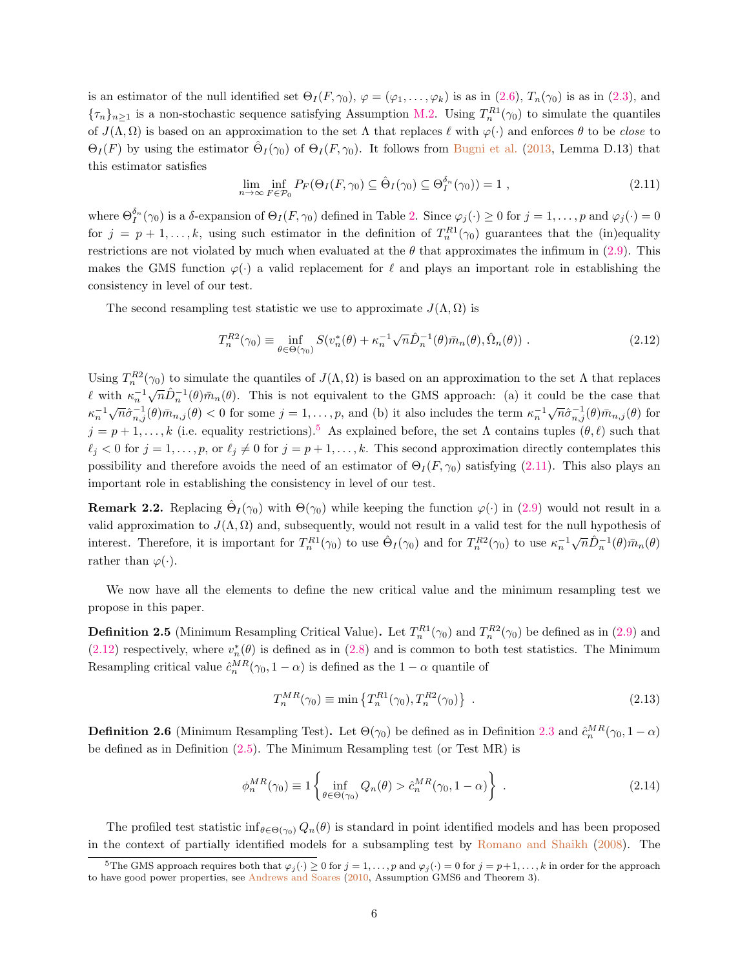is an estimator of the null identified set  $\Theta_I(F, \gamma_0), \varphi = (\varphi_1, \ldots, \varphi_k)$  is as in  $(2.6), T_n(\gamma_0)$  is as in  $(2.3)$ , and  ${\lbrace \tau_n \rbrace_{n \geq 1}}$  is a non-stochastic sequence satisfying Assumption [M.2.](#page-22-2) Using  $T_n^{R1}(\gamma_0)$  to simulate the quantiles of  $J(\Lambda, \Omega)$  is based on an approximation to the set  $\Lambda$  that replaces  $\ell$  with  $\varphi(\cdot)$  and enforces  $\theta$  to be close to  $\Theta_I(F)$  by using the estimator  $\hat{\Theta}_I(\gamma_0)$  of  $\Theta_I(F,\gamma_0)$ . It follows from [Bugni et al.](#page-39-10) [\(2013,](#page-39-10) Lemma D.13) that this estimator satisfies

<span id="page-6-1"></span>
$$
\lim_{n \to \infty} \inf_{F \in \mathcal{P}_0} P_F(\Theta_I(F, \gamma_0) \subseteq \hat{\Theta}_I(\gamma_0) \subseteq \Theta_I^{\delta_n}(\gamma_0)) = 1 ,
$$
\n(2.11)

where  $\Theta_I^{\delta_n}(\gamma_0)$  is a  $\delta$ -expansion of  $\Theta_I(F,\gamma_0)$  defined in Table [2.](#page-18-1) Since  $\varphi_j(\cdot) \ge 0$  for  $j = 1,\ldots,p$  and  $\varphi_j(\cdot) = 0$ for  $j = p + 1, \ldots, k$ , using such estimator in the definition of  $T_n^{R_1}(\gamma_0)$  guarantees that the (in)equality restrictions are not violated by much when evaluated at the  $\theta$  that approximates the infimum in [\(2.9\)](#page-5-4). This makes the GMS function  $\varphi(\cdot)$  a valid replacement for  $\ell$  and plays an important role in establishing the consistency in level of our test.

The second resampling test statistic we use to approximate  $J(\Lambda, \Omega)$  is

<span id="page-6-2"></span>
$$
T_n^{R2}(\gamma_0) \equiv \inf_{\theta \in \Theta(\gamma_0)} S(v_n^*(\theta) + \kappa_n^{-1} \sqrt{n} \hat{D}_n^{-1}(\theta) \bar{m}_n(\theta), \hat{\Omega}_n(\theta)) . \tag{2.12}
$$

Using  $T_n^{R2}(\gamma_0)$  to simulate the quantiles of  $J(\Lambda,\Omega)$  is based on an approximation to the set  $\Lambda$  that replaces  $\ell$  with  $\kappa_n^{-1}$  $\sqrt{n}\hat{D}_n^{-1}(\theta)\bar{m}_n(\theta)$ . This is not equivalent to the GMS approach: (a) it could be the case that  $\kappa_n^{-1}$  $\sqrt{n}\hat{\sigma}_{n,j}^{-1}(\theta)\bar{m}_{n,j}(\theta) < 0$  for some  $j = 1,\ldots,p$ , and (b) it also includes the term  $\kappa_n^{-1}$  $\sqrt{n}\hat{\sigma}_{n,j}^{-1}(\theta)\bar{m}_{n,j}(\theta)$  for  $j = p + 1, \ldots, k$  (i.e. equality restrictions).<sup>[5](#page-6-0)</sup> As explained before, the set  $\Lambda$  contains tuples  $(\theta, \ell)$  such that  $\ell_j < 0$  for  $j = 1, \ldots, p$ , or  $\ell_j \neq 0$  for  $j = p + 1, \ldots, k$ . This second approximation directly contemplates this possibility and therefore avoids the need of an estimator of  $\Theta_I(F, \gamma_0)$  satisfying [\(2.11\)](#page-6-1). This also plays an important role in establishing the consistency in level of our test.

<span id="page-6-5"></span>**Remark 2.2.** Replacing  $\hat{\Theta}_I(\gamma_0)$  with  $\Theta(\gamma_0)$  while keeping the function  $\varphi(\cdot)$  in [\(2.9\)](#page-5-4) would not result in a valid approximation to  $J(\Lambda, \Omega)$  and, subsequently, would not result in a valid test for the null hypothesis of interest. Therefore, it is important for  $T_n^{R1}(\gamma_0)$  to use  $\hat{\Theta}_I(\gamma_0)$  and for  $T_n^{R2}(\gamma_0)$  to use  $\kappa_n^{-1}$  $\sqrt{n}\hat{D}_n^{-1}(\theta)\bar{m}_n(\theta)$ rather than  $\varphi(\cdot)$ .

We now have all the elements to define the new critical value and the minimum resampling test we propose in this paper.

<span id="page-6-3"></span>**Definition 2.5** (Minimum Resampling Critical Value). Let  $T_n^{R1}(\gamma_0)$  and  $T_n^{R2}(\gamma_0)$  be defined as in [\(2.9\)](#page-5-4) and [\(2.12\)](#page-6-2) respectively, where  $v_n^*(\theta)$  is defined as in [\(2.8\)](#page-5-5) and is common to both test statistics. The Minimum Resampling critical value  $\hat{c}_n^{MR}(\gamma_0, 1 - \alpha)$  is defined as the  $1 - \alpha$  quantile of

$$
T_n^{MR}(\gamma_0) \equiv \min \left\{ T_n^{R1}(\gamma_0), T_n^{R2}(\gamma_0) \right\} \ . \tag{2.13}
$$

<span id="page-6-4"></span>**Definition 2.6** (Minimum Resampling Test). Let  $\Theta(\gamma_0)$  be defined as in Definition [2.3](#page-3-3) and  $\hat{c}_n^{MR}(\gamma_0, 1-\alpha)$ be defined as in Definition [\(2.5\)](#page-6-3). The Minimum Resampling test (or Test MR) is

$$
\phi_n^{MR}(\gamma_0) \equiv 1 \left\{ \inf_{\theta \in \Theta(\gamma_0)} Q_n(\theta) > \hat{c}_n^{MR}(\gamma_0, 1 - \alpha) \right\} \tag{2.14}
$$

The profiled test statistic inf<sub> $\theta \in \Theta(\gamma_0)$ </sub>  $Q_n(\theta)$  is standard in point identified models and has been proposed in the context of partially identified models for a subsampling test by [Romano and Shaikh](#page-40-1) [\(2008\)](#page-40-1). The

<span id="page-6-0"></span><sup>&</sup>lt;sup>5</sup>The GMS approach requires both that  $\varphi_j(\cdot) \ge 0$  for  $j = 1, \ldots, p$  and  $\varphi_j(\cdot) = 0$  for  $j = p+1, \ldots, k$  in order for the approach to have good power properties, see [Andrews and Soares](#page-39-2) [\(2010,](#page-39-2) Assumption GMS6 and Theorem 3).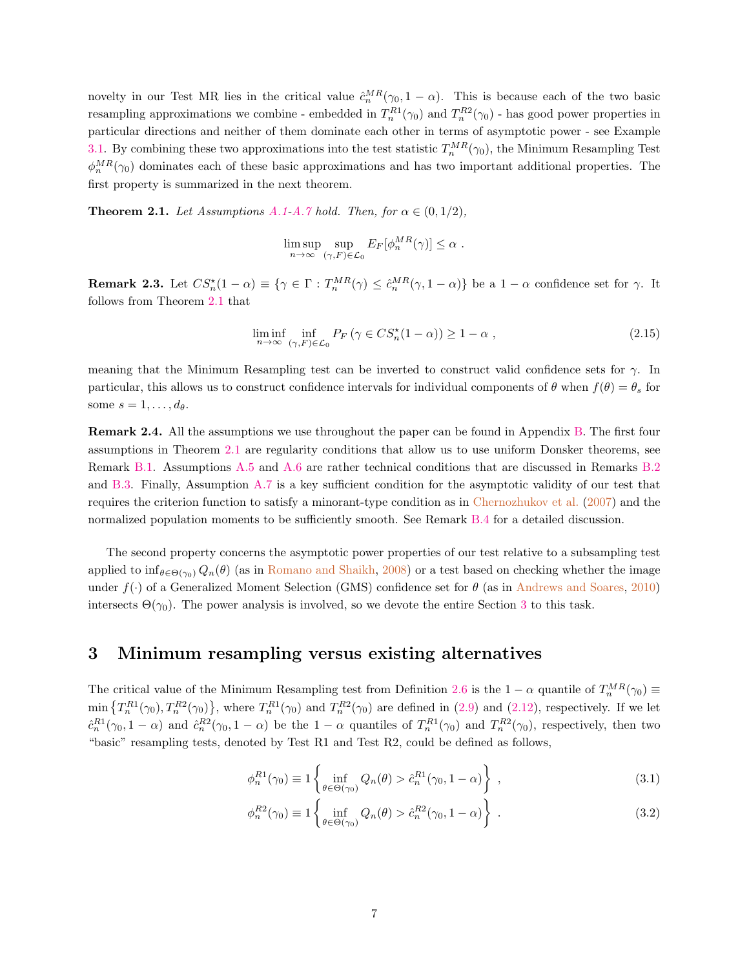novelty in our Test MR lies in the critical value  $\hat{c}_n^{MR}(\gamma_0, 1 - \alpha)$ . This is because each of the two basic resampling approximations we combine - embedded in  $T_n^{R1}(\gamma_0)$  and  $T_n^{R2}(\gamma_0)$  - has good power properties in particular directions and neither of them dominate each other in terms of asymptotic power - see Example [3.1.](#page-11-1) By combining these two approximations into the test statistic  $T_n^{MR}(\gamma_0)$ , the Minimum Resampling Test  $\phi_n^{MR}(\gamma_0)$  dominates each of these basic approximations and has two important additional properties. The first property is summarized in the next theorem.

<span id="page-7-3"></span>**Theorem 2.1.** Let Assumptions [A.1-](#page-19-0)[A.7](#page-20-0) hold. Then, for  $\alpha \in (0, 1/2)$ ,

$$
\limsup_{n \to \infty} \sup_{(\gamma, F) \in \mathcal{L}_0} E_F[\phi_n^{MR}(\gamma)] \le \alpha.
$$

<span id="page-7-1"></span>**Remark 2.3.** Let  $CS_n^{\star}(1-\alpha) \equiv \{ \gamma \in \Gamma : T_n^{MR}(\gamma) \leq \hat{c}_n^{MR}(\gamma, 1-\alpha) \}$  be a  $1-\alpha$  confidence set for  $\gamma$ . It follows from Theorem [2.1](#page-7-3) that

<span id="page-7-2"></span>
$$
\liminf_{n \to \infty} \inf_{(\gamma, F) \in \mathcal{L}_0} P_F \left( \gamma \in CS_n^{\star}(1 - \alpha) \right) \ge 1 - \alpha , \tag{2.15}
$$

meaning that the Minimum Resampling test can be inverted to construct valid confidence sets for  $\gamma$ . In particular, this allows us to construct confidence intervals for individual components of  $\theta$  when  $f(\theta) = \theta_s$  for some  $s = 1, \ldots, d_{\theta}$ .

Remark 2.4. All the assumptions we use throughout the paper can be found in Appendix [B.](#page-19-1) The first four assumptions in Theorem [2.1](#page-7-3) are regularity conditions that allow us to use uniform Donsker theorems, see Remark [B.1.](#page-20-1) Assumptions [A.5](#page-20-2) and [A.6](#page-20-3) are rather technical conditions that are discussed in Remarks [B.2](#page-20-4) and [B.3.](#page-20-5) Finally, Assumption [A.7](#page-20-0) is a key sufficient condition for the asymptotic validity of our test that requires the criterion function to satisfy a minorant-type condition as in [Chernozhukov et al.](#page-39-0) [\(2007\)](#page-39-0) and the normalized population moments to be sufficiently smooth. See Remark [B.4](#page-21-0) for a detailed discussion.

The second property concerns the asymptotic power properties of our test relative to a subsampling test applied to  $\inf_{\theta \in \Theta(\gamma_0)} Q_n(\theta)$  (as in [Romano and Shaikh,](#page-40-1) [2008\)](#page-40-1) or a test based on checking whether the image under  $f(\cdot)$  of a Generalized Moment Selection (GMS) confidence set for  $\theta$  (as in [Andrews and Soares,](#page-39-2) [2010\)](#page-39-2) intersects  $\Theta(\gamma_0)$ . The power analysis is involved, so we devote the entire Section [3](#page-7-0) to this task.

# <span id="page-7-0"></span>3 Minimum resampling versus existing alternatives

The critical value of the Minimum Resampling test from Definition [2.6](#page-6-4) is the  $1 - \alpha$  quantile of  $T_n^{MR}(\gamma_0) \equiv$  $\min\left\{T_n^{R1}(\gamma_0), T_n^{R2}(\gamma_0)\right\}$ , where  $T_n^{R1}(\gamma_0)$  and  $T_n^{R2}(\gamma_0)$  are defined in [\(2.9\)](#page-5-4) and [\(2.12\)](#page-6-2), respectively. If we let  $\hat{c}_n^{R1}(\gamma_0, 1-\alpha)$  and  $\hat{c}_n^{R2}(\gamma_0, 1-\alpha)$  be the  $1-\alpha$  quantiles of  $T_n^{R1}(\gamma_0)$  and  $T_n^{R2}(\gamma_0)$ , respectively, then two "basic" resampling tests, denoted by Test R1 and Test R2, could be defined as follows,

$$
\phi_n^{R1}(\gamma_0) \equiv 1 \left\{ \inf_{\theta \in \Theta(\gamma_0)} Q_n(\theta) > \hat{c}_n^{R1}(\gamma_0, 1 - \alpha) \right\} ,\qquad (3.1)
$$

$$
\phi_n^{R2}(\gamma_0) \equiv 1 \left\{ \inf_{\theta \in \Theta(\gamma_0)} Q_n(\theta) > \hat{c}_n^{R2}(\gamma_0, 1 - \alpha) \right\} \ . \tag{3.2}
$$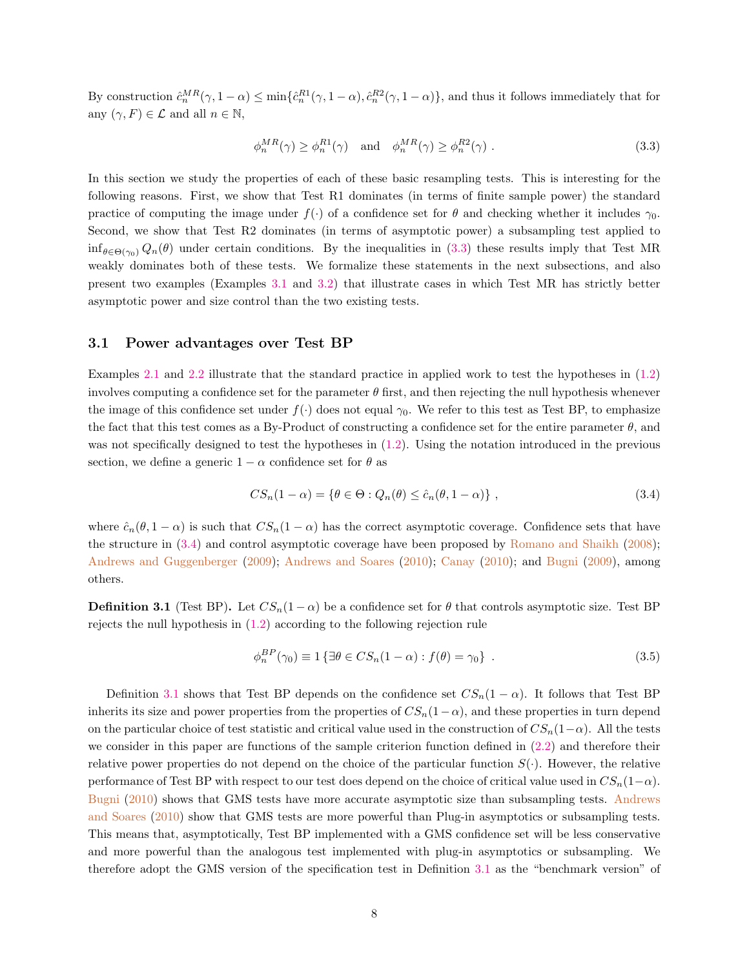By construction  $\hat{c}_n^{MR}(\gamma, 1-\alpha) \le \min\{\hat{c}_n^{R1}(\gamma, 1-\alpha), \hat{c}_n^{R2}(\gamma, 1-\alpha)\}\$ , and thus it follows immediately that for any  $(\gamma, F) \in \mathcal{L}$  and all  $n \in \mathbb{N}$ ,

<span id="page-8-0"></span>
$$
\phi_n^{MR}(\gamma) \ge \phi_n^{R1}(\gamma) \quad \text{and} \quad \phi_n^{MR}(\gamma) \ge \phi_n^{R2}(\gamma) \tag{3.3}
$$

In this section we study the properties of each of these basic resampling tests. This is interesting for the following reasons. First, we show that Test R1 dominates (in terms of finite sample power) the standard practice of computing the image under  $f(\cdot)$  of a confidence set for  $\theta$  and checking whether it includes  $\gamma_0$ . Second, we show that Test R2 dominates (in terms of asymptotic power) a subsampling test applied to  $\inf_{\theta \in \Theta(\gamma_0)} Q_n(\theta)$  under certain conditions. By the inequalities in [\(3.3\)](#page-8-0) these results imply that Test MR weakly dominates both of these tests. We formalize these statements in the next subsections, and also present two examples (Examples [3.1](#page-11-1) and [3.2\)](#page-13-0) that illustrate cases in which Test MR has strictly better asymptotic power and size control than the two existing tests.

### 3.1 Power advantages over Test BP

Examples [2.1](#page-3-0) and [2.2](#page-3-1) illustrate that the standard practice in applied work to test the hypotheses in [\(1.2\)](#page-1-2) involves computing a confidence set for the parameter  $\theta$  first, and then rejecting the null hypothesis whenever the image of this confidence set under  $f(\cdot)$  does not equal  $\gamma_0$ . We refer to this test as Test BP, to emphasize the fact that this test comes as a By-Product of constructing a confidence set for the entire parameter  $\theta$ , and was not specifically designed to test the hypotheses in  $(1.2)$ . Using the notation introduced in the previous section, we define a generic  $1 - \alpha$  confidence set for  $\theta$  as

<span id="page-8-1"></span>
$$
CS_n(1-\alpha) = \{ \theta \in \Theta : Q_n(\theta) \le \hat{c}_n(\theta, 1-\alpha) \},
$$
\n(3.4)

where  $\hat{c}_n(\theta, 1 - \alpha)$  is such that  $CS_n(1 - \alpha)$  has the correct asymptotic coverage. Confidence sets that have the structure in [\(3.4\)](#page-8-1) and control asymptotic coverage have been proposed by [Romano and Shaikh](#page-40-1) [\(2008\)](#page-40-1); [Andrews and Guggenberger](#page-39-1) [\(2009\)](#page-39-1); [Andrews and Soares](#page-39-2) [\(2010\)](#page-39-2); [Canay](#page-39-5) [\(2010\)](#page-39-5); and [Bugni](#page-39-11) [\(2009\)](#page-39-11), among others.

<span id="page-8-2"></span>**Definition 3.1** (Test BP). Let  $CS_n(1-\alpha)$  be a confidence set for  $\theta$  that controls asymptotic size. Test BP rejects the null hypothesis in [\(1.2\)](#page-1-2) according to the following rejection rule

<span id="page-8-3"></span>
$$
\phi_n^{BP}(\gamma_0) \equiv 1 \{ \exists \theta \in CS_n(1-\alpha) : f(\theta) = \gamma_0 \} . \tag{3.5}
$$

Definition [3.1](#page-8-2) shows that Test BP depends on the confidence set  $CS_n(1-\alpha)$ . It follows that Test BP inherits its size and power properties from the properties of  $CS_n(1-\alpha)$ , and these properties in turn depend on the particular choice of test statistic and critical value used in the construction of  $CS_n(1-\alpha)$ . All the tests we consider in this paper are functions of the sample criterion function defined in [\(2.2\)](#page-4-3) and therefore their relative power properties do not depend on the choice of the particular function  $S(\cdot)$ . However, the relative performance of Test BP with respect to our test does depend on the choice of critical value used in  $CS_n(1-\alpha)$ . [Bugni](#page-39-4) [\(2010\)](#page-39-4) shows that GMS tests have more accurate asymptotic size than subsampling tests. [Andrews](#page-39-2) [and Soares](#page-39-2) [\(2010\)](#page-39-2) show that GMS tests are more powerful than Plug-in asymptotics or subsampling tests. This means that, asymptotically, Test BP implemented with a GMS confidence set will be less conservative and more powerful than the analogous test implemented with plug-in asymptotics or subsampling. We therefore adopt the GMS version of the specification test in Definition [3.1](#page-8-2) as the "benchmark version" of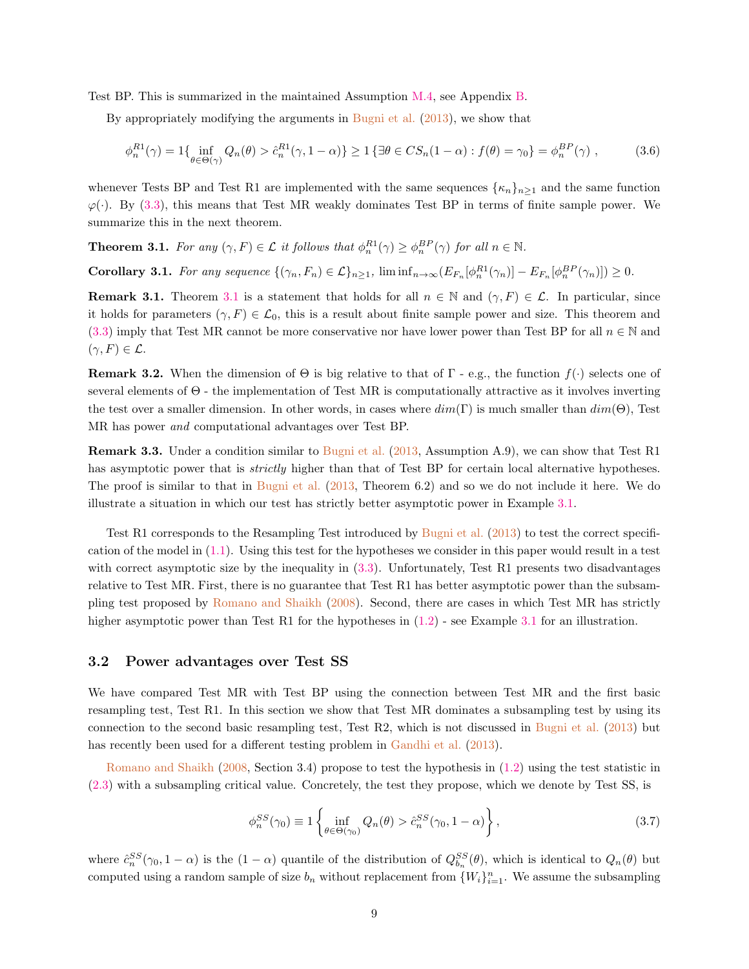Test BP. This is summarized in the maintained Assumption [M.4,](#page-22-3) see Appendix [B.](#page-19-1)

By appropriately modifying the arguments in [Bugni et al.](#page-39-10) [\(2013\)](#page-39-10), we show that

$$
\phi_n^{R1}(\gamma) = 1\{\inf_{\theta \in \Theta(\gamma)} Q_n(\theta) > \hat{c}_n^{R1}(\gamma, 1 - \alpha)\} \ge 1\left\{\exists \theta \in CS_n(1 - \alpha) : f(\theta) = \gamma_0\right\} = \phi_n^{BP}(\gamma) ,\tag{3.6}
$$

whenever Tests BP and Test R1 are implemented with the same sequences  $\{\kappa_n\}_{n\geq 1}$  and the same function  $\varphi(\cdot)$ . By [\(3.3\)](#page-8-0), this means that Test MR weakly dominates Test BP in terms of finite sample power. We summarize this in the next theorem.

<span id="page-9-0"></span>**Theorem 3.1.** For any  $(\gamma, F) \in \mathcal{L}$  it follows that  $\phi_n^{R1}(\gamma) \geq \phi_n^{BP}(\gamma)$  for all  $n \in \mathbb{N}$ .

**Corollary 3.1.** For any sequence  $\{(\gamma_n, F_n) \in \mathcal{L}\}_{n \geq 1}$ ,  $\liminf_{n \to \infty} (E_{F_n}[\phi_n^{R_1}(\gamma_n)] - E_{F_n}[\phi_n^{BP}(\gamma_n)]) \geq 0$ .

**Remark [3.1](#page-9-0).** Theorem 3.1 is a statement that holds for all  $n \in \mathbb{N}$  and  $(\gamma, F) \in \mathcal{L}$ . In particular, since it holds for parameters  $(\gamma, F) \in \mathcal{L}_0$ , this is a result about finite sample power and size. This theorem and [\(3.3\)](#page-8-0) imply that Test MR cannot be more conservative nor have lower power than Test BP for all  $n \in \mathbb{N}$  and  $(\gamma, F) \in \mathcal{L}.$ 

**Remark 3.2.** When the dimension of  $\Theta$  is big relative to that of  $\Gamma$  - e.g., the function  $f(\cdot)$  selects one of several elements of Θ - the implementation of Test MR is computationally attractive as it involves inverting the test over a smaller dimension. In other words, in cases where  $dim(\Gamma)$  is much smaller than  $dim(\Theta)$ , Test MR has power and computational advantages over Test BP.

<span id="page-9-1"></span>Remark 3.3. Under a condition similar to [Bugni et al.](#page-39-10) [\(2013,](#page-39-10) Assumption A.9), we can show that Test R1 has asymptotic power that is *strictly* higher than that of Test BP for certain local alternative hypotheses. The proof is similar to that in [Bugni et al.](#page-39-10) [\(2013,](#page-39-10) Theorem 6.2) and so we do not include it here. We do illustrate a situation in which our test has strictly better asymptotic power in Example [3.1.](#page-11-1)

Test R1 corresponds to the Resampling Test introduced by [Bugni et al.](#page-39-10) [\(2013\)](#page-39-10) to test the correct specification of the model in  $(1.1)$ . Using this test for the hypotheses we consider in this paper would result in a test with correct asymptotic size by the inequality in  $(3.3)$ . Unfortunately, Test R1 presents two disadvantages relative to Test MR. First, there is no guarantee that Test R1 has better asymptotic power than the subsampling test proposed by [Romano and Shaikh](#page-40-1) [\(2008\)](#page-40-1). Second, there are cases in which Test MR has strictly higher asymptotic power than Test R1 for the hypotheses in  $(1.2)$  - see Example [3.1](#page-11-1) for an illustration.

#### 3.2 Power advantages over Test SS

We have compared Test MR with Test BP using the connection between Test MR and the first basic resampling test, Test R1. In this section we show that Test MR dominates a subsampling test by using its connection to the second basic resampling test, Test R2, which is not discussed in [Bugni et al.](#page-39-10) [\(2013\)](#page-39-10) but has recently been used for a different testing problem in [Gandhi et al.](#page-40-12)  $(2013)$ .

[Romano and Shaikh](#page-40-1) [\(2008,](#page-40-1) Section 3.4) propose to test the hypothesis in [\(1.2\)](#page-1-2) using the test statistic in [\(2.3\)](#page-4-0) with a subsampling critical value. Concretely, the test they propose, which we denote by Test SS, is

$$
\phi_n^{SS}(\gamma_0) \equiv 1 \left\{ \inf_{\theta \in \Theta(\gamma_0)} Q_n(\theta) > \hat{c}_n^{SS}(\gamma_0, 1 - \alpha) \right\},\tag{3.7}
$$

where  $\hat{c}_n^{SS}(\gamma_0, 1-\alpha)$  is the  $(1-\alpha)$  quantile of the distribution of  $Q_{b_n}^{SS}(\theta)$ , which is identical to  $Q_n(\theta)$  but computed using a random sample of size  $b_n$  without replacement from  $\{W_i\}_{i=1}^n$ . We assume the subsampling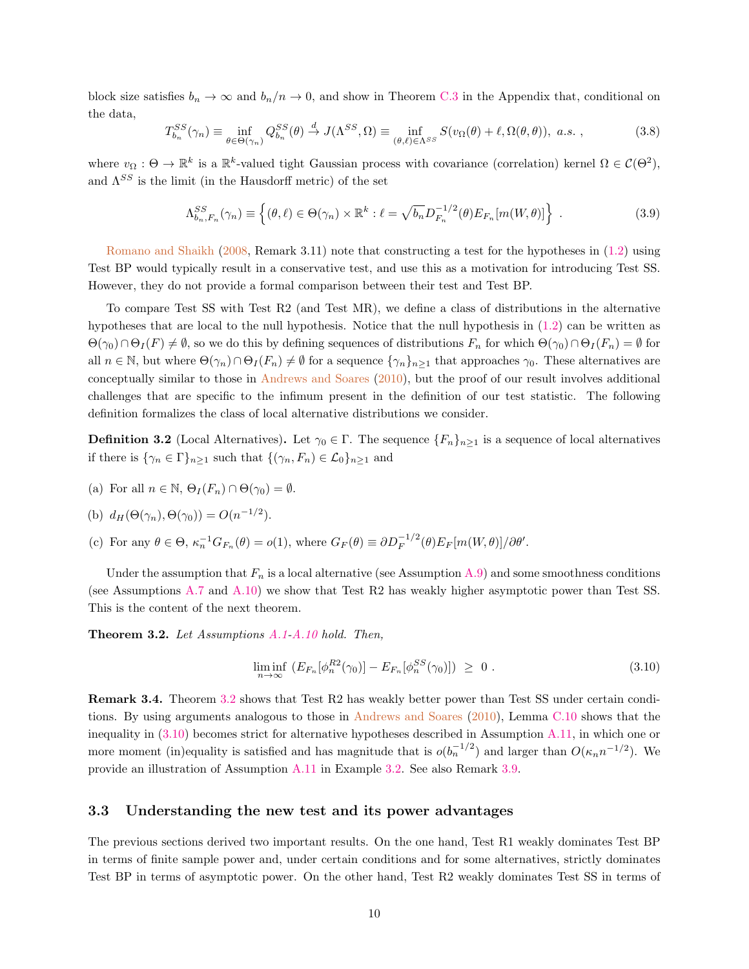block size satisfies  $b_n \to \infty$  and  $b_n/n \to 0$ , and show in Theorem [C.3](#page-23-1) in the Appendix that, conditional on the data,

<span id="page-10-5"></span>
$$
T_{b_n}^{SS}(\gamma_n) \equiv \inf_{\theta \in \Theta(\gamma_n)} Q_{b_n}^{SS}(\theta) \stackrel{d}{\to} J(\Lambda^{SS}, \Omega) \equiv \inf_{(\theta, \ell) \in \Lambda^{SS}} S(v_\Omega(\theta) + \ell, \Omega(\theta, \theta)), \ a.s. \ , \tag{3.8}
$$

where  $v_{\Omega}: \Theta \to \mathbb{R}^k$  is a  $\mathbb{R}^k$ -valued tight Gaussian process with covariance (correlation) kernel  $\Omega \in \mathcal{C}(\Theta^2)$ , and  $\Lambda^{SS}$  is the limit (in the Hausdorff metric) of the set

$$
\Lambda_{b_n,F_n}^{SS}(\gamma_n) \equiv \left\{ (\theta,\ell) \in \Theta(\gamma_n) \times \mathbb{R}^k : \ell = \sqrt{b_n} D_{F_n}^{-1/2}(\theta) E_{F_n}[m(W,\theta)] \right\} \ . \tag{3.9}
$$

[Romano and Shaikh](#page-40-1) [\(2008,](#page-40-1) Remark 3.11) note that constructing a test for the hypotheses in [\(1.2\)](#page-1-2) using Test BP would typically result in a conservative test, and use this as a motivation for introducing Test SS. However, they do not provide a formal comparison between their test and Test BP.

To compare Test SS with Test R2 (and Test MR), we define a class of distributions in the alternative hypotheses that are local to the null hypothesis. Notice that the null hypothesis in [\(1.2\)](#page-1-2) can be written as  $\Theta(\gamma_0)\cap\Theta_I(F)\neq\emptyset$ , so we do this by defining sequences of distributions  $F_n$  for which  $\Theta(\gamma_0)\cap\Theta_I(F_n)=\emptyset$  for all  $n \in \mathbb{N}$ , but where  $\Theta(\gamma_n) \cap \Theta_I(F_n) \neq \emptyset$  for a sequence  $\{\gamma_n\}_{n\geq 1}$  that approaches  $\gamma_0$ . These alternatives are conceptually similar to those in [Andrews and Soares](#page-39-2) [\(2010\)](#page-39-2), but the proof of our result involves additional challenges that are specific to the infimum present in the definition of our test statistic. The following definition formalizes the class of local alternative distributions we consider.

<span id="page-10-3"></span>**Definition 3.2** (Local Alternatives). Let  $\gamma_0 \in \Gamma$ . The sequence  $\{F_n\}_{n\geq 1}$  is a sequence of local alternatives if there is  $\{\gamma_n \in \Gamma\}_{n\geq 1}$  such that  $\{(\gamma_n, F_n) \in \mathcal{L}_0\}_{n\geq 1}$  and

(a) For all  $n \in \mathbb{N}$ ,  $\Theta_I(F_n) \cap \Theta(\gamma_0) = \emptyset$ .

(b) 
$$
d_H(\Theta(\gamma_n), \Theta(\gamma_0)) = O(n^{-1/2}).
$$

(c) For any  $\theta \in \Theta$ ,  $\kappa_n^{-1} G_{F_n}(\theta) = o(1)$ , where  $G_F(\theta) \equiv \partial D_F^{-1/2}(\theta) E_F[m(W, \theta)]/\partial \theta'$ .

Under the assumption that  $F_n$  is a local alternative (see Assumption [A.9\)](#page-21-1) and some smoothness conditions (see Assumptions [A.7](#page-20-0) and [A.10\)](#page-21-2) we show that Test R2 has weakly higher asymptotic power than Test SS. This is the content of the next theorem.

<span id="page-10-0"></span>Theorem 3.2. Let Assumptions [A.1-](#page-19-0)[A.10](#page-21-2) hold. Then,

<span id="page-10-2"></span>
$$
\liminf_{n \to \infty} \left( E_{F_n} [\phi_n^{R2}(\gamma_0)] - E_{F_n} [\phi_n^{SS}(\gamma_0)] \right) \geq 0 \ . \tag{3.10}
$$

<span id="page-10-4"></span>Remark 3.4. Theorem [3.2](#page-10-0) shows that Test R2 has weakly better power than Test SS under certain conditions. By using arguments analogous to those in [Andrews and Soares](#page-39-2) [\(2010\)](#page-39-2), Lemma [C.10](#page-24-0) shows that the inequality in [\(3.10\)](#page-10-2) becomes strict for alternative hypotheses described in Assumption [A.11,](#page-21-3) in which one or more moment (in)equality is satisfied and has magnitude that is  $o(b_n^{-1/2})$  and larger than  $O(\kappa_n n^{-1/2})$ . We provide an illustration of Assumption [A.11](#page-21-3) in Example [3.2.](#page-13-0) See also Remark [3.9.](#page-14-0)

### <span id="page-10-1"></span>3.3 Understanding the new test and its power advantages

The previous sections derived two important results. On the one hand, Test R1 weakly dominates Test BP in terms of finite sample power and, under certain conditions and for some alternatives, strictly dominates Test BP in terms of asymptotic power. On the other hand, Test R2 weakly dominates Test SS in terms of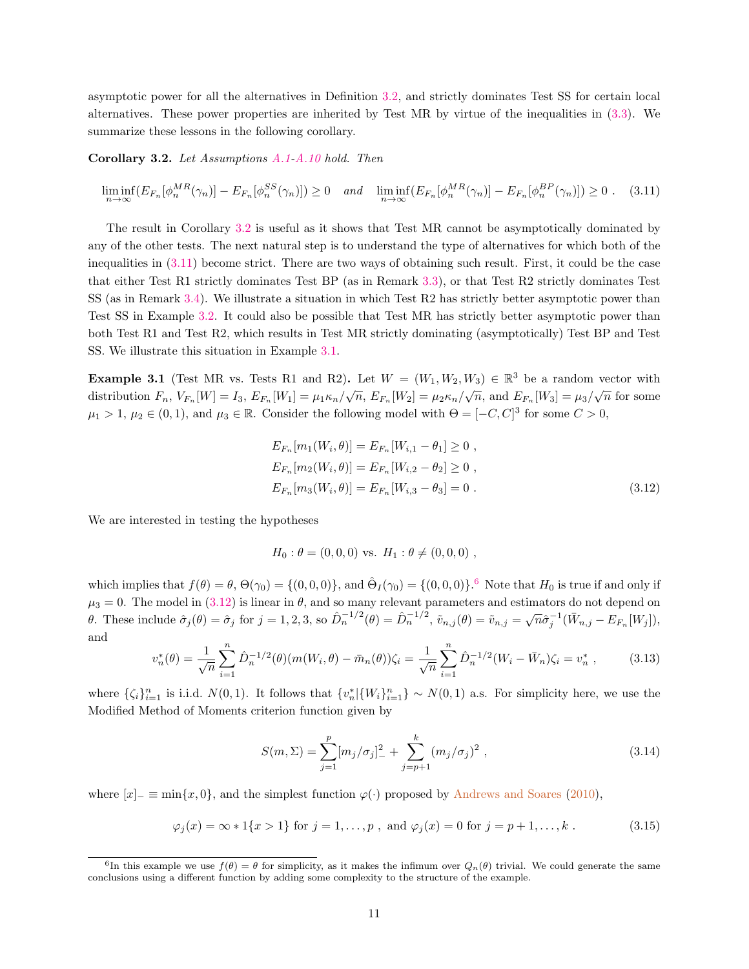asymptotic power for all the alternatives in Definition [3.2,](#page-10-3) and strictly dominates Test SS for certain local alternatives. These power properties are inherited by Test MR by virtue of the inequalities in [\(3.3\)](#page-8-0). We summarize these lessons in the following corollary.

<span id="page-11-2"></span>Corollary 3.2. Let Assumptions [A.1-](#page-19-0)[A.10](#page-21-2) hold. Then

<span id="page-11-3"></span>
$$
\liminf_{n \to \infty} \left( E_{F_n}[\phi_n^{MR}(\gamma_n)] - E_{F_n}[\phi_n^{SS}(\gamma_n)] \right) \ge 0 \quad \text{and} \quad \liminf_{n \to \infty} \left( E_{F_n}[\phi_n^{MR}(\gamma_n)] - E_{F_n}[\phi_n^{BP}(\gamma_n)] \right) \ge 0 \quad . \tag{3.11}
$$

The result in Corollary [3.2](#page-11-2) is useful as it shows that Test MR cannot be asymptotically dominated by any of the other tests. The next natural step is to understand the type of alternatives for which both of the inequalities in [\(3.11\)](#page-11-3) become strict. There are two ways of obtaining such result. First, it could be the case that either Test R1 strictly dominates Test BP (as in Remark [3.3\)](#page-9-1), or that Test R2 strictly dominates Test SS (as in Remark [3.4\)](#page-10-4). We illustrate a situation in which Test R2 has strictly better asymptotic power than Test SS in Example [3.2.](#page-13-0) It could also be possible that Test MR has strictly better asymptotic power than both Test R1 and Test R2, which results in Test MR strictly dominating (asymptotically) Test BP and Test SS. We illustrate this situation in Example [3.1.](#page-11-1)

<span id="page-11-1"></span>**Example 3.1** (Test MR vs. Tests R1 and R2). Let  $W = (W_1, W_2, W_3) \in \mathbb{R}^3$  be a random vector with distribution  $F_n$ ,  $V_{F_n}[W] = I_3$ ,  $E_{F_n}[W_1] = \mu_1 \kappa_n / \sqrt{n}$ ,  $E_{F_n}[W_2] = \mu_2 \kappa_n / \sqrt{n}$ , and  $E_{F_n}[W_3] = \mu_3 / \sqrt{n}$  for some  $\mu_1 > 1, \mu_2 \in (0, 1)$ , and  $\mu_3 \in \mathbb{R}$ . Consider the following model with  $\Theta = [-C, C]^3$  for some  $C > 0$ ,

<span id="page-11-5"></span>
$$
E_{F_n}[m_1(W_i, \theta)] = E_{F_n}[W_{i,1} - \theta_1] \ge 0,
$$
  
\n
$$
E_{F_n}[m_2(W_i, \theta)] = E_{F_n}[W_{i,2} - \theta_2] \ge 0,
$$
  
\n
$$
E_{F_n}[m_3(W_i, \theta)] = E_{F_n}[W_{i,3} - \theta_3] = 0.
$$
\n(3.12)

We are interested in testing the hypotheses

$$
H_0: \theta = (0,0,0)
$$
 vs.  $H_1: \theta \neq (0,0,0)$ ,

which implies that  $f(\theta) = \theta$ ,  $\Theta(\gamma_0) = \{(0,0,0)\}$ , and  $\hat{\Theta}_I(\gamma_0) = \{(0,0,0)\}$ .<sup>[6](#page-11-4)</sup> Note that  $H_0$  is true if and only if  $\mu_3 = 0$ . The model in [\(3.12\)](#page-11-5) is linear in  $\theta$ , and so many relevant parameters and estimators do not depend on θ. These include  $\hat{\sigma}_j(\theta) = \hat{\sigma}_j$  for  $j = 1, 2, 3$ , so  $\hat{D}_n^{-1/2}(\theta) = \hat{D}_n^{-1/2}$ ,  $\tilde{v}_{n,j}(\theta) = \tilde{v}_{n,j} = \sqrt{n}\hat{\sigma}_j^{-1}(\bar{W}_{n,j} - E_{F_n}[W_j]),$ and

<span id="page-11-6"></span>
$$
v_n^*(\theta) = \frac{1}{\sqrt{n}} \sum_{i=1}^n \hat{D}_n^{-1/2}(\theta) (m(W_i, \theta) - \bar{m}_n(\theta)) \zeta_i = \frac{1}{\sqrt{n}} \sum_{i=1}^n \hat{D}_n^{-1/2} (W_i - \bar{W}_n) \zeta_i = v_n^*,
$$
 (3.13)

where  $\{\zeta_i\}_{i=1}^n$  is i.i.d.  $N(0, 1)$ . It follows that  $\{v_n^*|\{W_i\}_{i=1}^n\} \sim N(0, 1)$  a.s. For simplicity here, we use the Modified Method of Moments criterion function given by

<span id="page-11-7"></span><span id="page-11-0"></span>
$$
S(m,\Sigma) = \sum_{j=1}^{p} [m_j/\sigma_j]_{-}^2 + \sum_{j=p+1}^{k} (m_j/\sigma_j)^2 , \qquad (3.14)
$$

where  $[x]_$  ≡ min $\{x, 0\}$ , and the simplest function  $\varphi(\cdot)$  proposed by [Andrews and Soares](#page-39-2) [\(2010\)](#page-39-2),

$$
\varphi_j(x) = \infty * 1\{x > 1\}
$$
 for  $j = 1, ..., p$ , and  $\varphi_j(x) = 0$  for  $j = p + 1, ..., k$ . (3.15)

<span id="page-11-4"></span><sup>&</sup>lt;sup>6</sup>In this example we use  $f(\theta) = \theta$  for simplicity, as it makes the infimum over  $Q_n(\theta)$  trivial. We could generate the same conclusions using a different function by adding some complexity to the structure of the example.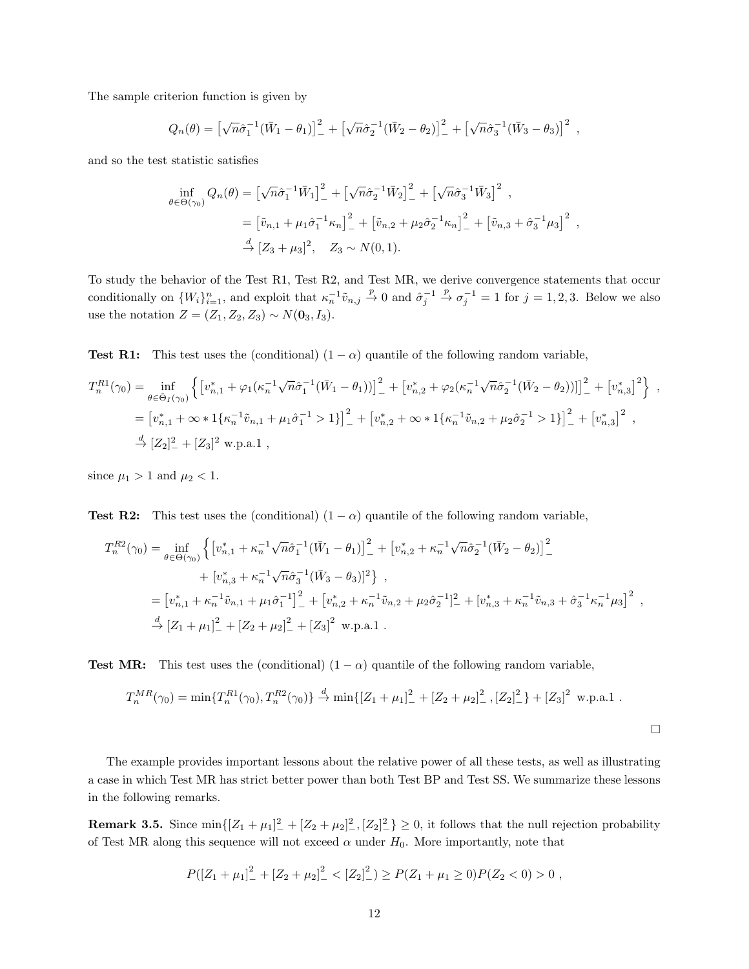The sample criterion function is given by

$$
Q_n(\theta) = \left[\sqrt{n}\hat{\sigma}_1^{-1}(\bar{W}_1 - \theta_1)\right]_+^2 + \left[\sqrt{n}\hat{\sigma}_2^{-1}(\bar{W}_2 - \theta_2)\right]_+^2 + \left[\sqrt{n}\hat{\sigma}_3^{-1}(\bar{W}_3 - \theta_3)\right]^2,
$$

and so the test statistic satisfies

$$
\inf_{\theta \in \Theta(\gamma_0)} Q_n(\theta) = \left[ \sqrt{n} \hat{\sigma}_1^{-1} \bar{W}_1 \right]_-^2 + \left[ \sqrt{n} \hat{\sigma}_2^{-1} \bar{W}_2 \right]_-^2 + \left[ \sqrt{n} \hat{\sigma}_3^{-1} \bar{W}_3 \right]^2 ,
$$
  
\n
$$
= \left[ \tilde{v}_{n,1} + \mu_1 \hat{\sigma}_1^{-1} \kappa_n \right]_-^2 + \left[ \tilde{v}_{n,2} + \mu_2 \hat{\sigma}_2^{-1} \kappa_n \right]_-^2 + \left[ \tilde{v}_{n,3} + \hat{\sigma}_3^{-1} \mu_3 \right]^2 ,
$$
  
\n
$$
\stackrel{d}{\to} \left[ Z_3 + \mu_3 \right]^2, \quad Z_3 \sim N(0,1).
$$

To study the behavior of the Test R1, Test R2, and Test MR, we derive convergence statements that occur conditionally on  $\{W_i\}_{i=1}^n$ , and exploit that  $\kappa_n^{-1} \tilde{v}_{n,j} \stackrel{p}{\to} 0$  and  $\hat{\sigma}_j^{-1} \stackrel{p}{\to} \sigma_j^{-1} = 1$  for  $j = 1, 2, 3$ . Below we also use the notation  $Z = (Z_1, Z_2, Z_3) \sim N(\mathbf{0}_3, I_3).$ 

Test R1: This test uses the (conditional)  $(1 - \alpha)$  quantile of the following random variable,

$$
T_n^{R1}(\gamma_0) = \inf_{\theta \in \hat{\Theta}_I(\gamma_0)} \left\{ \left[ v_{n,1}^* + \varphi_1(\kappa_n^{-1}\sqrt{n}\hat{\sigma}_1^{-1}(\bar{W}_1 - \theta_1)) \right]_-^2 + \left[ v_{n,2}^* + \varphi_2(\kappa_n^{-1}\sqrt{n}\hat{\sigma}_2^{-1}(\bar{W}_2 - \theta_2)) \right] \right]_-^2 + \left[ v_{n,3}^* \right\} ,
$$
  
\n
$$
= \left[ v_{n,1}^* + \infty * 1\{\kappa_n^{-1}\tilde{v}_{n,1} + \mu_1\hat{\sigma}_1^{-1} > 1\} \right]_-^2 + \left[ v_{n,2}^* + \infty * 1\{\kappa_n^{-1}\tilde{v}_{n,2} + \mu_2\hat{\sigma}_2^{-1} > 1\} \right]_-^2 + \left[ v_{n,3}^* \right]^2 ,
$$
  
\n
$$
\stackrel{d}{\to} \left[ Z_2 \right]_-^2 + \left[ Z_3 \right]^2 \text{ w.p.a.1} ,
$$

since  $\mu_1 > 1$  and  $\mu_2 < 1$ .

**Test R2:** This test uses the (conditional)  $(1 - \alpha)$  quantile of the following random variable,

$$
T_n^{R2}(\gamma_0) = \inf_{\theta \in \Theta(\gamma_0)} \left\{ \left[ v_{n,1}^* + \kappa_n^{-1} \sqrt{n} \hat{\sigma}_1^{-1} (\bar{W}_1 - \theta_1) \right]_+^2 + \left[ v_{n,2}^* + \kappa_n^{-1} \sqrt{n} \hat{\sigma}_2^{-1} (\bar{W}_2 - \theta_2) \right]_+^2 \right\} + \left[ v_{n,3}^* + \kappa_n^{-1} \sqrt{n} \hat{\sigma}_3^{-1} (\bar{W}_3 - \theta_3) \right]^2 \right\} ,
$$
  
= 
$$
\left[ v_{n,1}^* + \kappa_n^{-1} \tilde{v}_{n,1} + \mu_1 \hat{\sigma}_1^{-1} \right]_+^2 + \left[ v_{n,2}^* + \kappa_n^{-1} \tilde{v}_{n,2} + \mu_2 \hat{\sigma}_2^{-1} \right]_+^2 + \left[ v_{n,3}^* + \kappa_n^{-1} \tilde{v}_{n,3} + \hat{\sigma}_3^{-1} \kappa_n^{-1} \mu_3 \right]^2 ,
$$
  

$$
\stackrel{d}{\rightarrow} \left[ Z_1 + \mu_1 \right]_+^2 + \left[ Z_2 + \mu_2 \right]_+^2 + \left[ Z_3 \right]^2 \text{ w.p.a.1 } .
$$

**Test MR:** This test uses the (conditional)  $(1 - \alpha)$  quantile of the following random variable,

$$
T_n^{MR}(\gamma_0) = \min\{T_n^{R1}(\gamma_0), T_n^{R2}(\gamma_0)\} \stackrel{d}{\to} \min\{[Z_1 + \mu_1]_{-}^2 + [Z_2 + \mu_2]_{-}^2, [Z_2]_{-}^2\} + [Z_3]^2 \text{ w.p.a.1}.
$$

 $\Box$ 

The example provides important lessons about the relative power of all these tests, as well as illustrating a case in which Test MR has strict better power than both Test BP and Test SS. We summarize these lessons in the following remarks.

**Remark 3.5.** Since  $\min\{[Z_1 + \mu_1]^2 + [Z_2 + \mu_2]^2, [Z_2]^2\} \ge 0$ , it follows that the null rejection probability of Test MR along this sequence will not exceed  $\alpha$  under  $H_0$ . More importantly, note that

$$
P([Z_1 + \mu_1]_-^2 + [Z_2 + \mu_2]_-^2 < [Z_2]_-^2) \ge P(Z_1 + \mu_1 \ge 0)P(Z_2 < 0) > 0,
$$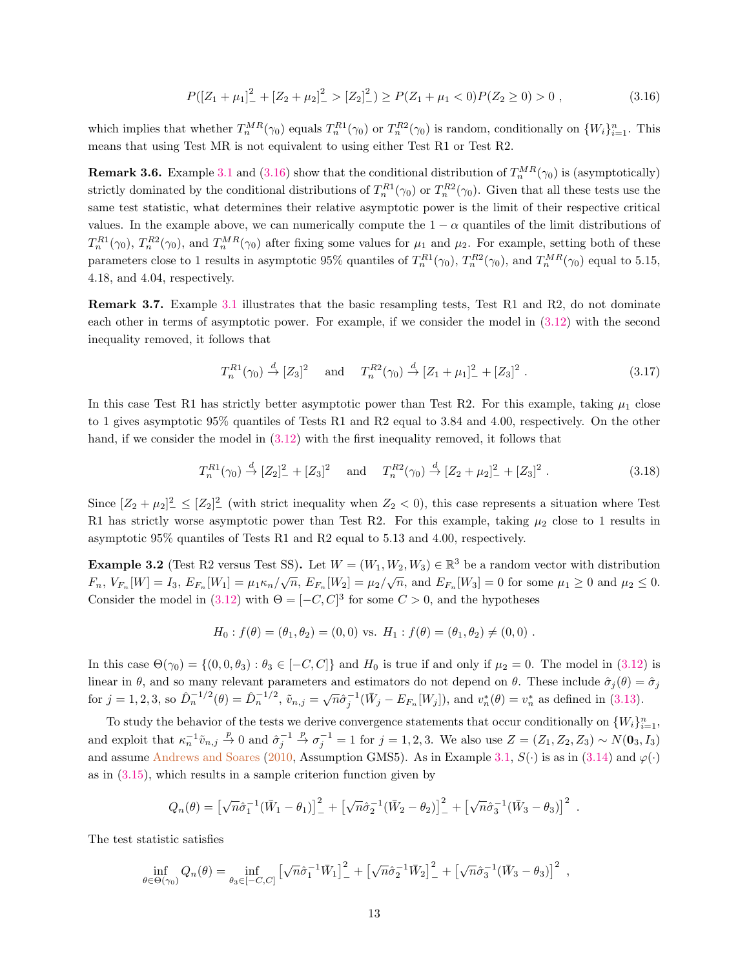<span id="page-13-1"></span>
$$
P([Z_1 + \mu_1]_-^2 + [Z_2 + \mu_2]_-^2 > [Z_2]_-^2) \ge P(Z_1 + \mu_1 < 0)P(Z_2 \ge 0) > 0 \tag{3.16}
$$

which implies that whether  $T_n^{MR}(\gamma_0)$  equals  $T_n^{R1}(\gamma_0)$  or  $T_n^{R2}(\gamma_0)$  is random, conditionally on  $\{W_i\}_{i=1}^n$ . This means that using Test MR is not equivalent to using either Test R1 or Test R2.

**Remark 3.6.** Example [3.1](#page-11-1) and [\(3.16\)](#page-13-1) show that the conditional distribution of  $T_n^{MR}(\gamma_0)$  is (asymptotically) strictly dominated by the conditional distributions of  $T_n^{R1}(\gamma_0)$  or  $T_n^{R2}(\gamma_0)$ . Given that all these tests use the same test statistic, what determines their relative asymptotic power is the limit of their respective critical values. In the example above, we can numerically compute the  $1 - \alpha$  quantiles of the limit distributions of  $T_n^{R1}(\gamma_0)$ ,  $T_n^{R2}(\gamma_0)$ , and  $T_n^{MR}(\gamma_0)$  after fixing some values for  $\mu_1$  and  $\mu_2$ . For example, setting both of these parameters close to 1 results in asymptotic 95% quantiles of  $T_n^{R1}(\gamma_0)$ ,  $T_n^{R2}(\gamma_0)$ , and  $T_n^{MR}(\gamma_0)$  equal to 5.15, 4.18, and 4.04, respectively.

Remark 3.7. Example [3.1](#page-11-1) illustrates that the basic resampling tests, Test R1 and R2, do not dominate each other in terms of asymptotic power. For example, if we consider the model in [\(3.12\)](#page-11-5) with the second inequality removed, it follows that

$$
T_n^{R1}(\gamma_0) \stackrel{d}{\to} [Z_3]^2 \quad \text{and} \quad T_n^{R2}(\gamma_0) \stackrel{d}{\to} [Z_1 + \mu_1]^2 + [Z_3]^2. \tag{3.17}
$$

In this case Test R1 has strictly better asymptotic power than Test R2. For this example, taking  $\mu_1$  close to 1 gives asymptotic 95% quantiles of Tests R1 and R2 equal to 3.84 and 4.00, respectively. On the other hand, if we consider the model in [\(3.12\)](#page-11-5) with the first inequality removed, it follows that

$$
T_n^{R1}(\gamma_0) \stackrel{d}{\to} [Z_2]_-^2 + [Z_3]^2 \quad \text{and} \quad T_n^{R2}(\gamma_0) \stackrel{d}{\to} [Z_2 + \mu_2]_-^2 + [Z_3]^2. \tag{3.18}
$$

Since  $[Z_2 + \mu_2]^2 \leq [Z_2]^2$  (with strict inequality when  $Z_2 < 0$ ), this case represents a situation where Test R1 has strictly worse asymptotic power than Test R2. For this example, taking  $\mu_2$  close to 1 results in asymptotic 95% quantiles of Tests R1 and R2 equal to 5.13 and 4.00, respectively.

<span id="page-13-0"></span>**Example 3.2** (Test R2 versus Test SS). Let  $W = (W_1, W_2, W_3) \in \mathbb{R}^3$  be a random vector with distribution  $F_n$ ,  $V_{F_n}[W] = I_3$ ,  $E_{F_n}[W_1] = \mu_1 \kappa_n / \sqrt{n}$ ,  $E_{F_n}[W_2] = \mu_2 / \sqrt{n}$ , and  $E_{F_n}[W_3] = 0$  for some  $\mu_1 \ge 0$  and  $\mu_2 \le 0$ . Consider the model in [\(3.12\)](#page-11-5) with  $\Theta = [-C, C]^3$  for some  $C > 0$ , and the hypotheses

$$
H_0: f(\theta) = (\theta_1, \theta_2) = (0, 0)
$$
 vs.  $H_1: f(\theta) = (\theta_1, \theta_2) \neq (0, 0)$ .

In this case  $\Theta(\gamma_0) = \{(0, 0, \theta_3) : \theta_3 \in [-C, C]\}\$ and  $H_0$  is true if and only if  $\mu_2 = 0$ . The model in [\(3.12\)](#page-11-5) is linear in  $\theta$ , and so many relevant parameters and estimators do not depend on  $\theta$ . These include  $\hat{\sigma}_j(\theta) = \hat{\sigma}_j$ for  $j = 1, 2, 3$ , so  $\hat{D}_n^{-1/2}(\theta) = \hat{D}_n^{-1/2}$ ,  $\tilde{v}_{n,j} = \sqrt{n} \hat{\sigma}_j^{-1}(\bar{W}_j - E_{F_n}[W_j])$ , and  $v_n^*(\theta) = v_n^*$  as defined in [\(3.13\)](#page-11-6).

To study the behavior of the tests we derive convergence statements that occur conditionally on  $\{W_i\}_{i=1}^n$ , and exploit that  $\kappa_n^{-1} \tilde{v}_{n,j} \stackrel{p}{\to} 0$  and  $\hat{\sigma}_j^{-1} \stackrel{p}{\to} \sigma_j^{-1} = 1$  for  $j = 1, 2, 3$ . We also use  $Z = (Z_1, Z_2, Z_3) \sim N(\mathbf{0}_3, I_3)$ and assume [Andrews and Soares](#page-39-2) [\(2010,](#page-39-2) Assumption GMS5). As in Example [3.1,](#page-11-1)  $S(\cdot)$  is as in [\(3.14\)](#page-11-0) and  $\varphi(\cdot)$ as in  $(3.15)$ , which results in a sample criterion function given by

$$
Q_n(\theta) = \left[\sqrt{n}\hat{\sigma}_1^{-1}(\bar{W}_1 - \theta_1)\right]_-^2 + \left[\sqrt{n}\hat{\sigma}_2^{-1}(\bar{W}_2 - \theta_2)\right]_-^2 + \left[\sqrt{n}\hat{\sigma}_3^{-1}(\bar{W}_3 - \theta_3)\right]^2.
$$

The test statistic satisfies

$$
\inf_{\theta \in \Theta(\gamma_0)} Q_n(\theta) = \inf_{\theta_3 \in [-C,C]} \left[ \sqrt{n} \hat{\sigma}_1^{-1} \bar{W}_1 \right]_-^2 + \left[ \sqrt{n} \hat{\sigma}_2^{-1} \bar{W}_2 \right]_-^2 + \left[ \sqrt{n} \hat{\sigma}_3^{-1} (\bar{W}_3 - \theta_3) \right]^2 ,
$$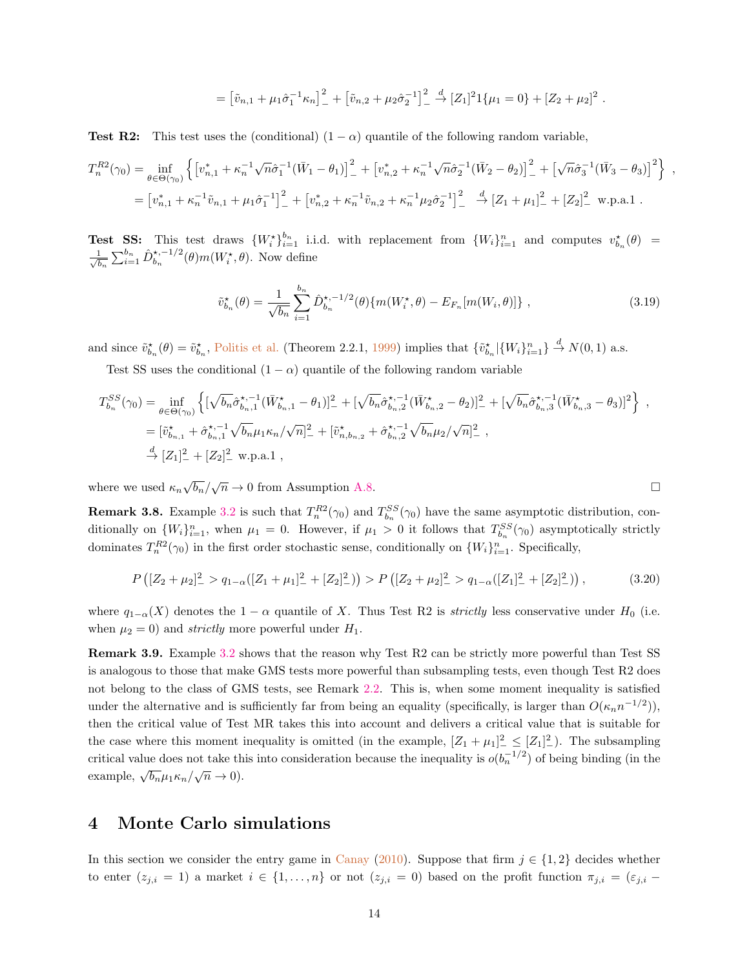$$
= \left[\tilde{v}_{n,1} + \mu_1 \hat{\sigma}_1^{-1} \kappa_n\right]_+^2 + \left[\tilde{v}_{n,2} + \mu_2 \hat{\sigma}_2^{-1}\right]_+^2 \stackrel{d}{\to} [Z_1]^2 1\{\mu_1 = 0\} + [Z_2 + \mu_2]^2.
$$

**Test R2:** This test uses the (conditional)  $(1 - \alpha)$  quantile of the following random variable,

$$
T_n^{R2}(\gamma_0) = \inf_{\theta \in \Theta(\gamma_0)} \left\{ \left[ v_{n,1}^* + \kappa_n^{-1} \sqrt{n} \hat{\sigma}_1^{-1} (\bar{W}_1 - \theta_1) \right]_+^2 + \left[ v_{n,2}^* + \kappa_n^{-1} \sqrt{n} \hat{\sigma}_2^{-1} (\bar{W}_2 - \theta_2) \right]_+^2 + \left[ \sqrt{n} \hat{\sigma}_3^{-1} (\bar{W}_3 - \theta_3) \right]^2 \right\} ,
$$
  
= 
$$
\left[ v_{n,1}^* + \kappa_n^{-1} \tilde{v}_{n,1} + \mu_1 \hat{\sigma}_1^{-1} \right]_+^2 + \left[ v_{n,2}^* + \kappa_n^{-1} \tilde{v}_{n,2} + \kappa_n^{-1} \mu_2 \hat{\sigma}_2^{-1} \right]_+^2 \stackrel{d}{\to} \left[ Z_1 + \mu_1 \right]_+^2 + \left[ Z_2 \right]_+^2 \text{ w.p.a.1 .}
$$

**Test SS:** This test draws  $\{W_i^*\}_{i=1}^{b_n}$  i.i.d. with replacement from  $\{W_i\}_{i=1}^n$  and computes  $v_{b_n}^*(\theta)$  =  $\frac{1}{5}$  $\frac{1}{\overline{b_n}}\sum_{i=1}^{b_n} \hat{D}_{b_n}^{\star,-1/2}$  $b_n^{\star,-1/2}(\theta)m(W_i^{\star},\theta)$ . Now define

$$
\tilde{v}_{b_n}^{\star}(\theta) = \frac{1}{\sqrt{b_n}} \sum_{i=1}^{b_n} \hat{D}_{b_n}^{\star, -1/2}(\theta) \{ m(W_i^{\star}, \theta) - E_{F_n}[m(W_i, \theta)] \}, \qquad (3.19)
$$

and since  $\tilde{v}_{b_n}^{\star}(\theta) = \tilde{v}_{b_n}^{\star}$ , [Politis et al.](#page-40-13) (Theorem 2.2.1, [1999\)](#page-40-13) implies that  $\{\tilde{v}_{b_n}^{\star}|\{W_i\}_{i=1}^n\} \stackrel{d}{\to} N(0, 1)$  a.s.

Test SS uses the conditional  $(1 - \alpha)$  quantile of the following random variable

$$
T_{b_n}^{SS}(\gamma_0) = \inf_{\theta \in \Theta(\gamma_0)} \left\{ [\sqrt{b_n} \hat{\sigma}_{b_n,1}^{\star,-1} (\bar{W}_{b_n,1}^{\star} - \theta_1)]_ -^2 + [\sqrt{b_n} \hat{\sigma}_{b_n,2}^{\star,-1} (\bar{W}_{b_n,2}^{\star} - \theta_2)]_ -^2 + [\sqrt{b_n} \hat{\sigma}_{b_n,3}^{\star,-1} (\bar{W}_{b_n,3}^{\star} - \theta_3)]^2 \right\},
$$
  
\n
$$
= [\tilde{v}_{b_{n,1}}^{\star} + \hat{\sigma}_{b_n,1}^{\star,-1} \sqrt{b_n} \mu_1 \kappa_n / \sqrt{n}]_ -^2 + [\tilde{v}_{n,b_{n,2}}^{\star} + \hat{\sigma}_{b_n,2}^{\star,-1} \sqrt{b_n} \mu_2 / \sqrt{n}]_-^2 ,
$$
  
\n
$$
\stackrel{d}{\to} [Z_1]_ -^2 + [Z_2]_ -^2 \text{ w.p.a.1} ,
$$

where we used  $\kappa_n \sqrt{b_n}/\sqrt{n} \to 0$  from Assumption [A.8.](#page-21-4)

**Remark 3.8.** Example [3.2](#page-13-0) is such that  $T_n^{R2}(\gamma_0)$  and  $T_{b_n}^{SS}(\gamma_0)$  have the same asymptotic distribution, conditionally on  $\{W_i\}_{i=1}^n$ , when  $\mu_1 = 0$ . However, if  $\mu_1 > 0$  it follows that  $T_{b_n}^{SS}(\gamma_0)$  asymptotically strictly dominates  $T_n^{R2}(\gamma_0)$  in the first order stochastic sense, conditionally on  $\{W_i\}_{i=1}^n$ . Specifically,

$$
P\left(\left[Z_2 + \mu_2\right]_-^2 > q_{1-\alpha}\left(\left[Z_1 + \mu_1\right]_-^2 + \left[Z_2\right]_-^2\right)\right) > P\left(\left[Z_2 + \mu_2\right]_-^2 > q_{1-\alpha}\left(\left[Z_1\right]_-^2 + \left[Z_2\right]_-^2\right)\right),\tag{3.20}
$$

where  $q_{1-\alpha}(X)$  denotes the  $1-\alpha$  quantile of X. Thus Test R2 is *strictly* less conservative under  $H_0$  (i.e. when  $\mu_2 = 0$ ) and *strictly* more powerful under  $H_1$ .

<span id="page-14-0"></span>Remark 3.9. Example [3.2](#page-13-0) shows that the reason why Test R2 can be strictly more powerful than Test SS is analogous to those that make GMS tests more powerful than subsampling tests, even though Test R2 does not belong to the class of GMS tests, see Remark [2.2.](#page-6-5) This is, when some moment inequality is satisfied under the alternative and is sufficiently far from being an equality (specifically, is larger than  $O(\kappa_n n^{-1/2})$ ), then the critical value of Test MR takes this into account and delivers a critical value that is suitable for the case where this moment inequality is omitted (in the example,  $[Z_1 + \mu_1]^2 \leq [Z_1]^2$ ). The subsampling critical value does not take this into consideration because the inequality is  $o(b_n^{-1/2})$  of being binding (in the example,  $\sqrt{b_n}\mu_1\kappa_n/\sqrt{n}\to 0$ ).

# <span id="page-14-1"></span>4 Monte Carlo simulations

In this section we consider the entry game in [Canay](#page-39-5) [\(2010\)](#page-39-5). Suppose that firm  $j \in \{1, 2\}$  decides whether to enter  $(z_{j,i} = 1)$  a market  $i \in \{1, \ldots, n\}$  or not  $(z_{j,i} = 0)$  based on the profit function  $\pi_{j,i} = (\varepsilon_{j,i} -$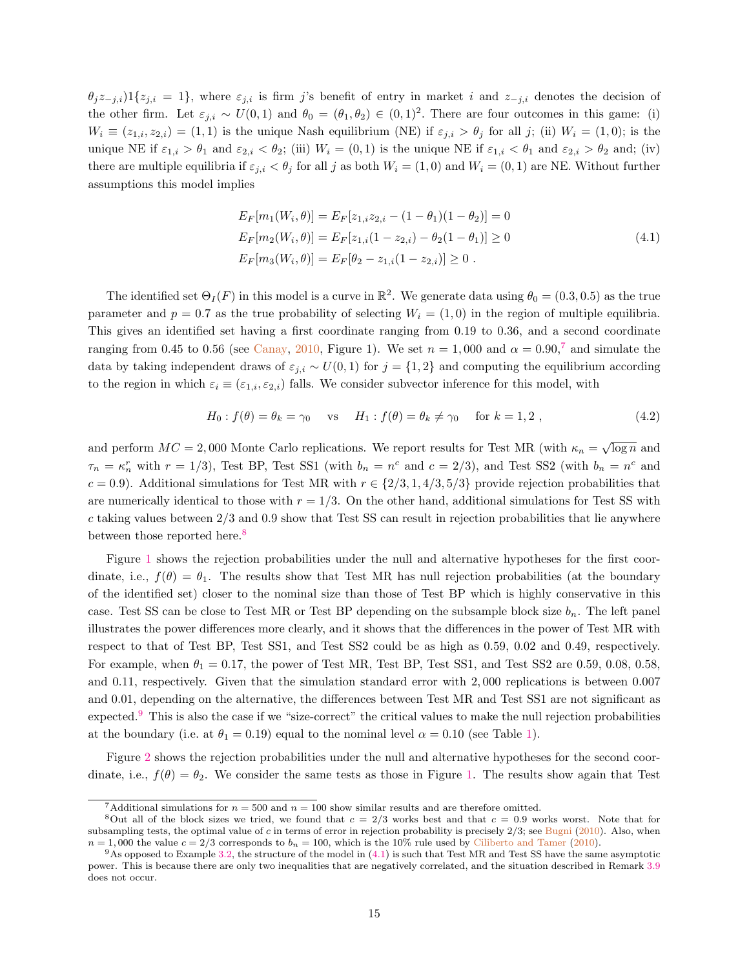$\theta_j z_{-j,i}$ )1{ $z_{j,i} = 1$ }, where  $\varepsilon_{j,i}$  is firm j's benefit of entry in market i and  $z_{-j,i}$  denotes the decision of the other firm. Let  $\varepsilon_{j,i} \sim U(0,1)$  and  $\theta_0 = (\theta_1, \theta_2) \in (0,1)^2$ . There are four outcomes in this game: (i)  $W_i \equiv (z_{1,i}, z_{2,i}) = (1,1)$  is the unique Nash equilibrium (NE) if  $\varepsilon_{j,i} > \theta_j$  for all j; (ii)  $W_i = (1,0)$ ; is the unique NE if  $\varepsilon_{1,i} > \theta_1$  and  $\varepsilon_{2,i} < \theta_2$ ; (iii)  $W_i = (0,1)$  is the unique NE if  $\varepsilon_{1,i} < \theta_1$  and  $\varepsilon_{2,i} > \theta_2$  and; (iv) there are multiple equilibria if  $\varepsilon_{j,i} < \theta_j$  for all j as both  $W_i = (1,0)$  and  $W_i = (0,1)$  are NE. Without further assumptions this model implies

<span id="page-15-3"></span>
$$
E_F[m_1(W_i, \theta)] = E_F[z_{1,i}z_{2,i} - (1 - \theta_1)(1 - \theta_2)] = 0
$$
  
\n
$$
E_F[m_2(W_i, \theta)] = E_F[z_{1,i}(1 - z_{2,i}) - \theta_2(1 - \theta_1)] \ge 0
$$
  
\n
$$
E_F[m_3(W_i, \theta)] = E_F[\theta_2 - z_{1,i}(1 - z_{2,i})] \ge 0.
$$
\n(4.1)

The identified set  $\Theta_I(F)$  in this model is a curve in  $\mathbb{R}^2$ . We generate data using  $\theta_0 = (0.3, 0.5)$  as the true parameter and  $p = 0.7$  as the true probability of selecting  $W_i = (1, 0)$  in the region of multiple equilibria. This gives an identified set having a first coordinate ranging from 0.19 to 0.36, and a second coordinate ranging from 0.45 to 0.56 (see [Canay,](#page-39-5) [2010,](#page-39-5) Figure 1). We set  $n = 1,000$  and  $\alpha = 0.90$ ,<sup>[7](#page-15-0)</sup> and simulate the data by taking independent draws of  $\varepsilon_{j,i} \sim U(0,1)$  for  $j = \{1,2\}$  and computing the equilibrium according to the region in which  $\varepsilon_i \equiv (\varepsilon_{1,i}, \varepsilon_{2,i})$  falls. We consider subvector inference for this model, with

$$
H_0: f(\theta) = \theta_k = \gamma_0 \quad \text{vs} \quad H_1: f(\theta) = \theta_k \neq \gamma_0 \quad \text{for } k = 1, 2,
$$
\n
$$
(4.2)
$$

and perform  $MC = 2,000$  Monte Carlo replications. We report results for Test MR (with  $\kappa_n = \sqrt{\log n}$  and  $\tau_n = \kappa_n^r$  with  $r = 1/3$ ), Test BP, Test SS1 (with  $b_n = n^c$  and  $c = 2/3$ ), and Test SS2 (with  $b_n = n^c$  and  $c = 0.9$ . Additional simulations for Test MR with  $r \in \{2/3, 1, 4/3, 5/3\}$  provide rejection probabilities that are numerically identical to those with  $r = 1/3$ . On the other hand, additional simulations for Test SS with  $c$  taking values between  $2/3$  and  $0.9$  show that Test SS can result in rejection probabilities that lie anywhere between those reported here.<sup>[8](#page-15-1)</sup>

Figure [1](#page-16-0) shows the rejection probabilities under the null and alternative hypotheses for the first coordinate, i.e.,  $f(\theta) = \theta_1$ . The results show that Test MR has null rejection probabilities (at the boundary of the identified set) closer to the nominal size than those of Test BP which is highly conservative in this case. Test SS can be close to Test MR or Test BP depending on the subsample block size  $b_n$ . The left panel illustrates the power differences more clearly, and it shows that the differences in the power of Test MR with respect to that of Test BP, Test SS1, and Test SS2 could be as high as 0.59, 0.02 and 0.49, respectively. For example, when  $\theta_1 = 0.17$ , the power of Test MR, Test BP, Test SS1, and Test SS2 are 0.59, 0.08, 0.58, and 0.11, respectively. Given that the simulation standard error with 2, 000 replications is between 0.007 and 0.01, depending on the alternative, the differences between Test MR and Test SS1 are not significant as expected. $9$  This is also the case if we "size-correct" the critical values to make the null rejection probabilities at the boundary (i.e. at  $\theta_1 = 0.19$ ) equal to the nominal level  $\alpha = 0.10$  (see Table [1\)](#page-16-1).

Figure [2](#page-17-0) shows the rejection probabilities under the null and alternative hypotheses for the second coordinate, i.e.,  $f(\theta) = \theta_2$ . We consider the same tests as those in Figure [1.](#page-16-0) The results show again that Test

<span id="page-15-1"></span><span id="page-15-0"></span><sup>&</sup>lt;sup>7</sup>Additional simulations for  $n = 500$  and  $n = 100$  show similar results and are therefore omitted.

<sup>&</sup>lt;sup>8</sup>Out all of the block sizes we tried, we found that  $c = 2/3$  works best and that  $c = 0.9$  works worst. Note that for subsampling tests, the optimal value of c in terms of error in rejection probability is precisely  $2/3$ ; see [Bugni](#page-39-4) [\(2010\)](#page-39-4). Also, when  $n = 1,000$  the value  $c = 2/3$  corresponds to  $b_n = 100$ , which is the 10% rule used by [Ciliberto and Tamer](#page-40-10) [\(2010\)](#page-40-10).

<span id="page-15-2"></span> $9$ As opposed to Example [3.2,](#page-13-0) the structure of the model in  $(4.1)$  is such that Test MR and Test SS have the same asymptotic power. This is because there are only two inequalities that are negatively correlated, and the situation described in Remark [3.9](#page-14-0) does not occur.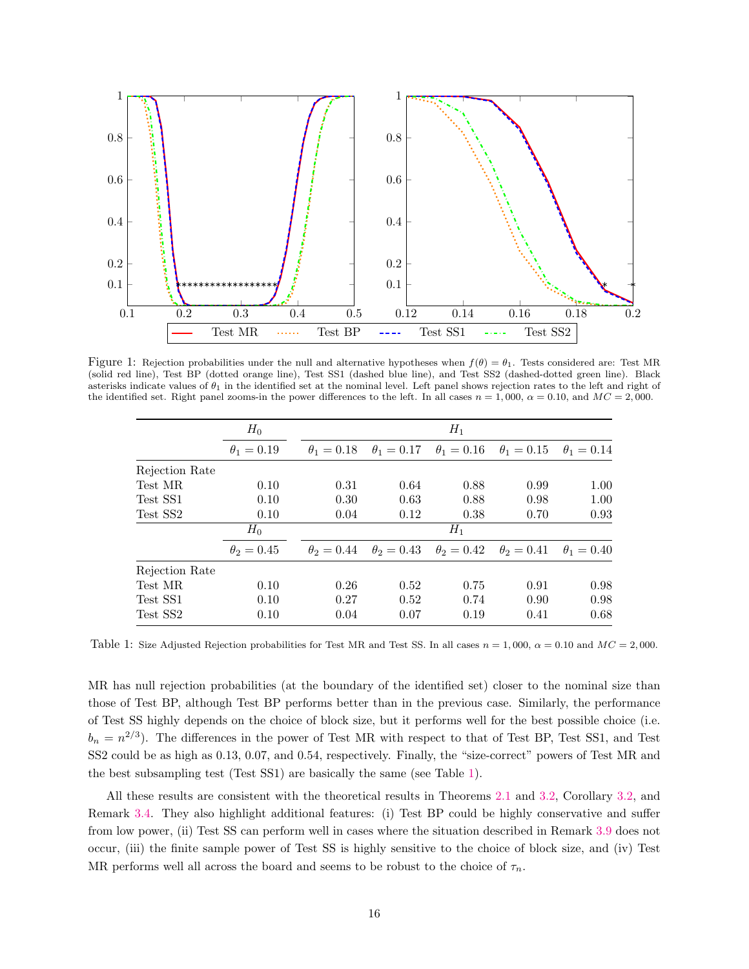<span id="page-16-0"></span>

Figure 1: Rejection probabilities under the null and alternative hypotheses when  $f(\theta) = \theta_1$ . Tests considered are: Test MR (solid red line), Test BP (dotted orange line), Test SS1 (dashed blue line), and Test SS2 (dashed-dotted green line). Black asterisks indicate values of  $\theta_1$  in the identified set at the nominal level. Left panel shows rejection rates to the left and right of the identified set. Right panel zooms-in the power differences to the left. In all cases  $n = 1,000$ ,  $\alpha = 0.10$ , and  $MC = 2,000$ .

<span id="page-16-1"></span>

|                | $H_0$           | $H_1$           |                                                                         |       |                 |                   |
|----------------|-----------------|-----------------|-------------------------------------------------------------------------|-------|-----------------|-------------------|
|                | $\theta_1=0.19$ | $\theta_1=0.18$ | $\theta_1 = 0.17$ $\theta_1 = 0.16$                                     |       | $\theta_1=0.15$ | $\theta_1=0.14$   |
| Rejection Rate |                 |                 |                                                                         |       |                 |                   |
| Test MR        | 0.10            | 0.31            | 0.64                                                                    | 0.88  | 0.99            | 1.00              |
| Test SS1       | 0.10            | 0.30            | 0.63                                                                    | 0.88  | 0.98            | 1.00              |
| Test SS2       | 0.10            | 0.04            | 0.12                                                                    | 0.38  | 0.70            | 0.93              |
|                | $H_0$           |                 |                                                                         | $H_1$ |                 |                   |
|                | $\theta_2=0.45$ |                 | $\theta_2 = 0.44$ $\theta_2 = 0.43$ $\theta_2 = 0.42$ $\theta_2 = 0.41$ |       |                 | $\theta_1 = 0.40$ |
| Rejection Rate |                 |                 |                                                                         |       |                 |                   |
| Test MR        | 0.10            | 0.26            | 0.52                                                                    | 0.75  | 0.91            | 0.98              |
| Test SS1       | 0.10            | 0.27            | 0.52                                                                    | 0.74  | 0.90            | 0.98              |
| Test SS2       | 0.10            | 0.04            | 0.07                                                                    | 0.19  | 0.41            | 0.68              |

Table 1: Size Adjusted Rejection probabilities for Test MR and Test SS. In all cases  $n = 1,000$ ,  $\alpha = 0.10$  and  $MC = 2,000$ .

MR has null rejection probabilities (at the boundary of the identified set) closer to the nominal size than those of Test BP, although Test BP performs better than in the previous case. Similarly, the performance of Test SS highly depends on the choice of block size, but it performs well for the best possible choice (i.e.  $b_n = n^{2/3}$ . The differences in the power of Test MR with respect to that of Test BP, Test SS1, and Test SS2 could be as high as 0.13, 0.07, and 0.54, respectively. Finally, the "size-correct" powers of Test MR and the best subsampling test (Test SS1) are basically the same (see Table [1\)](#page-16-1).

All these results are consistent with the theoretical results in Theorems [2.1](#page-7-3) and [3.2,](#page-10-0) Corollary [3.2,](#page-11-2) and Remark [3.4.](#page-10-4) They also highlight additional features: (i) Test BP could be highly conservative and suffer from low power, (ii) Test SS can perform well in cases where the situation described in Remark [3.9](#page-14-0) does not occur, (iii) the finite sample power of Test SS is highly sensitive to the choice of block size, and (iv) Test MR performs well all across the board and seems to be robust to the choice of  $\tau_n$ .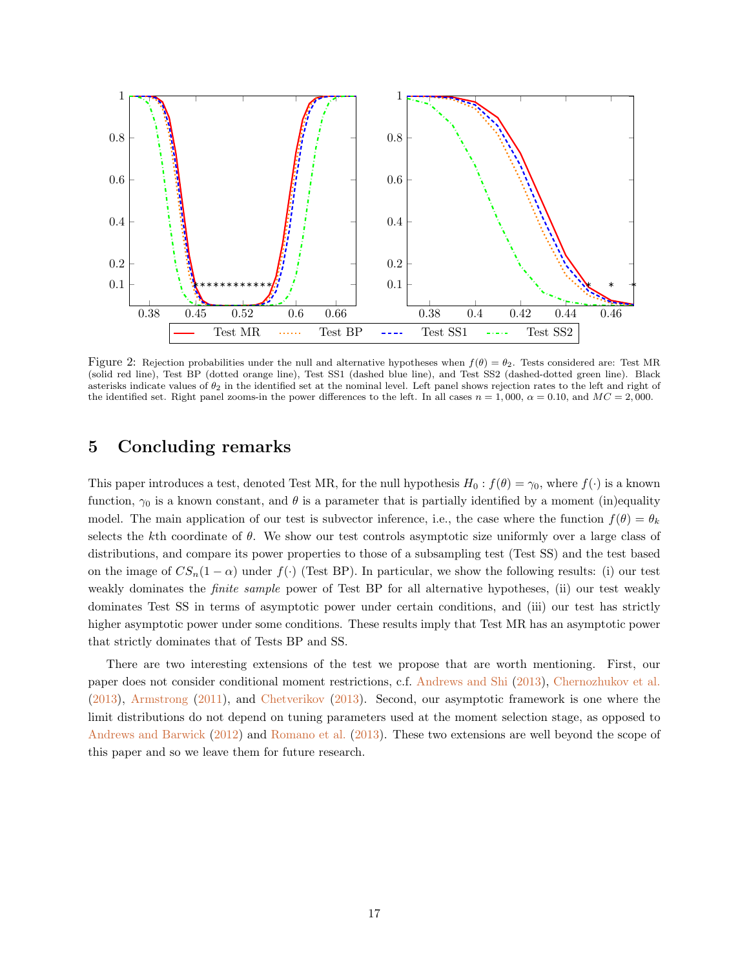<span id="page-17-0"></span>

Figure 2: Rejection probabilities under the null and alternative hypotheses when  $f(\theta) = \theta_2$ . Tests considered are: Test MR (solid red line), Test BP (dotted orange line), Test SS1 (dashed blue line), and Test SS2 (dashed-dotted green line). Black asterisks indicate values of  $\theta_2$  in the identified set at the nominal level. Left panel shows rejection rates to the left and right of the identified set. Right panel zooms-in the power differences to the left. In all cases  $n = 1,000$ ,  $\alpha = 0.10$ , and  $MC = 2,000$ .

# 5 Concluding remarks

This paper introduces a test, denoted Test MR, for the null hypothesis  $H_0 : f(\theta) = \gamma_0$ , where  $f(\cdot)$  is a known function,  $\gamma_0$  is a known constant, and  $\theta$  is a parameter that is partially identified by a moment (in)equality model. The main application of our test is subvector inference, i.e., the case where the function  $f(\theta) = \theta_k$ selects the kth coordinate of  $\theta$ . We show our test controls asymptotic size uniformly over a large class of distributions, and compare its power properties to those of a subsampling test (Test SS) and the test based on the image of  $CS_n(1-\alpha)$  under  $f(\cdot)$  (Test BP). In particular, we show the following results: (i) our test weakly dominates the *finite sample* power of Test BP for all alternative hypotheses, (ii) our test weakly dominates Test SS in terms of asymptotic power under certain conditions, and (iii) our test has strictly higher asymptotic power under some conditions. These results imply that Test MR has an asymptotic power that strictly dominates that of Tests BP and SS.

There are two interesting extensions of the test we propose that are worth mentioning. First, our paper does not consider conditional moment restrictions, c.f. [Andrews and Shi](#page-39-12) [\(2013\)](#page-39-12), [Chernozhukov et al.](#page-39-13) [\(2013\)](#page-39-13), [Armstrong](#page-39-14) [\(2011\)](#page-39-14), and [Chetverikov](#page-40-14) [\(2013\)](#page-40-14). Second, our asymptotic framework is one where the limit distributions do not depend on tuning parameters used at the moment selection stage, as opposed to [Andrews and Barwick](#page-39-15) [\(2012\)](#page-39-15) and [Romano et al.](#page-40-7) [\(2013\)](#page-40-7). These two extensions are well beyond the scope of this paper and so we leave them for future research.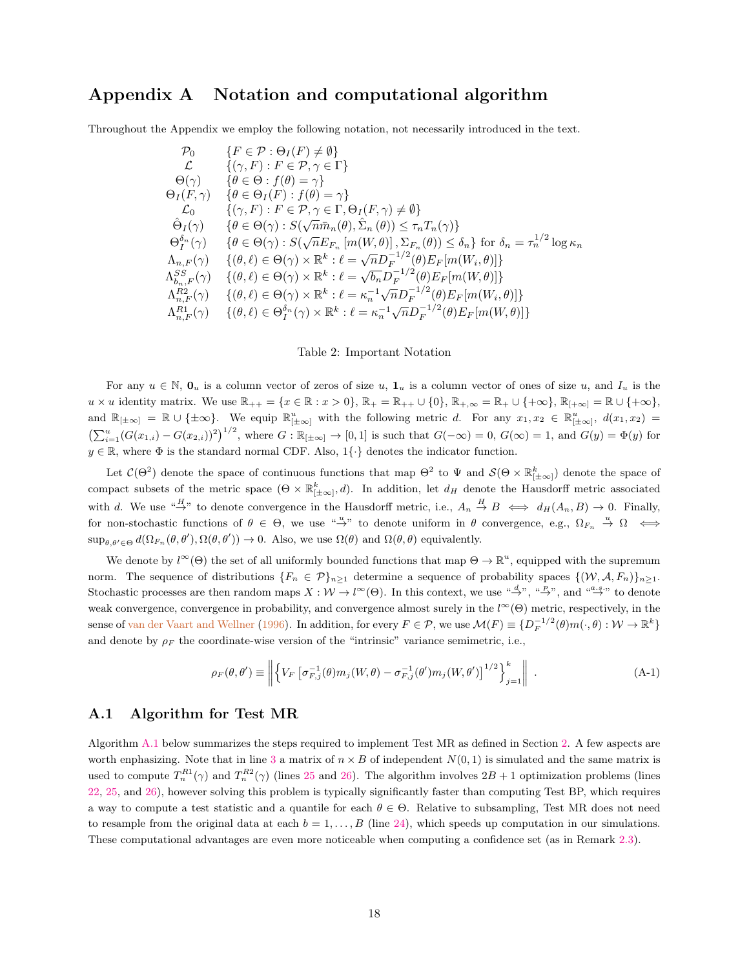# <span id="page-18-2"></span>Appendix A Notation and computational algorithm

<span id="page-18-1"></span>Throughout the Appendix we employ the following notation, not necessarily introduced in the text.

$$
P_0 \{F \in \mathcal{P} : \Theta_I(F) \neq \emptyset\}
$$
  
\n
$$
\mathcal{L} \{(\gamma, F) : F \in \mathcal{P}, \gamma \in \Gamma\}
$$
  
\n
$$
\Theta(\gamma) \{ \theta \in \Theta : f(\theta) = \gamma \}
$$
  
\n
$$
\Theta_I(F, \gamma) \{ \theta \in \Theta_I(F) : f(\theta) = \gamma \}
$$
  
\n
$$
\mathcal{L}_0 \{ (\gamma, F) : F \in \mathcal{P}, \gamma \in \Gamma, \Theta_I(F, \gamma) \neq \emptyset \}
$$
  
\n
$$
\hat{\Theta}_I(\gamma) \{ \theta \in \Theta(\gamma) : S(\sqrt{n} \bar{m}_n(\theta), \hat{\Sigma}_n(\theta)) \leq \tau_n T_n(\gamma) \}
$$
  
\n
$$
\Theta_I^{\delta_n}(\gamma) \{ \theta \in \Theta(\gamma) : S(\sqrt{n} E_{F_n} [m(W, \theta)], \Sigma_{F_n}(\theta)) \leq \delta_n \} \text{ for } \delta_n = \tau_n^{1/2} \log \kappa_n
$$
  
\n
$$
\Lambda_{n,F}(\gamma) \{ (\theta, \ell) \in \Theta(\gamma) \times \mathbb{R}^k : \ell = \sqrt{n} D_F^{-1/2}(\theta) E_F[m(W_i, \theta)] \}
$$
  
\n
$$
\Lambda_{n,F}^{RS}(\gamma) \{ (\theta, \ell) \in \Theta(\gamma) \times \mathbb{R}^k : \ell = \sqrt{b_n} D_F^{-1/2}(\theta) E_F[m(W, \theta)] \}
$$
  
\n
$$
\Lambda_{n,F}^{R2}(\gamma) \{ (\theta, \ell) \in \Theta(\gamma) \times \mathbb{R}^k : \ell = \kappa_n^{-1} \sqrt{n} D_F^{-1/2}(\theta) E_F[m(W_i, \theta)] \}
$$
  
\n
$$
\Lambda_{n,F}^{R1}(\gamma) \{ (\theta, \ell) \in \Theta_1^{\delta_n}(\gamma) \times \mathbb{R}^k : \ell = \kappa_n^{-1} \sqrt{n} D_F^{-1/2}(\theta) E_F[m(W, \theta)] \}
$$

#### Table 2: Important Notation

For any  $u \in \mathbb{N}$ ,  $\mathbf{0}_u$  is a column vector of zeros of size u,  $\mathbf{1}_u$  is a column vector of ones of size u, and  $I_u$  is the  $u \times u$  identity matrix. We use  $\mathbb{R}_{++} = \{x \in \mathbb{R} : x > 0\}$ ,  $\mathbb{R}_{+} = \mathbb{R}_{++} \cup \{0\}$ ,  $\mathbb{R}_{+,\infty} = \mathbb{R}_{+} \cup \{+\infty\}$ ,  $\mathbb{R}_{[+\infty]} = \mathbb{R} \cup \{+\infty\}$ , and  $\mathbb{R}_{[\pm\infty]} = \mathbb{R} \cup {\pm\infty}$ . We equip  $\mathbb{R}^u_{[\pm\infty]}$  with the following metric d. For any  $x_1, x_2 \in \mathbb{R}^u_{[\pm\infty]}$ ,  $d(x_1, x_2) =$  $\left(\sum_{i=1}^{u} (G(x_{1,i}) - G(x_{2,i}))^2\right)^{1/2}$ , where  $G : \mathbb{R}_{[\pm \infty]} \to [0,1]$  is such that  $G(-\infty) = 0$ ,  $G(\infty) = 1$ , and  $G(y) = \Phi(y)$  for  $y \in \mathbb{R}$ , where  $\Phi$  is the standard normal CDF. Also, 1{ $\cdot$ } denotes the indicator function.

Let  $\mathcal{C}(\Theta^2)$  denote the space of continuous functions that map  $\Theta^2$  to  $\Psi$  and  $\mathcal{S}(\Theta \times \mathbb{R}^k_{\vert \pm \infty \vert})$  denote the space of compact subsets of the metric space  $(\Theta \times \mathbb{R}_{[\pm \infty]}^k, d)$ . In addition, let  $d_H$  denote the Hausdorff metric associated with d. We use  $\stackrel{H}{\rightarrow}$ " to denote convergence in the Hausdorff metric, i.e.,  $A_n \stackrel{H}{\rightarrow} B \iff d_H(A_n, B) \to 0$ . Finally, for non-stochastic functions of  $\theta \in \Theta$ , we use  $\theta \to \theta$  denote uniform in  $\theta$  convergence, e.g.,  $\Omega_{F_n} \stackrel{u}{\to} \Omega \iff$  $\sup_{\theta,\theta'\in\Theta} d(\Omega_{F_n}(\theta,\theta'),\Omega(\theta,\theta')) \to 0.$  Also, we use  $\Omega(\theta)$  and  $\Omega(\theta,\theta)$  equivalently.

We denote by  $l^{\infty}(\Theta)$  the set of all uniformly bounded functions that map  $\Theta \to \mathbb{R}^u$ , equipped with the supremum norm. The sequence of distributions  $\{F_n \in \mathcal{P}\}_{n\geq 1}$  determine a sequence of probability spaces  $\{(W, \mathcal{A}, F_n)\}_{n\geq 1}$ . Stochastic processes are then random maps  $X: W \to l^{\infty}(\Theta)$ . In this context, we use  $\stackrel{\alpha d}{\to}$ ,  $\stackrel{\alpha p}{\to}$ , and  $\stackrel{\alpha a.s.}{\to}$  to denote weak convergence, convergence in probability, and convergence almost surely in the  $l^{\infty}(\Theta)$  metric, respectively, in the sense of [van der Vaart and Wellner](#page-40-15) [\(1996\)](#page-40-15). In addition, for every  $F \in \mathcal{P}$ , we use  $\mathcal{M}(F) \equiv \{D_F^{-1/2}(\theta)m(\cdot,\theta): \mathcal{W} \to \mathbb{R}^k\}$ and denote by  $\rho_F$  the coordinate-wise version of the "intrinsic" variance semimetric, i.e.,

<span id="page-18-3"></span>
$$
\rho_F(\theta, \theta') \equiv \left\| \left\{ V_F \left[ \sigma_{F,j}^{-1}(\theta) m_j(W, \theta) - \sigma_{F,j}^{-1}(\theta') m_j(W, \theta') \right]^{1/2} \right\}_{j=1}^k \right\| \tag{A-1}
$$

### <span id="page-18-0"></span>A.1 Algorithm for Test MR

Algorithm [A.1](#page-19-2) below summarizes the steps required to implement Test MR as defined in Section [2.](#page-2-0) A few aspects are worth enphasizing. Note that in line [3](#page-19-2) a matrix of  $n \times B$  of independent  $N(0, 1)$  is simulated and the same matrix is used to compute  $T_n^{R1}(\gamma)$  and  $T_n^{R2}(\gamma)$  (lines [25](#page-19-2) and [26\)](#page-19-2). The algorithm involves  $2B + 1$  optimization problems (lines [22,](#page-19-2) [25,](#page-19-2) and [26\)](#page-19-2), however solving this problem is typically significantly faster than computing Test BP, which requires a way to compute a test statistic and a quantile for each  $\theta \in \Theta$ . Relative to subsampling, Test MR does not need to resample from the original data at each  $b = 1, \ldots, B$  (line [24\)](#page-19-2), which speeds up computation in our simulations. These computational advantages are even more noticeable when computing a confidence set (as in Remark [2.3\)](#page-7-1).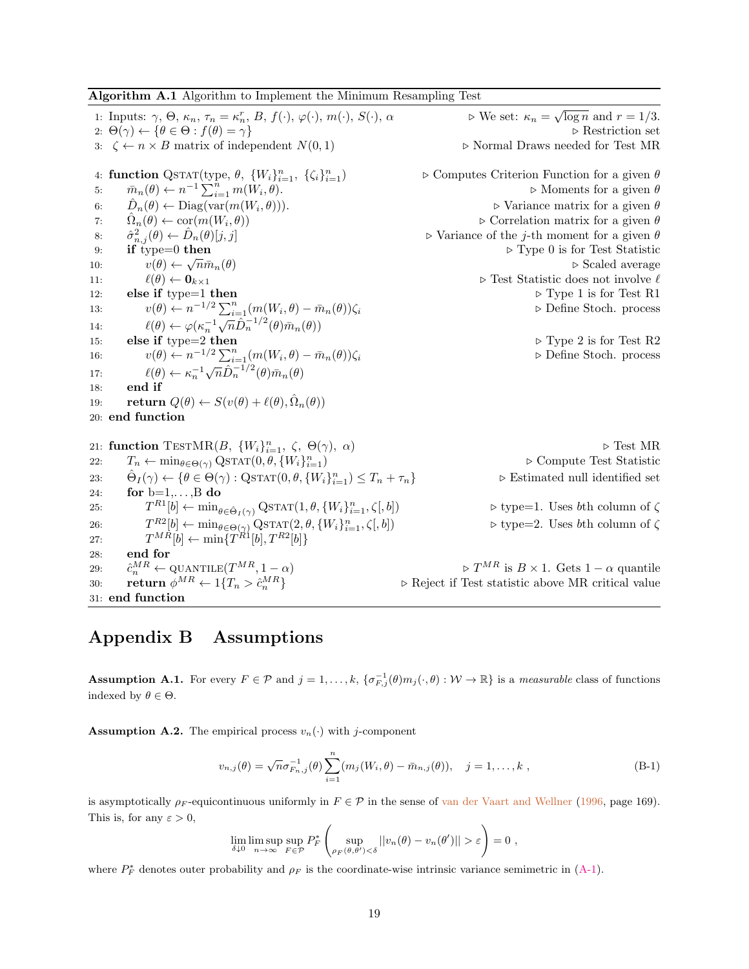<span id="page-19-2"></span>Algorithm A.1 Algorithm to Implement the Minimum Resampling Test

1: Inputs:  $\gamma$ ,  $\Theta$ ,  $\kappa_n$ ,  $\tau_n = \kappa_n^r$ ,  $B$ ,  $f(\cdot)$ ,  $\varphi(\cdot)$ ,  $m(\cdot)$ ,  $S(\cdot)$ ,  $\alpha$   $\qquad \qquad \triangleright \text{We set: } \kappa_n =$  $\sqrt{\log n}$  and  $r = 1/3$ . 2:  $\Theta(\gamma) \leftarrow {\theta \in \Theta : f(\theta) = \gamma}$  . Restriction set 3:  $\zeta \leftarrow n \times B$  matrix of independent  $N(0, 1)$   $\triangleright$  Normal Draws needed for Test MR 4: function QSTAT(type,  $\theta$ ,  $\{W_i\}_{i=1}^n$ ,  $\{\zeta_i\}_{i=1}^n$  $\triangleright$  Computes Criterion Function for a given  $\theta$ 5:  $\bar{m}_n(\theta) \leftarrow n^{-1} \sum_{i=1}^{n} m(W_i)$  $\triangleright$  Moments for a given  $\theta$ 6:  $\hat{D}_n(\theta) \leftarrow \text{Diag}(\text{var}(m(W_i)))$  $\triangleright$  Variance matrix for a given  $\theta$ 7:  $\hat{\Omega}_n(\theta) \leftarrow \text{cor}(m(W_i))$  $\triangleright$  Correlation matrix for a given  $\theta$ 8:  $\hat{\sigma}_{n,j}^2(\theta) \leftarrow \hat{D}$  $\triangleright$  Variance of the j-th moment for a given  $\theta$ 9: if type=0 then  $\triangleright$  Type 0 is for Test Statistic 10:  $v(\theta) \leftarrow \sqrt{n} \bar{m}_n(\theta)$ if type=0 then  $\triangleright$  Scaled average 11:  $\ell(\theta) \leftarrow \mathbf{0}_{k \times 1}$   $\triangleright$  Test Statistic does not involve  $\ell$ 12: else if type=1 then  $\triangleright$  Type 1 is for Test R1 13:  $v(\theta) \leftarrow n^{-1/2} \sum_{i=1}^{n} (m(W_i))$  $▶$  Define Stoch. process 14:  $\ell(\theta) \leftarrow \varphi(\kappa_n^{-1})$  $\frac{\sum_{i=1}^{n} (m(n_i, \theta))}{\sqrt{n}\hat{D}_n^{-1/2}(\theta)\bar{m}_n(\theta)}$ 15: else if type=2 then  $\triangleright$  Type 2 is for Test R2 16:  $v(\theta) \leftarrow n^{-1/2} \sum_{i=1}^{n} (m(W_i))$ ⊳ Define Stoch. process 17:  $\ell(\theta) \leftarrow \kappa_n^{-1}$  $\sqrt{n}\hat{D}_n^{-1/2}(\theta)\bar{m}_n(\theta)$ 18: end if 19: **return**  $Q(\theta) \leftarrow S(v(\theta) + \ell(\theta), \hat{\Omega}_n(\theta))$ 20: end function 21: function TESTMR(B,  $\{W_i\}_{i=1}^n$ ,  $\zeta$ ,  $\Theta(\gamma)$ ,  $\alpha$ )  $\qquad \qquad \triangleright$  Test MR 22:  $T_n \leftarrow \min_{\theta \in \Theta(\gamma)} \text{QSTAT}(0, \theta, \{W_i\}_{i=1}^n)$  $\triangleright$  Compute Test Statistic 23:  $\hat{\Theta}_I(\gamma) \leftarrow {\theta \in \Theta(\gamma) : \text{QSTAT}(0, \theta, \{W_i\}_{i=1}^n)}$  $\triangleright$  Estimated null identified set 24: for  $b=1,\ldots,B$  do 25:  $T^{R1}[b] \leftarrow \min_{\theta \in \hat{\Theta}_I(\gamma)} \text{QSTAT}(1, \theta, \{W_i\}_{i=1}^n)$  $\triangleright$  type=1. Uses  $b\text{th}$  column of  $\zeta$ 26:  $T^{R2}[b] \leftarrow \min_{\theta \in \Theta(\gamma)} \text{QSTAT}(2, \theta, \{W_i\}_{i=1}^n)$  $\triangleright$  type=2. Uses bth column of  $\zeta$ 27:  $T^{MR}[b] \leftarrow \min\{T^{R1}[b], T^{R2}[b]\}$ 28: end for 29:  $\hat{c}_n^{MR}$  $\triangleright T^{MR}$  is  $B \times 1$ . Gets  $1 - \alpha$  quantile 30: return  $\phi^{MR} \leftarrow 1\{T_n > \hat{c}_n^{MR}\}$  $\triangleright$  Reject if Test statistic above MR critical value 31: end function

# <span id="page-19-1"></span>Appendix B Assumptions

<span id="page-19-0"></span>**Assumption A.1.** For every  $F \in \mathcal{P}$  and  $j = 1, ..., k$ ,  $\{\sigma_{F,j}^{-1}(\theta)m_j(\cdot, \theta): \mathcal{W} \to \mathbb{R}\}\)$  is a *measurable* class of functions indexed by  $\theta \in \Theta$ .

<span id="page-19-3"></span>**Assumption A.2.** The empirical process  $v_n(\cdot)$  with j-component

$$
v_{n,j}(\theta) = \sqrt{n}\sigma_{F_{n,j}}^{-1}(\theta) \sum_{i=1}^{n} (m_j(W_i, \theta) - \bar{m}_{n,j}(\theta)), \quad j = 1, ..., k,
$$
 (B-1)

is asymptotically  $\rho_F$ -equicontinuous uniformly in  $F \in \mathcal{P}$  in the sense of [van der Vaart and Wellner](#page-40-15) [\(1996,](#page-40-15) page 169). This is, for any  $\varepsilon > 0$ ,

$$
\lim_{\delta \downarrow 0} \limsup_{n \to \infty} \sup_{F \in \mathcal{P}} P_F^* \left( \sup_{\rho_F(\theta, \theta') < \delta} ||v_n(\theta) - v_n(\theta')|| > \varepsilon \right) = 0,
$$

where  $P_F^*$  denotes outer probability and  $\rho_F$  is the coordinate-wise intrinsic variance semimetric in [\(A-1\)](#page-18-3).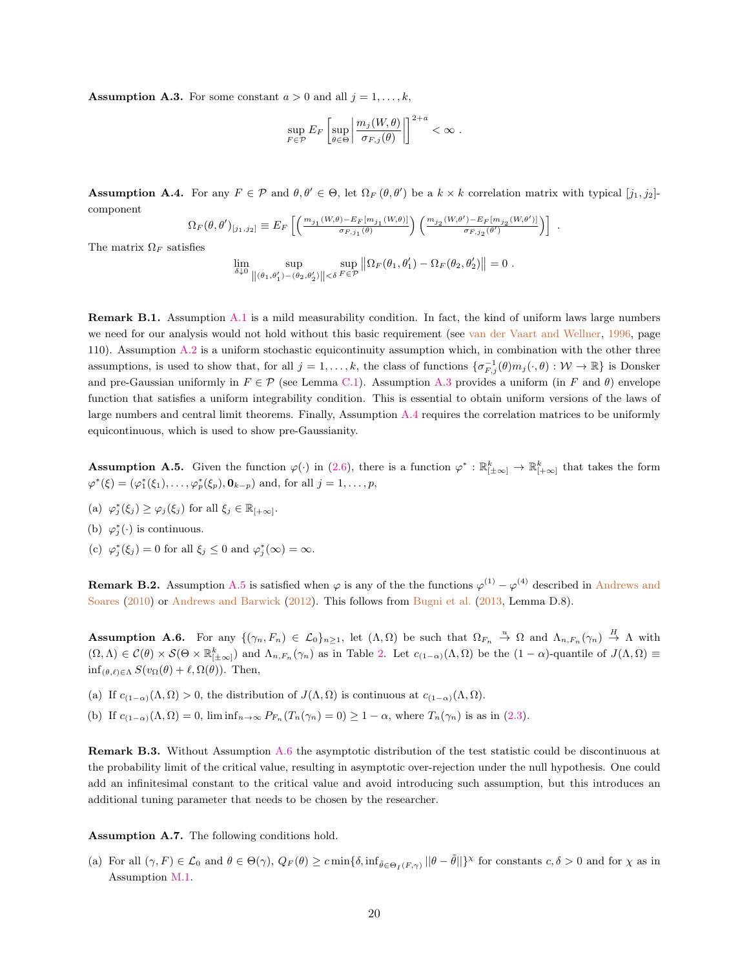<span id="page-20-6"></span>**Assumption A.3.** For some constant  $a > 0$  and all  $j = 1, ..., k$ ,

$$
\sup_{F \in \mathcal{P}} E_F \left[ \sup_{\theta \in \Theta} \left| \frac{m_j(W, \theta)}{\sigma_{F,j}(\theta)} \right| \right]^{2+a} < \infty.
$$

<span id="page-20-7"></span>**Assumption A.4.** For any  $F \in \mathcal{P}$  and  $\theta, \theta' \in \Theta$ , let  $\Omega_F(\theta, \theta')$  be a  $k \times k$  correlation matrix with typical  $[j_1, j_2]$ component

$$
\Omega_F(\theta,\theta')_{[j_1,j_2]} \equiv E_F \left[ \left( \frac{m_{j_1}(W,\theta) - E_F[m_{j_1}(W,\theta)]}{\sigma_{F,j_1}(\theta)} \right) \left( \frac{m_{j_2}(W,\theta') - E_F[m_{j_2}(W,\theta')]}{\sigma_{F,j_2}(\theta')} \right) \right] .
$$

The matrix  $\Omega_F$  satisfies

$$
\lim_{\delta \downarrow 0} \sup_{\|(\theta_1, \theta_1') - (\theta_2, \theta_2')\| < \delta} \sup_{F \in \mathcal{P}} \left\| \Omega_F(\theta_1, \theta_1') - \Omega_F(\theta_2, \theta_2') \right\| = 0.
$$

<span id="page-20-1"></span>Remark B.1. Assumption [A.1](#page-19-0) is a mild measurability condition. In fact, the kind of uniform laws large numbers we need for our analysis would not hold without this basic requirement (see [van der Vaart and Wellner,](#page-40-15) [1996,](#page-40-15) page 110). Assumption [A.2](#page-19-3) is a uniform stochastic equicontinuity assumption which, in combination with the other three assumptions, is used to show that, for all  $j = 1, ..., k$ , the class of functions  $\{\sigma_{F,j}^{-1}(\theta)m_j(\cdot,\theta): \mathcal{W} \to \mathbb{R}\}\)$  is Donsker and pre-Gaussian uniformly in  $F \in \mathcal{P}$  (see Lemma [C.1\)](#page-23-2). Assumption [A.3](#page-20-6) provides a uniform (in F and  $\theta$ ) envelope function that satisfies a uniform integrability condition. This is essential to obtain uniform versions of the laws of large numbers and central limit theorems. Finally, Assumption [A.4](#page-20-7) requires the correlation matrices to be uniformly equicontinuous, which is used to show pre-Gaussianity.

<span id="page-20-2"></span>**Assumption A.5.** Given the function  $\varphi(\cdot)$  in [\(2.6\)](#page-5-3), there is a function  $\varphi^* : \mathbb{R}^k_{[\pm \infty]} \to \mathbb{R}^k_{[\pm \infty]}$  that takes the form  $\varphi^*(\xi) = (\varphi_1^*(\xi_1), \dots, \varphi_p^*(\xi_p), \mathbf{0}_{k-p})$  and, for all  $j = 1, \dots, p$ ,

- (a)  $\varphi_j^*(\xi_j) \geq \varphi_j(\xi_j)$  for all  $\xi_j \in \mathbb{R}_{[+\infty]}$ .
- (b)  $\varphi_j^*(\cdot)$  is continuous.
- (c)  $\varphi_j^*(\xi_j) = 0$  for all  $\xi_j \leq 0$  and  $\varphi_j^*(\infty) = \infty$ .

<span id="page-20-4"></span>**Remark B.2.** Assumption [A.5](#page-20-2) is satisfied when  $\varphi$  is any of the the functions  $\varphi^{(1)} - \varphi^{(4)}$  described in [Andrews and](#page-39-2) [Soares](#page-39-2) [\(2010\)](#page-39-2) or [Andrews and Barwick](#page-39-15) [\(2012\)](#page-39-15). This follows from [Bugni et al.](#page-39-10) [\(2013,](#page-39-10) Lemma D.8).

<span id="page-20-3"></span>**Assumption A.6.** For any  $\{(\gamma_n, F_n) \in \mathcal{L}_0\}_{n \geq 1}$ , let  $(\Lambda, \Omega)$  be such that  $\Omega_{F_n} \stackrel{u}{\to} \Omega$  and  $\Lambda_{n,F_n}(\gamma_n) \stackrel{H}{\to} \Lambda$  with  $(\Omega, \Lambda) \in \mathcal{C}(\theta) \times \mathcal{S}(\Theta \times \mathbb{R}_{[\pm \infty]}^k)$  and  $\Lambda_{n,F_n}(\gamma_n)$  as in Table [2.](#page-18-1) Let  $c_{(1-\alpha)}(\Lambda, \Omega)$  be the  $(1-\alpha)$ -quantile of  $J(\Lambda, \Omega) \equiv$  $\inf_{(\theta,\ell)\in\Lambda} S(v_{\Omega}(\theta) + \ell, \Omega(\theta)).$  Then,

(a) If  $c_{(1-\alpha)}(\Lambda, \Omega) > 0$ , the distribution of  $J(\Lambda, \Omega)$  is continuous at  $c_{(1-\alpha)}(\Lambda, \Omega)$ .

(b) If  $c_{(1-\alpha)}(\Lambda,\Omega) = 0$ ,  $\liminf_{n\to\infty} P_{F_n}(T_n(\gamma_n) = 0) \ge 1-\alpha$ , where  $T_n(\gamma_n)$  is as in [\(2.3\)](#page-4-0).

<span id="page-20-5"></span>Remark B.3. Without Assumption [A.6](#page-20-3) the asymptotic distribution of the test statistic could be discontinuous at the probability limit of the critical value, resulting in asymptotic over-rejection under the null hypothesis. One could add an infinitesimal constant to the critical value and avoid introducing such assumption, but this introduces an additional tuning parameter that needs to be chosen by the researcher.

<span id="page-20-0"></span>Assumption A.7. The following conditions hold.

(a) For all  $(\gamma, F) \in \mathcal{L}_0$  and  $\theta \in \Theta(\gamma)$ ,  $Q_F(\theta) \geq c \min{\{\delta, \inf_{\tilde{\theta} \in \Theta_I(F, \gamma) \mid \theta - \tilde{\theta} \mid \}}\}^{\chi}$  for constants  $c, \delta > 0$  and for  $\chi$  as in Assumption [M.1.](#page-22-0)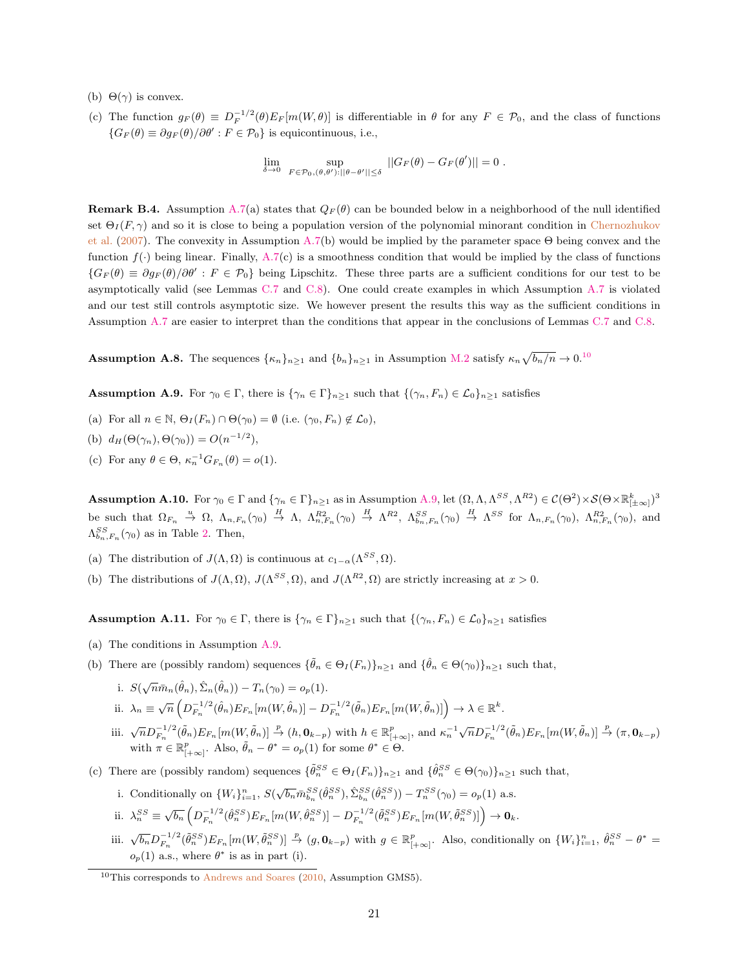- (b)  $\Theta(\gamma)$  is convex.
- (c) The function  $g_F(\theta) \equiv D_F^{-1/2}(\theta) E_F[m(W, \theta)]$  is differentiable in  $\theta$  for any  $F \in \mathcal{P}_0$ , and the class of functions  ${G_F(\theta) \equiv \partial g_F(\theta) / \partial \theta' : F \in \mathcal{P}_0}$  is equicontinuous, i.e.,

$$
\lim_{\delta\to 0}\ \sup_{F\in\mathcal{P}_0,(\theta,\theta'):||\theta-\theta'||\leq\delta}\ ||G_F(\theta)-G_F(\theta')||=0\ .
$$

<span id="page-21-0"></span>**Remark B.4.** Assumption [A.7\(](#page-20-0)a) states that  $Q_F(\theta)$  can be bounded below in a neighborhood of the null identified set  $\Theta_I(F,\gamma)$  and so it is close to being a population version of the polynomial minorant condition in [Chernozhukov](#page-39-0) [et al.](#page-39-0) [\(2007\)](#page-39-0). The convexity in Assumption [A.7\(](#page-20-0)b) would be implied by the parameter space Θ being convex and the function  $f(.)$  being linear. Finally, [A.7\(](#page-20-0)c) is a smoothness condition that would be implied by the class of functions  ${G_F(\theta) \equiv \partial g_F(\theta)/\partial \theta' : F \in \mathcal{P}_0}$  being Lipschitz. These three parts are a sufficient conditions for our test to be asymptotically valid (see Lemmas [C.7](#page-24-1) and [C.8\)](#page-24-2). One could create examples in which Assumption [A.7](#page-20-0) is violated and our test still controls asymptotic size. We however present the results this way as the sufficient conditions in Assumption [A.7](#page-20-0) are easier to interpret than the conditions that appear in the conclusions of Lemmas [C.7](#page-24-1) and [C.8.](#page-24-2)

<span id="page-21-4"></span>**Assumption A.8.** The sequences  $\{\kappa_n\}_{n\geq 1}$  and  $\{b_n\}_{n\geq 1}$  in Assumption [M.2](#page-22-2) satisfy  $\kappa_n \sqrt{b_n/n} \to 0.10$  $\kappa_n \sqrt{b_n/n} \to 0.10$ 

<span id="page-21-1"></span>**Assumption A.9.** For  $\gamma_0 \in \Gamma$ , there is  $\{\gamma_n \in \Gamma\}_{n\geq 1}$  such that  $\{(\gamma_n, F_n) \in \mathcal{L}_0\}_{n\geq 1}$  satisfies

- (a) For all  $n \in \mathbb{N}$ ,  $\Theta_I(F_n) \cap \Theta(\gamma_0) = \emptyset$  (i.e.  $(\gamma_0, F_n) \notin \mathcal{L}_0$ ),
- (b)  $d_H(\Theta(\gamma_n), \Theta(\gamma_0)) = O(n^{-1/2}),$
- (c) For any  $\theta \in \Theta$ ,  $\kappa_n^{-1} G_{F_n}(\theta) = o(1)$ .

<span id="page-21-2"></span>**Assumption A.10.** For  $\gamma_0 \in \Gamma$  and  $\{\gamma_n \in \Gamma\}_{n\geq 1}$  as in Assumption [A.9,](#page-21-1) let  $(\Omega, \Lambda, \Lambda^{SS}, \Lambda^{R2}) \in \mathcal{C}(\Theta^2) \times \mathcal{S}(\Theta \times \mathbb{R}^k_{|\pm \infty|})^3$ be such that  $\Omega_{F_n} \stackrel{u}{\to} \Omega$ ,  $\Lambda_{n,F_n}(\gamma_0) \stackrel{H}{\to} \Lambda$ ,  $\Lambda_{n,F_n}^{R2}(\gamma_0) \stackrel{H}{\to} \Lambda^{R2}$ ,  $\Lambda_{b_n,F_n}^{SS}(\gamma_0) \stackrel{H}{\to} \Lambda^{SS}$  for  $\Lambda_{n,F_n}(\gamma_0)$ ,  $\Lambda_{n,F_n}^{R2}(\gamma_0)$ , and  $\Lambda_{b_n,F_n}^{SS}(\gamma_0)$  as in Table [2.](#page-18-1) Then,

- (a) The distribution of  $J(\Lambda, \Omega)$  is continuous at  $c_{1-\alpha}(\Lambda^{SS}, \Omega)$ .
- (b) The distributions of  $J(\Lambda, \Omega)$ ,  $J(\Lambda^{SS}, \Omega)$ , and  $J(\Lambda^{R2}, \Omega)$  are strictly increasing at  $x > 0$ .

<span id="page-21-3"></span>**Assumption A.11.** For  $\gamma_0 \in \Gamma$ , there is  $\{\gamma_n \in \Gamma\}_{n\geq 1}$  such that  $\{(\gamma_n, F_n) \in \mathcal{L}_0\}_{n\geq 1}$  satisfies

- (a) The conditions in Assumption [A.9.](#page-21-1)
- (b) There are (possibly random) sequences  $\{\tilde{\theta}_n \in \Theta_I(F_n)\}_{n\geq 1}$  and  $\{\hat{\theta}_n \in \Theta(\gamma_0)\}_{n\geq 1}$  such that,

i. 
$$
S(\sqrt{n}\bar{m}_n(\hat{\theta}_n), \hat{\Sigma}_n(\hat{\theta}_n)) - T_n(\gamma_0) = o_p(1).
$$

- ii.  $\lambda_n \equiv \sqrt{n} \left( D_{F_n}^{-1/2}(\hat{\theta}_n) E_{F_n}[m(W,\hat{\theta}_n)] D_{F_n}^{-1/2}(\tilde{\theta}_n) E_{F_n}[m(W,\tilde{\theta}_n)] \right) \to \lambda \in \mathbb{R}^k$ .
- iii.  $\sqrt{n} D_{F_n}^{-1/2}(\tilde{\theta}_n) E_{F_n}[m(W, \tilde{\theta}_n)] \stackrel{p}{\rightarrow} (h, \mathbf{0}_{k-p})$  with  $h \in \mathbb{R}_{[+\infty]}^p$ , and  $\kappa_n^{-1} \sqrt{n} D_{F_n}^{-1/2}(\tilde{\theta}_n) E_{F_n}[m(W, \tilde{\theta}_n)] \stackrel{p}{\rightarrow} (\pi, \mathbf{0}_{k-p})$ with  $\pi \in \mathbb{R}_{[+\infty]}^p$ . Also,  $\tilde{\theta}_n - \theta^* = o_p(1)$  for some  $\theta^* \in \Theta$ .
- (c) There are (possibly random) sequences  $\{\tilde{\theta}_n^{SS} \in \Theta_I(F_n)\}_{n\geq 1}$  and  $\{\hat{\theta}_n^{SS} \in \Theta(\gamma_0)\}_{n\geq 1}$  such that,
	- i. Conditionally on  $\{W_i\}_{i=1}^n$ ,  $S(\sqrt{b_n} \tilde{m}_{b_n}^{SS}(\hat{\theta}_n^{SS}), \hat{\Sigma}_{b_n}^{SS}(\hat{\theta}_n^{SS})) T_n^{SS}(\gamma_0) = o_p(1)$  a.s.
	- ii.  $\lambda_n^{SS} \equiv \sqrt{b_n} \left( D_{F_n}^{-1/2} (\hat{\theta}_n^{SS}) E_{F_n}[m(W, \hat{\theta}_n^{SS})] D_{F_n}^{-1/2} (\tilde{\theta}_n^{SS}) E_{F_n}[m(W, \tilde{\theta}_n^{SS})] \right) \rightarrow \mathbf{0}_k$ .
	- iii.  $\sqrt{b_n}D_{F_n}^{-1/2}(\tilde{\theta}_n^{SS})E_{F_n}[m(W,\tilde{\theta}_n^{SS})] \stackrel{p}{\rightarrow} (g,\mathbf{0}_{k-p})$  with  $g \in \mathbb{R}_{[+\infty]}^p$ . Also, conditionally on  $\{W_i\}_{i=1}^n$ ,  $\hat{\theta}_n^{SS} \theta^* =$  $o_p(1)$  a.s., where  $\theta^*$  is as in part (i).

<span id="page-21-5"></span> $10$ This corresponds to [Andrews and Soares](#page-39-2) [\(2010,](#page-39-2) Assumption GMS5).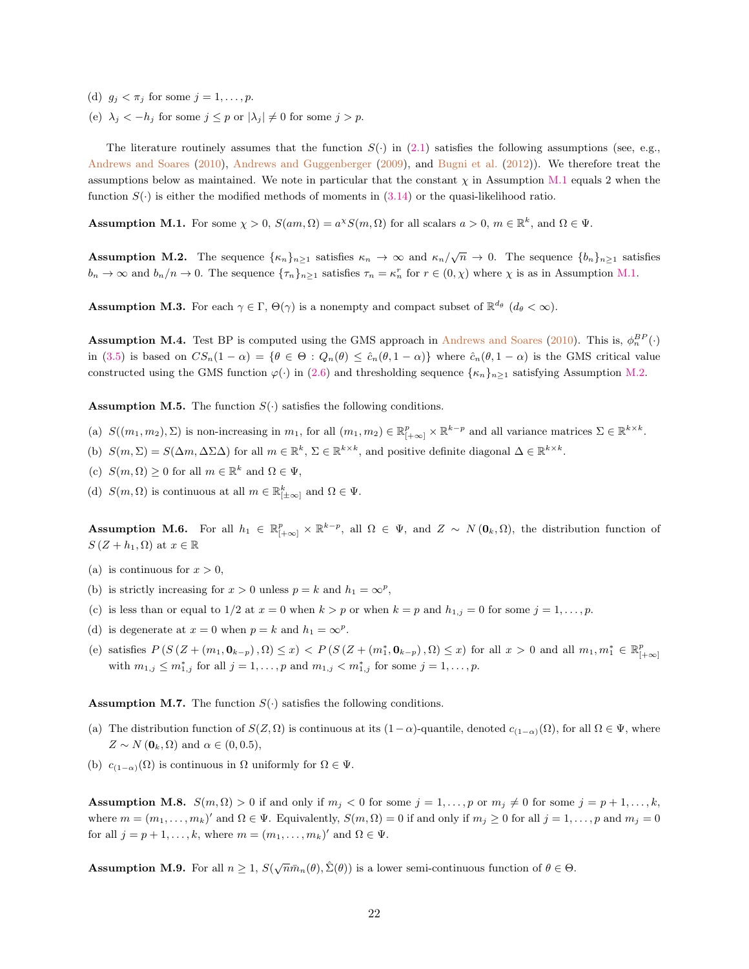- (d)  $g_j < \pi_j$  for some  $j = 1, \ldots, p$ .
- (e)  $\lambda_j < -h_j$  for some  $j \leq p$  or  $|\lambda_j| \neq 0$  for some  $j > p$ .

The literature routinely assumes that the function  $S(\cdot)$  in [\(2.1\)](#page-4-4) satisfies the following assumptions (see, e.g., [Andrews and Soares](#page-39-2) [\(2010\)](#page-39-2), [Andrews and Guggenberger](#page-39-1) [\(2009\)](#page-39-1), and [Bugni et al.](#page-39-7) [\(2012\)](#page-39-7)). We therefore treat the assumptions below as maintained. We note in particular that the constant  $\chi$  in Assumption [M.1](#page-22-0) equals 2 when the function  $S(\cdot)$  is either the modified methods of moments in [\(3.14\)](#page-11-0) or the quasi-likelihood ratio.

<span id="page-22-0"></span>**Assumption M.1.** For some  $\chi > 0$ ,  $S(am, \Omega) = a^{\chi}S(m, \Omega)$  for all scalars  $a > 0$ ,  $m \in \mathbb{R}^k$ , and  $\Omega \in \Psi$ .

<span id="page-22-2"></span>**Assumption M.2.** The sequence  $\{\kappa_n\}_{n\geq 1}$  satisfies  $\kappa_n \to \infty$  and  $\kappa_n/\sqrt{n} \to 0$ . The sequence  $\{b_n\}_{n\geq 1}$  satisfies  $b_n \to \infty$  and  $b_n/n \to 0$ . The sequence  $\{\tau_n\}_{n\geq 1}$  satisfies  $\tau_n = \kappa_n^r$  for  $r \in (0, \chi)$  where  $\chi$  is as in Assumption [M.1.](#page-22-0)

**Assumption M.3.** For each  $\gamma \in \Gamma$ ,  $\Theta(\gamma)$  is a nonempty and compact subset of  $\mathbb{R}^{d_{\theta}}$   $(d_{\theta} < \infty)$ .

<span id="page-22-3"></span>**Assumption M.4.** Test BP is computed using the GMS approach in [Andrews and Soares](#page-39-2) [\(2010\)](#page-39-2). This is,  $\phi_n^{BP}(\cdot)$ in [\(3.5\)](#page-8-3) is based on  $CS_n(1-\alpha) = \{\theta \in \Theta : Q_n(\theta) \leq \hat{c}_n(\theta, 1-\alpha)\}\$  where  $\hat{c}_n(\theta, 1-\alpha)$  is the GMS critical value constructed using the GMS function  $\varphi(\cdot)$  in [\(2.6\)](#page-5-3) and thresholding sequence  $\{\kappa_n\}_{n\geq 1}$  satisfying Assumption [M.2.](#page-22-2)

**Assumption M.5.** The function  $S(\cdot)$  satisfies the following conditions.

- (a)  $S((m_1, m_2), \Sigma)$  is non-increasing in  $m_1$ , for all  $(m_1, m_2) \in \mathbb{R}_{[+\infty]}^p \times \mathbb{R}^{k-p}$  and all variance matrices  $\Sigma \in \mathbb{R}^{k \times k}$ .
- (b)  $S(m,\Sigma) = S(\Delta m, \Delta \Sigma \Delta)$  for all  $m \in \mathbb{R}^k$ ,  $\Sigma \in \mathbb{R}^{k \times k}$ , and positive definite diagonal  $\Delta \in \mathbb{R}^{k \times k}$ .
- (c)  $S(m, \Omega) \geq 0$  for all  $m \in \mathbb{R}^k$  and  $\Omega \in \Psi$ ,
- (d)  $S(m, \Omega)$  is continuous at all  $m \in \mathbb{R}^k_{\vert \pm \infty \vert}$  and  $\Omega \in \Psi$ .

Assumption M.6. For all  $h_1 \in \mathbb{R}_{[+\infty]}^p \times \mathbb{R}^{k-p}$ , all  $\Omega \in \Psi$ , and  $Z \sim N(\mathbf{0}_k, \Omega)$ , the distribution function of  $S(Z + h_1, \Omega)$  at  $x \in \mathbb{R}$ 

- (a) is continuous for  $x > 0$ ,
- (b) is strictly increasing for  $x > 0$  unless  $p = k$  and  $h_1 = \infty^p$ ,
- (c) is less than or equal to 1/2 at  $x = 0$  when  $k > p$  or when  $k = p$  and  $h_{1,j} = 0$  for some  $j = 1, \ldots, p$ .
- (d) is degenerate at  $x = 0$  when  $p = k$  and  $h_1 = \infty^p$ .
- (e) satisfies  $P(S (Z + (m_1, 0_{k-p}), \Omega) \leq x) < P(S (Z + (m_1^*, 0_{k-p}), \Omega) \leq x)$  for all  $x > 0$  and all  $m_1, m_1^* \in \mathbb{R}_{[+\infty]}^p$ with  $m_{1,j} \leq m_{1,j}^*$  for all  $j = 1, ..., p$  and  $m_{1,j} < m_{1,j}^*$  for some  $j = 1, ..., p$ .

**Assumption M.7.** The function  $S(\cdot)$  satisfies the following conditions.

- (a) The distribution function of  $S(Z, \Omega)$  is continuous at its  $(1-\alpha)$ -quantile, denoted  $c_{(1-\alpha)}(\Omega)$ , for all  $\Omega \in \Psi$ , where  $Z \sim N(\mathbf{0}_k, \Omega)$  and  $\alpha \in (0, 0.5)$ ,
- (b)  $c_{(1-\alpha)}(\Omega)$  is continuous in  $\Omega$  uniformly for  $\Omega \in \Psi$ .

**Assumption M.8.**  $S(m, \Omega) > 0$  if and only if  $m_j < 0$  for some  $j = 1, \ldots, p$  or  $m_j \neq 0$  for some  $j = p + 1, \ldots, k$ , where  $m = (m_1, \ldots, m_k)'$  and  $\Omega \in \Psi$ . Equivalently,  $S(m, \Omega) = 0$  if and only if  $m_j \ge 0$  for all  $j = 1, \ldots, p$  and  $m_j = 0$ for all  $j = p + 1, ..., k$ , where  $m = (m_1, ..., m_k)'$  and  $\Omega \in \Psi$ .

<span id="page-22-1"></span>**Assumption M.9.** For all  $n \geq 1$ ,  $S(\sqrt{n}\bar{m}_n(\theta), \hat{\Sigma}(\theta))$  is a lower semi-continuous function of  $\theta \in \Theta$ .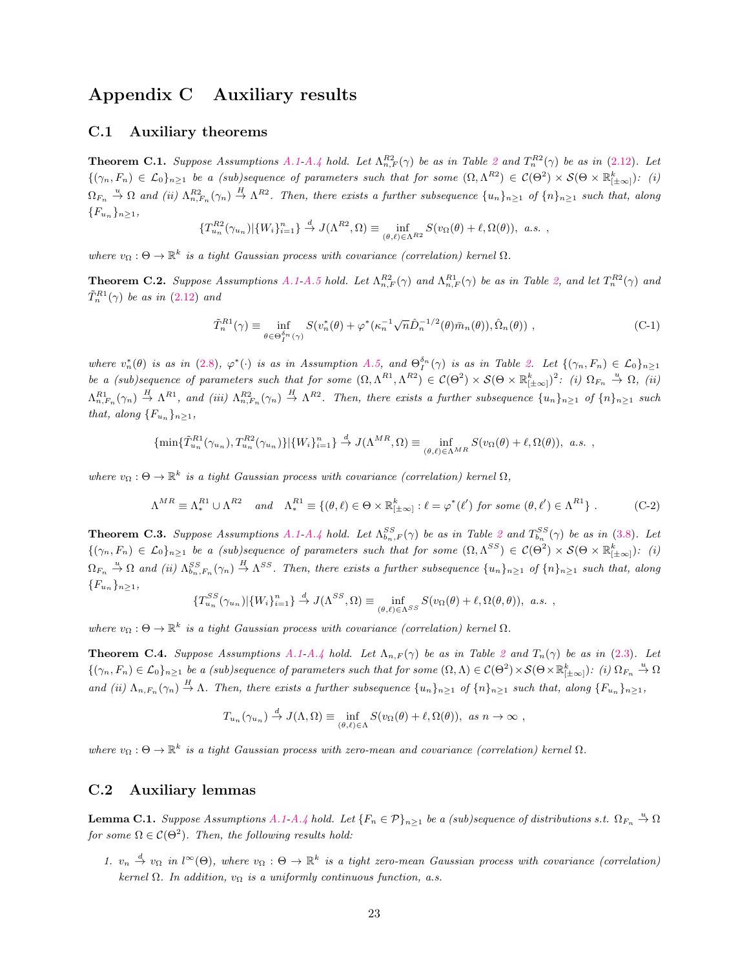# <span id="page-23-6"></span>Appendix C Auxiliary results

### C.1 Auxiliary theorems

<span id="page-23-5"></span>**Theorem C.1.** Suppose Assumptions [A.1](#page-19-0)[-A.4](#page-20-7) hold. Let  $\Lambda_{n,F}^{R2}(\gamma)$  $\Lambda_{n,F}^{R2}(\gamma)$  $\Lambda_{n,F}^{R2}(\gamma)$  be as in Table 2 and  $T_n^{R2}(\gamma)$  be as in [\(2.12\)](#page-6-2). Let  $\{(\gamma_n, F_n) \in \mathcal{L}_0\}_{n \geq 1}$  be a (sub)sequence of parameters such that for some  $(\Omega, \Lambda^{R2}) \in \mathcal{C}(\Theta^2) \times \mathcal{S}(\Theta \times \mathbb{R}_{[\pm \infty]}^k)$ : (i)  $\Omega_{F_n} \stackrel{u}{\to} \Omega$  and (ii)  $\Lambda_{n,F_n}^{R2}(\gamma_n) \stackrel{H}{\to} \Lambda^{R2}$ . Then, there exists a further subsequence  $\{u_n\}_{n\geq 1}$  of  $\{n\}_{n\geq 1}$  such that, along  ${F_u}_n$ <sub>n</sub> $\geq$ <sub>1</sub>,

$$
\{T_{u_n}^{R2}(\gamma_{u_n})|\{W_i\}_{i=1}^n\}\stackrel{d}{\to} J(\Lambda^{R2},\Omega)\equiv \inf_{(\theta,\ell)\in\Lambda^{R2}}S(v_\Omega(\theta)+\ell,\Omega(\theta)),\ a.s.\ ,
$$

where  $v_{\Omega}: \Theta \to \mathbb{R}^k$  is a tight Gaussian process with covariance (correlation) kernel  $\Omega$ .

<span id="page-23-4"></span>**Theorem C.2.** Suppose Assumptions [A.1-](#page-19-0)[A.5](#page-20-2) hold. Let  $\Lambda_{n,F}^{R2}(\gamma)$  and  $\Lambda_{n,F}^{R1}(\gamma)$  be as in Table [2,](#page-18-1) and let  $T_n^{R2}(\gamma)$  and  $\tilde{T}^{R1}_n(\gamma)$  be as in  $(2.12)$  and

<span id="page-23-3"></span>
$$
\tilde{T}_n^{R1}(\gamma) \equiv \inf_{\theta \in \Theta_1^{\delta_n}(\gamma)} S(v_n^*(\theta) + \varphi^*(\kappa_n^{-1} \sqrt{n} \hat{D}_n^{-1/2}(\theta) \bar{m}_n(\theta)), \hat{\Omega}_n(\theta)), \qquad (C-1)
$$

where  $v_n^*(\theta)$  is as in [\(2.8\)](#page-5-5),  $\varphi^*(\cdot)$  is as in Assumption [A.5,](#page-20-2) and  $\Theta_I^{\delta_n}(\gamma)$  is as in Table [2.](#page-18-1) Let  $\{(\gamma_n, F_n) \in \mathcal{L}_0\}_{n\geq 1}$ be a (sub)sequence of parameters such that for some  $(\Omega, \Lambda^{R_1}, \Lambda^{R_2}) \in C(\Theta^2) \times S(\Theta \times \mathbb{R}_{[\pm \infty]}^k)^2$ : (i)  $\Omega_{F_n} \stackrel{u}{\rightarrow} \Omega$ , (ii)  $\Lambda_{n,F_n}^{R1}(\gamma_n) \stackrel{H}{\rightarrow} \Lambda^{R1}$ , and (iii)  $\Lambda_{n,F_n}^{R2}(\gamma_n) \stackrel{H}{\rightarrow} \Lambda^{R2}$ . Then, there exists a further subsequence  $\{u_n\}_{n\geq 1}$  of  $\{n\}_{n\geq 1}$  such that, along  ${F_{u_n}}_{n\geq 1}$ ,

$$
\{\min\{\tilde{T}_{u_n}^{R1}(\gamma_{u_n}), T_{u_n}^{R2}(\gamma_{u_n})\}|\{W_i\}_{i=1}^n\} \stackrel{d}{\to} J(\Lambda^{MR}, \Omega) \equiv \inf_{(\theta,\ell) \in \Lambda^{MR}} S(v_\Omega(\theta) + \ell, \Omega(\theta)), \ a.s. ,
$$

where  $v_{\Omega}: \Theta \to \mathbb{R}^k$  is a tight Gaussian process with covariance (correlation) kernel  $\Omega$ ,

$$
\Lambda^{MR} \equiv \Lambda^{R1}_* \cup \Lambda^{R2} \quad and \quad \Lambda^{R1}_* \equiv \{ (\theta, \ell) \in \Theta \times \mathbb{R}^k_{[\pm \infty]} : \ell = \varphi^*(\ell') \text{ for some } (\theta, \ell') \in \Lambda^{R1} \} .
$$
 (C-2)

<span id="page-23-1"></span>**Theorem C.3.** Suppose Assumptions [A.1-](#page-19-0)[A.4](#page-20-7) hold. Let  $\Lambda_{b_n,F}^{SS}(\gamma)$  be as in Table [2](#page-18-1) and  $T_{b_n}^{SS}(\gamma)$  be as in [\(3.8\)](#page-10-5). Let  $\{(\gamma_n, F_n) \in \mathcal{L}_0\}_{n \geq 1}$  be a (sub)sequence of parameters such that for some  $(\Omega, \Lambda^{SS}) \in \mathcal{C}(\Theta^2) \times \mathcal{S}(\Theta \times \mathbb{R}_{[\pm \infty]}^k)$ : (i)  $\Omega_{F_n} \stackrel{u}{\to} \Omega$  and (ii)  $\Lambda_{b_n, F_n}^{SS}(\gamma_n) \stackrel{H}{\to} \Lambda^{SS}$ . Then, there exists a further subsequence  $\{u_n\}_{n\geq 1}$  of  $\{n\}_{n\geq 1}$  such that, along  ${F_u}_n$ <sub>n</sub> $\geq$ <sub>1</sub>,

$$
\{T_{u_n}^{SS}(\gamma_{u_n})|\{W_i\}_{i=1}^n\}\stackrel{d}{\to} J(\Lambda^{SS},\Omega)\equiv\inf_{(\theta,\ell)\in\Lambda^{SS}}S(v_\Omega(\theta)+\ell,\Omega(\theta,\theta)),\ a.s.\ ,
$$

where  $v_{\Omega}: \Theta \to \mathbb{R}^k$  is a tight Gaussian process with covariance (correlation) kernel  $\Omega$ .

<span id="page-23-0"></span>**Theorem C.4.** Suppose Assumptions [A.1-](#page-19-0)[A.4](#page-20-7) hold. Let  $\Lambda_{n,F}(\gamma)$  be as in Table [2](#page-18-1) and  $T_n(\gamma)$  be as in [\(2.3\)](#page-4-0). Let  $\{(\gamma_n, F_n) \in \mathcal{L}_0\}_{n \geq 1}$  be a (sub)sequence of parameters such that for some  $(\Omega, \Lambda) \in \mathcal{C}(\Theta^2) \times \mathcal{S}(\Theta \times \mathbb{R}_{[\pm \infty]}^k)$ : (i)  $\Omega_{F_n} \stackrel{u}{\to} \Omega$ and (ii)  $\Lambda_{n,F_n}(\gamma_n) \stackrel{H}{\to} \Lambda$ . Then, there exists a further subsequence  $\{u_n\}_{n\geq 1}$  of  $\{n\}_{n\geq 1}$ , such that, along  $\{F_{u_n}\}_{n\geq 1}$ ,

$$
T_{u_n}(\gamma_{u_n}) \stackrel{d}{\to} J(\Lambda, \Omega) \equiv \inf_{(\theta, \ell) \in \Lambda} S(v_\Omega(\theta) + \ell, \Omega(\theta)), \text{ as } n \to \infty,
$$

where  $v_{\Omega}: \Theta \to \mathbb{R}^k$  is a tight Gaussian process with zero-mean and covariance (correlation) kernel  $\Omega$ .

### C.2 Auxiliary lemmas

<span id="page-23-2"></span>**Lemma C.1.** Suppose Assumptions [A.1](#page-19-0)[-A.4](#page-20-7) hold. Let  ${F_n \in \mathcal{P}}_{n \geq 1}$  be a (sub)sequence of distributions s.t.  $\Omega_{F_n} \stackrel{u}{\rightarrow} \Omega$ for some  $\Omega \in \mathcal{C}(\Theta^2)$ . Then, the following results hold:

1.  $v_n \stackrel{d}{\to} v_{\Omega}$  in  $l^{\infty}(\Theta)$ , where  $v_{\Omega} : \Theta \to \mathbb{R}^k$  is a tight zero-mean Gaussian process with covariance (correlation) kernel  $\Omega$ . In addition,  $v_{\Omega}$  is a uniformly continuous function, a.s.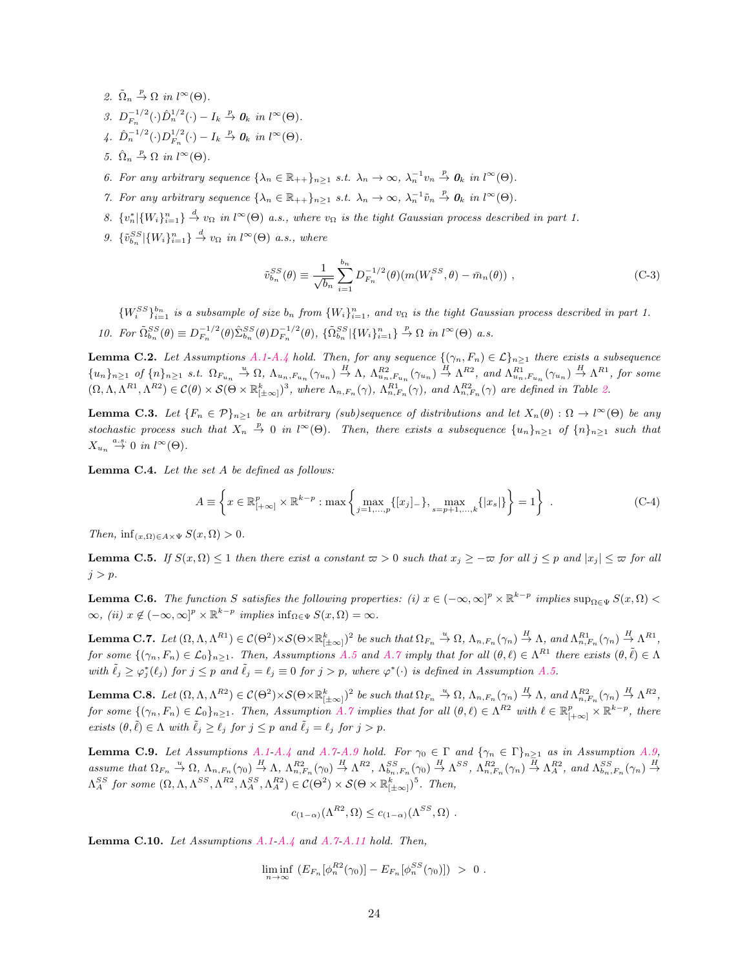- 2.  $\tilde{\Omega}_n \stackrel{p}{\rightarrow} \Omega$  in  $l^{\infty}(\Theta)$ .
- 3.  $D_{F_n}^{-1/2}(\cdot)\hat{D}_n^{1/2}(\cdot) I_k \stackrel{p}{\rightarrow} 0_k$  in  $l^{\infty}(\Theta)$ .
- 4.  $\hat{D}_n^{-1/2}(\cdot)D_{F_n}^{1/2}(\cdot) I_k \stackrel{p}{\rightarrow} \mathbf{0}_k$  in  $l^{\infty}(\Theta)$ .
- 5.  $\hat{\Omega}_n \stackrel{p}{\rightarrow} \Omega$  in  $l^{\infty}(\Theta)$ .
- 6. For any arbitrary sequence  $\{\lambda_n \in \mathbb{R}_{++}\}_{n\geq 1}$  s.t.  $\lambda_n \to \infty$ ,  $\lambda_n^{-1}v_n \stackrel{p}{\to} 0_k$  in  $l^{\infty}(\Theta)$ .
- 7. For any arbitrary sequence  $\{\lambda_n \in \mathbb{R}_{++}\}_{n\geq 1}$  s.t.  $\lambda_n \to \infty$ ,  $\lambda_n^{-1} \tilde{v}_n \stackrel{p}{\to} 0_k$  in  $l^{\infty}(\Theta)$ .
- 8.  $\{v_n^*\mid \{W_i\}_{i=1}^n\} \stackrel{d}{\rightarrow} v_\Omega$  in  $l^\infty(\Theta)$  a.s., where  $v_\Omega$  is the tight Gaussian process described in part 1.
- 9.  $\{\tilde{v}_{b_n}^{SS}|\{W_i\}_{i=1}^n\} \stackrel{d}{\to} v_{\Omega}$  in  $l^{\infty}(\Theta)$  a.s., where

<span id="page-24-6"></span>
$$
\tilde{v}_{b_n}^{SS}(\theta) \equiv \frac{1}{\sqrt{b_n}} \sum_{i=1}^{b_n} D_{F_n}^{-1/2}(\theta) (m(W_i^{SS}, \theta) - \bar{m}_n(\theta)), \qquad (C-3)
$$

 $\{W_i^{SS}\}_{i=1}^{b_n}$  is a subsample of size  $b_n$  from  $\{W_i\}_{i=1}^n$ , and  $v_{\Omega}$  is the tight Gaussian process described in part 1. 10. For  $\tilde{\Omega}_{b_n}^{SS}(\theta) \equiv D_{F_n}^{-1/2}(\theta) \hat{\Sigma}_{b_n}^{SS}(\theta) D_{F_n}^{-1/2}(\theta)$ ,  $\{\tilde{\Omega}_{b_n}^{SS}|\{W_i\}_{i=1}^n\} \stackrel{p}{\rightarrow} \Omega$  in  $l^{\infty}(\Theta)$  a.s.

<span id="page-24-3"></span>**Lemma C.2.** Let Assumptions [A.1-](#page-19-0)[A.4](#page-20-7) hold. Then, for any sequence  $\{(\gamma_n, F_n) \in \mathcal{L}\}_{n\geq 1}$  there exists a subsequence  ${u_n}_{n \geq 1}$  of  ${n \choose n_{n \geq 1}} s.t.$   $\Omega_{F_{u_n}} \stackrel{u}{\rightarrow} \Omega$ ,  $\Lambda_{u_n, F_{u_n}}(\gamma_{u_n}) \stackrel{H}{\rightarrow} \Lambda$ ,  $\Lambda_{u_n, F_{u_n}}^{R2}(\gamma_{u_n}) \stackrel{H}{\rightarrow} \Lambda^{R2}$ , and  $\Lambda_{u_n, F_{u_n}}^{R1}(\gamma_{u_n}) \stackrel{H}{\rightarrow} \Lambda^{R1}$ , for some  $(\Omega, \Lambda, \Lambda^{R1}, \Lambda^{R2}) \in \mathcal{C}(\theta) \times \mathcal{S}(\Theta \times \mathbb{R}_{[\pm \infty]}^k)^3$ , where  $\Lambda_{n,F_n}(\gamma)$ ,  $\Lambda_{n,F_n}^{R1}(\gamma)$ , and  $\Lambda_{n,F_n}^{R2}(\gamma)$  are defined in Table [2.](#page-18-1)

<span id="page-24-5"></span>**Lemma C.3.** Let  ${F_n \in \mathcal{P}}_{n \geq 1}$  be an arbitrary (sub)sequence of distributions and let  $X_n(\theta) : \Omega \to l^{\infty}(\Theta)$  be any stochastic process such that  $X_n \stackrel{p}{\to} 0$  in  $l^{\infty}(\Theta)$ . Then, there exists a subsequence  $\{u_n\}_{n\geq 1}$  of  $\{n\}_{n\geq 1}$  such that  $X_{u_n} \stackrel{a.s.}{\rightarrow} 0$  in  $l^{\infty}(\Theta)$ .

<span id="page-24-8"></span>**Lemma C.4.** Let the set  $A$  be defined as follows:

$$
A \equiv \left\{ x \in \mathbb{R}_{[+\infty]}^p \times \mathbb{R}^{k-p} : \max \left\{ \max_{j=1,\dots,p} \{ [x_j]_-\}, \max_{s=p+1,\dots,k} \{ |x_s| \} \right\} = 1 \right\} .
$$
 (C-4)

Then,  $\inf_{(x,\Omega)\in A\times \Psi} S(x,\Omega) > 0.$ 

<span id="page-24-7"></span>**Lemma C.5.** If  $S(x, \Omega) \leq 1$  then there exist a constant  $\varpi > 0$  such that  $x_j \geq -\varpi$  for all  $j \leq p$  and  $|x_j| \leq \varpi$  for all  $j > p$ .

<span id="page-24-4"></span>**Lemma C.6.** The function S satisfies the following properties: (i)  $x \in (-\infty, \infty]^p \times \mathbb{R}^{k-p}$  implies  $\sup_{\Omega \in \Psi} S(x, \Omega)$  $\infty$ , (ii)  $x \notin (-\infty, \infty]^p \times \mathbb{R}^{k-p}$  implies  $\inf_{\Omega \in \Psi} S(x, \Omega) = \infty$ .

<span id="page-24-1"></span>**Lemma C.7.** Let  $(\Omega, \Lambda, \Lambda^{R_1}) \in C(\Theta^2) \times \mathcal{S}(\Theta \times \mathbb{R}_{[\pm \infty]}^k)^2$  be such that  $\Omega_{F_n} \stackrel{u}{\to} \Omega$ ,  $\Lambda_{n,F_n}(\gamma_n) \stackrel{H}{\to} \Lambda$ , and  $\Lambda_{n,F_n}^{R_1}(\gamma_n) \stackrel{H}{\to} \Lambda^{R_1}$ , for some  $\{(\gamma_n, F_n) \in \mathcal{L}_0\}_{n \geq 1}$ . Then, Assumptions [A.5](#page-20-2) and [A.7](#page-20-0) imply that for all  $(\theta, \ell) \in \Lambda^{R_1}$  there exists  $(\theta, \tilde{\ell}) \in \Lambda$ with  $\tilde{\ell}_j \geq \varphi_j^*(\ell_j)$  for  $j \leq p$  and  $\tilde{\ell}_j = \ell_j \equiv 0$  for  $j > p$ , where  $\varphi^*(\cdot)$  is defined in Assumption [A.5.](#page-20-2)

<span id="page-24-2"></span>**Lemma C.8.** Let  $(\Omega, \Lambda, \Lambda^{R2}) \in C(\Theta^2) \times \mathcal{S}(\Theta \times \mathbb{R}_{[\pm \infty]}^k)^2$  be such that  $\Omega_{F_n} \stackrel{u}{\to} \Omega$ ,  $\Lambda_{n,F_n}(\gamma_n) \stackrel{H}{\to} \Lambda$ , and  $\Lambda_{n,F_n}^{R2}(\gamma_n) \stackrel{H}{\to} \Lambda^{R2}$ , for some  $\{(\gamma_n, F_n) \in \mathcal{L}_0\}_{n \geq 1}$ . Then, Assumption [A.7](#page-20-0) implies that for all  $(\theta, \ell) \in \Lambda^{R2}$  with  $\ell \in \mathbb{R}_{[+\infty]}^p \times \mathbb{R}^{k-p}$ , there exists  $(\theta, \tilde{\ell}) \in \Lambda$  with  $\tilde{\ell}_j \geq \ell_j$  for  $j \leq p$  and  $\tilde{\ell}_j = \ell_j$  for  $j > p$ .

<span id="page-24-9"></span>**Lemma C.9.** Let Assumptions [A.1-](#page-19-0)[A.4](#page-20-7) and [A.7](#page-20-0)[-A.9](#page-21-1) hold. For  $\gamma_0 \in \Gamma$  and  $\{\gamma_n \in \Gamma\}_{n \geq 1}$  as in Assumption [A.9,](#page-21-1) assume that  $\Omega_{F_n} \stackrel{u}{\to} \Omega$ ,  $\Lambda_{n,F_n}(\gamma_0) \stackrel{H}{\to} \Lambda$ ,  $\Lambda_{n,F_n}^{R2}(\gamma_0) \stackrel{H}{\to} \Lambda^{R2}$ ,  $\Lambda_{b_n,F_n}^{SS}(\gamma_0) \stackrel{H}{\to} \Lambda^{SS}$ ,  $\Lambda_{n,F_n}^{R2}(\gamma_n) \stackrel{H}{\to} \Lambda_A^{R2}$ , and  $\Lambda_{b_n,F_n}^{SS}(\gamma_n) \stackrel{H}{\to} \Lambda_{b_n,F_n}^{SS}(\gamma_n)$  $\Lambda_A^{SS}$  for some  $(\Omega, \Lambda, \Lambda^{SS}, \Lambda^{R2}, \Lambda_A^{SS}, \Lambda_A^{R2}) \in \mathcal{C}(\Theta^2) \times \mathcal{S}(\Theta \times \mathbb{R}_{[\pm \infty]}^k)^5$ . Then,

$$
c_{(1-\alpha)}(\Lambda^{R2},\Omega) \leq c_{(1-\alpha)}(\Lambda^{SS},\Omega) .
$$

<span id="page-24-0"></span>Lemma C.10. Let Assumptions [A.1-](#page-19-0)[A.4](#page-20-7) and [A.7-](#page-20-0)[A.11](#page-21-3) hold. Then,

$$
\liminf_{n \to \infty} \ (E_{F_n}[\phi_n^{R2}(\gamma_0)] - E_{F_n}[\phi_n^{SS}(\gamma_0)]) \ > \ 0 \ .
$$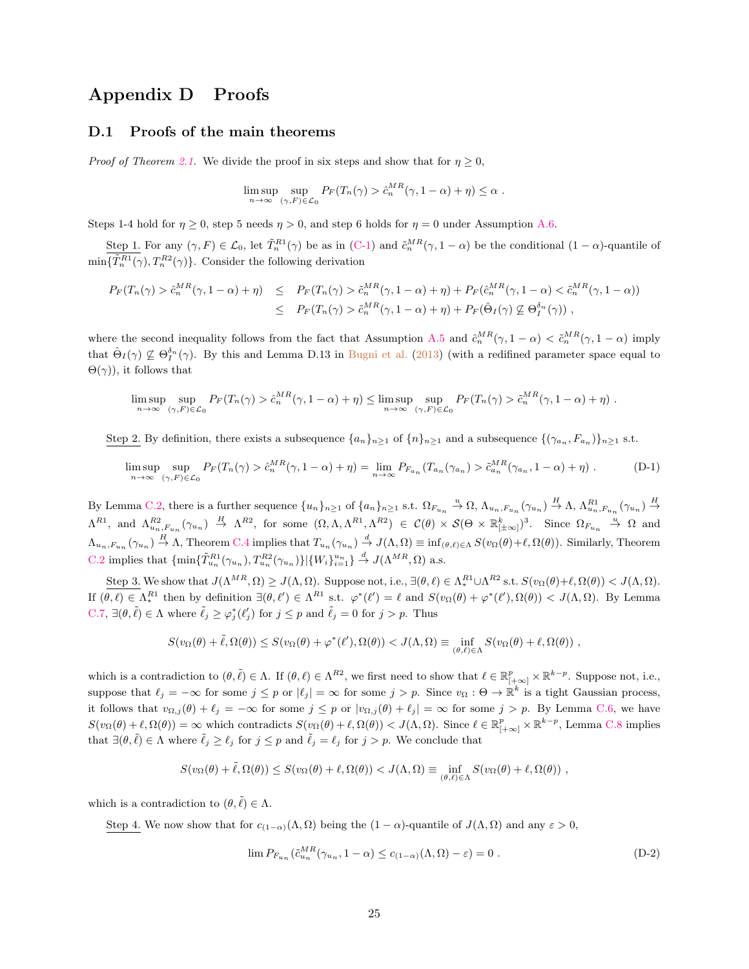# Appendix D Proofs

### D.1 Proofs of the main theorems

*Proof of Theorem [2.1.](#page-7-3)* We divide the proof in six steps and show that for  $\eta \geq 0$ ,

$$
\limsup_{n \to \infty} \sup_{(\gamma, F) \in \mathcal{L}_0} P_F(T_n(\gamma) > \hat{c}_n^{MR}(\gamma, 1 - \alpha) + \eta) \le \alpha.
$$

Steps 1-4 hold for  $\eta \ge 0$ , step 5 needs  $\eta > 0$ , and step 6 holds for  $\eta = 0$  under Assumption [A.6.](#page-20-3)

Step 1. For any  $(\gamma, F) \in \mathcal{L}_0$ , let  $\tilde{T}_n^{R_1}(\gamma)$  be as in  $(C-1)$  and  $\tilde{c}_n^{MR}(\gamma, 1-\alpha)$  be the conditional  $(1-\alpha)$ -quantile of  $\min\{\tilde{T}_n^{R1}(\gamma), T_n^{R2}(\gamma)\}\.$  Consider the following derivation

$$
P_F(T_n(\gamma) > \hat{c}_n^{MR}(\gamma, 1 - \alpha) + \eta) \leq P_F(T_n(\gamma) > \tilde{c}_n^{MR}(\gamma, 1 - \alpha) + \eta) + P_F(\hat{c}_n^{MR}(\gamma, 1 - \alpha) < \tilde{c}_n^{MR}(\gamma, 1 - \alpha))
$$
  

$$
\leq P_F(T_n(\gamma) > \tilde{c}_n^{MR}(\gamma, 1 - \alpha) + \eta) + P_F(\hat{\Theta}_I(\gamma) \not\subseteq \Theta_I^{\delta_n}(\gamma)) ,
$$

where the second inequality follows from the fact that Assumption [A.5](#page-20-2) and  $\hat{c}_n^{MR}(\gamma, 1-\alpha) < \tilde{c}_n^{MR}(\gamma, 1-\alpha)$  imply that  $\hat{\Theta}_{I}(\gamma) \not\subseteq \Theta_{I}^{\delta_{n}}(\gamma)$ . By this and Lemma D.13 in [Bugni et al.](#page-39-10) [\(2013\)](#page-39-10) (with a redifined parameter space equal to  $\Theta(\gamma)$ , it follows that

$$
\limsup_{n \to \infty} \sup_{(\gamma, F) \in \mathcal{L}_0} P_F(T_n(\gamma) > \hat{c}_n^{MR}(\gamma, 1 - \alpha) + \eta) \le \limsup_{n \to \infty} \sup_{(\gamma, F) \in \mathcal{L}_0} P_F(T_n(\gamma) > \tilde{c}_n^{MR}(\gamma, 1 - \alpha) + \eta).
$$

Step 2. By definition, there exists a subsequence  $\{a_n\}_{n\geq 1}$  of  $\{n\}_{n\geq 1}$  and a subsequence  $\{\gamma_{a_n}, F_{a_n}\}_{n\geq 1}$  s.t.

$$
\limsup_{n \to \infty} \sup_{(\gamma, F) \in \mathcal{L}_0} P_F(T_n(\gamma) > \hat{c}_n^{MR}(\gamma, 1 - \alpha) + \eta) = \lim_{n \to \infty} P_{F_{a_n}}(T_{a_n}(\gamma_{a_n}) > \tilde{c}_{a_n}^{MR}(\gamma_{a_n}, 1 - \alpha) + \eta) \tag{D-1}
$$

By Lemma [C.2,](#page-24-3) there is a further sequence  $\{u_n\}_{n\geq 1}$  of  $\{a_n\}_{n\geq 1}$  s.t.  $\Omega_{F_{u_n}} \stackrel{u}{\rightarrow} \Omega$ ,  $\Lambda_{u_n,F_{u_n}}(\gamma_{u_n}) \stackrel{H}{\rightarrow} \Lambda$ ,  $\Lambda_{u_n,F_{u_n}}^{R1}(\gamma_{u_n}) \stackrel{H}{\rightarrow}$  $\Lambda^{R1}$ , and  $\Lambda^{R2}_{u_n,F_{u_n}}(\gamma_{u_n}) \stackrel{H}{\rightarrow} \Lambda^{R2}$ , for some  $(\Omega,\Lambda,\Lambda^{R1},\Lambda^{R2}) \in \mathcal{C}(\theta) \times \mathcal{S}(\Theta \times \mathbb{R}_{[\pm \infty]}^k)^3$ . Since  $\Omega_{F_{u_n}} \stackrel{u}{\rightarrow} \Omega$  and  $\Lambda_{u_n,F_{u_n}}(\gamma_{u_n}) \stackrel{H}{\to} \Lambda$ , Theorem [C.4](#page-23-0) implies that  $T_{u_n}(\gamma_{u_n}) \stackrel{d}{\to} J(\Lambda,\Omega) \equiv \inf_{(\theta,\ell) \in \Lambda} S(v_\Omega(\theta)+\ell,\Omega(\theta))$ . Similarly, Theorem [C.2](#page-23-4) implies that  $\{\min\{\tilde{T}_{u_n}^{R1}(\gamma_{u_n}), T_{u_n}^{R2}(\gamma_{u_n})\}|\{W_i\}_{i=1}^{u_n}\}\stackrel{d}{\to} J(\Lambda^{MR}, \Omega)$  a.s.

Step 3. We show that  $J(\Lambda^{MR}, \Omega) \geq J(\Lambda, \Omega)$ . Suppose not, i.e.,  $\exists (\theta, \ell) \in \Lambda^{R_1}_* \cup \Lambda^{R_2}$  s.t.  $S(v_{\Omega}(\theta) + \ell, \Omega(\theta)) < J(\Lambda, \Omega)$ . If  $(\theta, \ell) \in \Lambda^{R1}$  then by definition  $\exists (\theta, \ell') \in \Lambda^{R1}$  s.t.  $\varphi^*(\ell') = \ell$  and  $S(v_{\Omega}(\theta) + \varphi^*(\ell'), \Omega(\theta)) < J(\Lambda, \Omega)$ . By Lemma [C.7,](#page-24-1)  $\exists (\theta, \tilde{\ell}) \in \Lambda$  where  $\tilde{\ell}_j \geq \varphi_j^*(\ell_j')$  for  $j \leq p$  and  $\tilde{\ell}_j = 0$  for  $j > p$ . Thus

$$
S(v_{\Omega}(\theta) + \tilde{\ell}, \Omega(\theta)) \leq S(v_{\Omega}(\theta) + \varphi^*(\ell'), \Omega(\theta)) < J(\Lambda, \Omega) \equiv \inf_{(\theta, \ell) \in \Lambda} S(v_{\Omega}(\theta) + \ell, \Omega(\theta)),
$$

which is a contradiction to  $(\theta, \tilde{\ell}) \in \Lambda$ . If  $(\theta, \ell) \in \Lambda^{R2}$ , we first need to show that  $\ell \in \mathbb{R}_{[+\infty]}^p \times \mathbb{R}^{k-p}$ . Suppose not, i.e., suppose that  $\ell_j = -\infty$  for some  $j \leq p$  or  $|\ell_j| = \infty$  for some  $j > p$ . Since  $v_{\Omega} : \Theta \to \mathbb{R}^k$  is a tight Gaussian process, it follows that  $v_{\Omega,j}(\theta) + \ell_j = -\infty$  for some  $j \leq p$  or  $|v_{\Omega,j}(\theta) + \ell_j| = \infty$  for some  $j > p$ . By Lemma [C.6,](#page-24-4) we have  $S(v_{\Omega}(\theta) + \ell, \Omega(\theta)) = \infty$  which contradicts  $S(v_{\Omega}(\theta) + \ell, \Omega(\theta)) < J(\Lambda, \Omega)$ . Since  $\ell \in \mathbb{R}^p_{[+\infty]} \times \mathbb{R}^{k-p}$ , Lemma [C.8](#page-24-2) implies that  $\exists (\theta, \tilde{\ell}) \in \Lambda$  where  $\tilde{\ell}_j \geq \ell_j$  for  $j \leq p$  and  $\tilde{\ell}_j = \ell_j$  for  $j > p$ . We conclude that

$$
S(v_{\Omega}(\theta) + \tilde{\ell}, \Omega(\theta)) \leq S(v_{\Omega}(\theta) + \ell, \Omega(\theta)) < J(\Lambda, \Omega) \equiv \inf_{(\theta, \ell) \in \Lambda} S(v_{\Omega}(\theta) + \ell, \Omega(\theta)),
$$

which is a contradiction to  $(\theta, \tilde{\ell}) \in \Lambda$ .

Step 4. We now show that for  $c_{(1-\alpha)}(\Lambda,\Omega)$  being the  $(1-\alpha)$ -quantile of  $J(\Lambda,\Omega)$  and any  $\varepsilon > 0$ ,

<span id="page-25-0"></span> $\overline{\phantom{a}}$ 

$$
\lim P_{F_{u_n}}(\tilde{c}_{u_n}^{MR}(\gamma_{u_n}, 1 - \alpha) \le c_{(1-\alpha)}(\Lambda, \Omega) - \varepsilon) = 0.
$$
\n(D-2)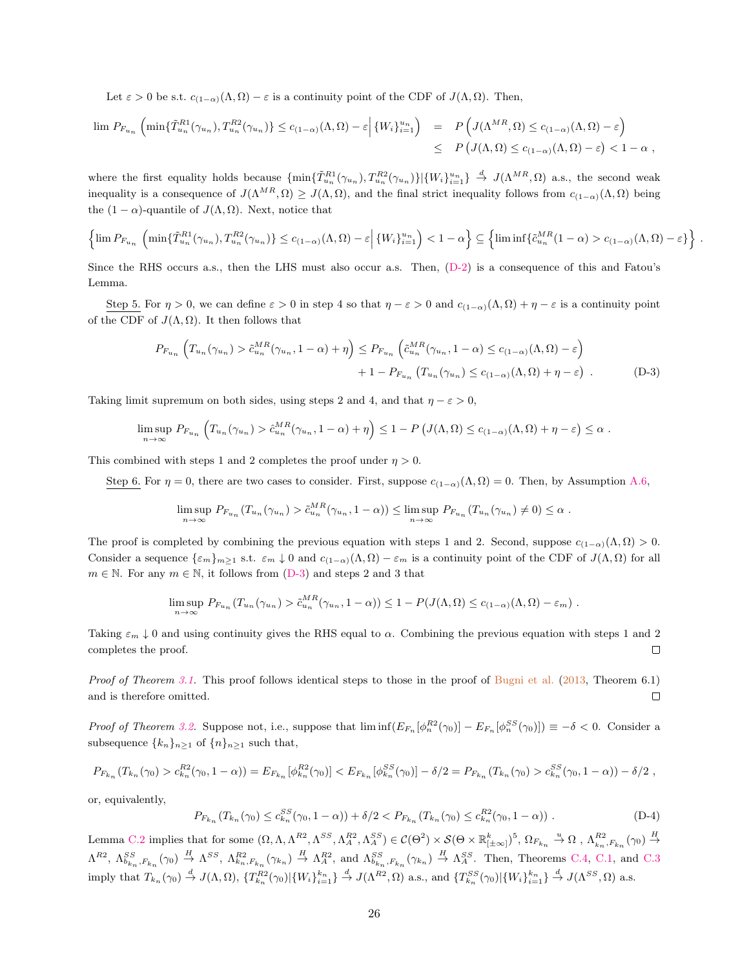Let  $\varepsilon > 0$  be s.t.  $c_{(1-\alpha)}(\Lambda, \Omega) - \varepsilon$  is a continuity point of the CDF of  $J(\Lambda, \Omega)$ . Then,

$$
\lim_{n \to \infty} P_{F_{u_n}}\left(\min\{\tilde{T}_{u_n}^{R1}(\gamma_{u_n}), T_{u_n}^{R2}(\gamma_{u_n})\} \le c_{(1-\alpha)}(\Lambda, \Omega) - \varepsilon\middle| \{W_i\}_{i=1}^{u_n}\right) = P\left(J(\Lambda^{MR}, \Omega) \le c_{(1-\alpha)}(\Lambda, \Omega) - \varepsilon\right)
$$
  

$$
\le P\left(J(\Lambda, \Omega) \le c_{(1-\alpha)}(\Lambda, \Omega) - \varepsilon\right) < 1 - \alpha,
$$

where the first equality holds because  $\{\min\{\tilde{T}_{u_n}^{R1}(\gamma_{u_n}), T_{u_n}^{R2}(\gamma_{u_n})\}|\{W_i\}_{i=1}^{u_n}\}\overset{d}{\to} J(\Lambda^{MR},\Omega)$  a.s., the second weak inequality is a consequence of  $J(\Lambda^{MR}, \Omega) \geq J(\Lambda, \Omega)$ , and the final strict inequality follows from  $c_{(1-\alpha)}(\Lambda, \Omega)$  being the  $(1 - \alpha)$ -quantile of  $J(\Lambda, \Omega)$ . Next, notice that

$$
\left\{\lim P_{F_{u_n}}\left(\min\{\tilde{T}_{u_n}^{R1}(\gamma_{u_n}),T_{u_n}^{R2}(\gamma_{u_n})\}\leq c_{(1-\alpha)}(\Lambda,\Omega)-\varepsilon\Big|\left\{W_i\right\}_{i=1}^{u_n}\right)<1-\alpha\right\}\subseteq\left\{\liminf\{\tilde{c}_{u_n}^{MR}(1-\alpha)>c_{(1-\alpha)}(\Lambda,\Omega)-\varepsilon\}\right\}
$$

<span id="page-26-0"></span>.

Since the RHS occurs a.s., then the LHS must also occur a.s. Then, [\(D-2\)](#page-25-0) is a consequence of this and Fatou's Lemma.

Step 5. For  $\eta > 0$ , we can define  $\varepsilon > 0$  in step 4 so that  $\eta - \varepsilon > 0$  and  $c_{(1-\alpha)}(\Lambda, \Omega) + \eta - \varepsilon$  is a continuity point of the CDF of  $J(\Lambda, \Omega)$ . It then follows that

$$
P_{F_{u_n}}\left(T_{u_n}(\gamma_{u_n}) > \tilde{c}_{u_n}^{MR}(\gamma_{u_n}, 1-\alpha) + \eta\right) \le P_{F_{u_n}}\left(\tilde{c}_{u_n}^{MR}(\gamma_{u_n}, 1-\alpha) \le c_{(1-\alpha)}(\Lambda, \Omega) - \varepsilon\right)
$$
  
+  $1 - P_{F_{u_n}}\left(T_{u_n}(\gamma_{u_n}) \le c_{(1-\alpha)}(\Lambda, \Omega) + \eta - \varepsilon\right)$ . (D-3)

Taking limit supremum on both sides, using steps 2 and 4, and that  $\eta - \varepsilon > 0$ ,

$$
\limsup_{n \to \infty} P_{F_{u_n}} \left( T_{u_n}(\gamma_{u_n}) > \hat{c}_{u_n}^{MR}(\gamma_{u_n}, 1-\alpha) + \eta \right) \leq 1 - P \left( J(\Lambda, \Omega) \leq c_{(1-\alpha)}(\Lambda, \Omega) + \eta - \varepsilon \right) \leq \alpha.
$$

This combined with steps 1 and 2 completes the proof under  $\eta > 0$ .

Step 6. For  $\eta = 0$ , there are two cases to consider. First, suppose  $c_{(1-\alpha)}(\Lambda, \Omega) = 0$ . Then, by Assumption [A.6,](#page-20-3)

$$
\limsup_{n \to \infty} P_{F_{u_n}}(T_{u_n}(\gamma_{u_n}) > \tilde{c}_{u_n}^{MR}(\gamma_{u_n}, 1 - \alpha)) \leq \limsup_{n \to \infty} P_{F_{u_n}}(T_{u_n}(\gamma_{u_n}) \neq 0) \leq \alpha.
$$

The proof is completed by combining the previous equation with steps 1 and 2. Second, suppose  $c_{(1-\alpha)}(\Lambda,\Omega) > 0$ . Consider a sequence  $\{\varepsilon_m\}_{m\geq 1}$  s.t.  $\varepsilon_m \downarrow 0$  and  $c_{(1-\alpha)}(\Lambda,\Omega) - \varepsilon_m$  is a continuity point of the CDF of  $J(\Lambda,\Omega)$  for all  $m \in \mathbb{N}$ . For any  $m \in \mathbb{N}$ , it follows from [\(D-3\)](#page-26-0) and steps 2 and 3 that

$$
\limsup_{n \to \infty} P_{F_{u_n}}(T_{u_n}(\gamma_{u_n}) > \tilde{c}_{u_n}^{MR}(\gamma_{u_n}, 1 - \alpha)) \leq 1 - P(J(\Lambda, \Omega) \leq c_{(1-\alpha)}(\Lambda, \Omega) - \varepsilon_m) .
$$

Taking  $\varepsilon_m \downarrow 0$  and using continuity gives the RHS equal to  $\alpha$ . Combining the previous equation with steps 1 and 2 completes the proof.  $\Box$ 

Proof of Theorem [3.1.](#page-9-0) This proof follows identical steps to those in the proof of [Bugni et al.](#page-39-10) [\(2013,](#page-39-10) Theorem 6.1)  $\Box$ and is therefore omitted.

*Proof of Theorem [3.2.](#page-10-0)* Suppose not, i.e., suppose that  $\liminf (E_{F_n} [\phi_n^{R2}(\gamma_0)] - E_{F_n} [\phi_n^{SS}(\gamma_0)]) \equiv -\delta < 0$ . Consider a subsequence  $\{k_n\}_{n\geq 1}$  of  $\{n\}_{n\geq 1}$  such that,

$$
P_{F_{k_n}}(T_{k_n}(\gamma_0) > c_{k_n}^{R2}(\gamma_0, 1 - \alpha)) = E_{F_{k_n}}[\phi_{k_n}^{R2}(\gamma_0)] < E_{F_{k_n}}[\phi_{k_n}^{SS}(\gamma_0)] - \delta/2 = P_{F_{k_n}}(T_{k_n}(\gamma_0) > c_{k_n}^{SS}(\gamma_0, 1 - \alpha)) - \delta/2,
$$

or, equivalently,

<span id="page-26-1"></span>
$$
P_{F_{k_n}}(T_{k_n}(\gamma_0) \le c_{k_n}^{SS}(\gamma_0, 1 - \alpha)) + \delta/2 < P_{F_{k_n}}(T_{k_n}(\gamma_0) \le c_{k_n}^{R2}(\gamma_0, 1 - \alpha)) \tag{D-4}
$$

Lemma [C.2](#page-24-3) implies that for some  $(\Omega, \Lambda, \Lambda^{R2}, \Lambda^{SS}, \Lambda^{R2}_A, \Lambda^{SS}_A) \in \mathcal{C}(\Theta^2) \times \mathcal{S}(\Theta \times \mathbb{R}^k_{[\pm \infty]})^5$ ,  $\Omega_{F_{k_n}} \stackrel{u}{\to} \Omega$ ,  $\Lambda^{R2}_{k_n, F_{k_n}}(\gamma_0) \stackrel{H}{\to}$  $\Lambda^{R2}$ ,  $\Lambda^{SS}_{b_{k_n},F_{k_n}}(\gamma_0) \stackrel{H}{\rightarrow} \Lambda^{SS}$ ,  $\Lambda^{R2}_{k_n,F_{k_n}}(\gamma_{k_n}) \stackrel{H}{\rightarrow} \Lambda^{R2}_{A}$ , and  $\Lambda^{SS}_{b_{k_n},F_{k_n}}(\gamma_{k_n}) \stackrel{H}{\rightarrow} \Lambda^{SS}$ . Then, Theorems [C.4,](#page-23-0) [C.1,](#page-23-5) and [C.3](#page-23-1) imply that  $T_{k_n}(\gamma_0) \stackrel{d}{\rightarrow} J(\Lambda, \Omega)$ ,  $\{T_{k_n}^{R2}(\gamma_0)|\{W_i\}_{i=1}^{k_n}\} \stackrel{d}{\rightarrow} J(\Lambda^{R2}, \Omega)$  a.s., and  $\{T_{k_n}^{SS}(\gamma_0)|\{W_i\}_{i=1}^{k_n}\} \stackrel{d}{\rightarrow} J(\Lambda^{SS}, \Omega)$  a.s.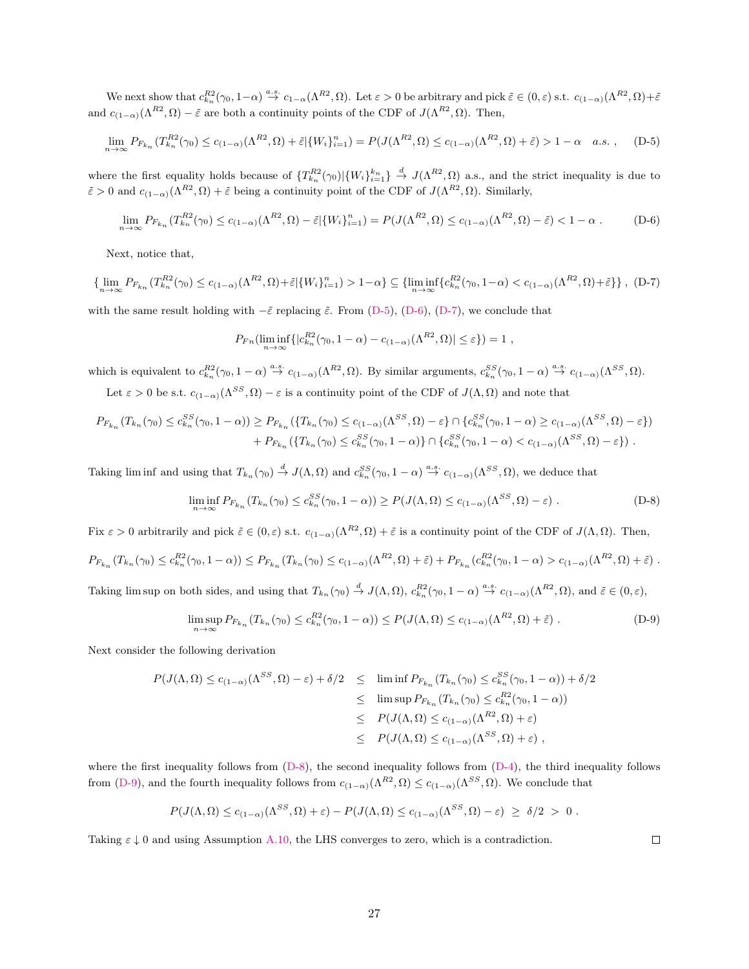We next show that  $c_{k_n}^{R2}(\gamma_0, 1-\alpha) \stackrel{a.s.}{\rightarrow} c_{1-\alpha}(\Lambda^{R2}, \Omega)$ . Let  $\varepsilon > 0$  be arbitrary and pick  $\tilde{\varepsilon} \in (0, \varepsilon)$  s.t.  $c_{(1-\alpha)}(\Lambda^{R2}, \Omega) + \tilde{\varepsilon}$ and  $c_{(1-\alpha)}(\Lambda^{R2}, \Omega) - \tilde{\varepsilon}$  are both a continuity points of the CDF of  $J(\Lambda^{R2}, \Omega)$ . Then,

$$
\lim_{n \to \infty} P_{F_{k_n}}(T_{k_n}^{R2}(\gamma_0) \le c_{(1-\alpha)}(\Lambda^{R2}, \Omega) + \tilde{\varepsilon} \left[ \{ W_i \}_{i=1}^n \right] = P(J(\Lambda^{R2}, \Omega) \le c_{(1-\alpha)}(\Lambda^{R2}, \Omega) + \tilde{\varepsilon}) > 1 - \alpha \quad a.s. , \tag{D-5}
$$

where the first equality holds because of  $\{T_{k_n}^{R2}(\gamma_0)|\{W_i\}_{i=1}^{k_n}\}\stackrel{d}{\to} J(\Lambda^{R2},\Omega)$  a.s., and the strict inequality is due to  $\tilde{\varepsilon} > 0$  and  $c_{(1-\alpha)}(\Lambda^{R2}, \Omega) + \tilde{\varepsilon}$  being a continuity point of the CDF of  $J(\Lambda^{R2}, \Omega)$ . Similarly,

<span id="page-27-2"></span>
$$
\lim_{n \to \infty} P_{F_{k_n}}(T_{k_n}^{R2}(\gamma_0) \le c_{(1-\alpha)}(\Lambda^{R2}, \Omega) - \tilde{\varepsilon} \|\{W_i\}_{i=1}^n) = P(J(\Lambda^{R2}, \Omega) \le c_{(1-\alpha)}(\Lambda^{R2}, \Omega) - \tilde{\varepsilon}) < 1 - \alpha. \tag{D-6}
$$

Next, notice that,

$$
\{\lim_{n\to\infty} P_{F_{k_n}}(T_{k_n}^{R2}(\gamma_0)\leq c_{(1-\alpha)}(\Lambda^{R2},\Omega)+\tilde{\varepsilon}|\{W_i\}_{i=1}^n)>1-\alpha\}\subseteq \{\liminf_{n\to\infty}\{c_{k_n}^{R2}(\gamma_0,1-\alpha)
$$

with the same result holding with  $-\tilde{\varepsilon}$  replacing  $\tilde{\varepsilon}$ . From [\(D-5\)](#page-27-0), [\(D-6\)](#page-27-1), [\(D-7\)](#page-27-2), we conclude that

<span id="page-27-1"></span><span id="page-27-0"></span>
$$
P_{Fn}(\liminf_{n\to\infty}\{|c_{k_n}^{R2}(\gamma_0,1-\alpha)-c_{(1-\alpha)}(\Lambda^{R2},\Omega)|\leq\varepsilon\})=1,
$$

which is equivalent to  $c_{k_n}^{R2}(\gamma_0, 1-\alpha) \stackrel{a.s.}{\rightarrow} c_{(1-\alpha)}(\Lambda^{R2}, \Omega)$ . By similar arguments,  $c_{k_n}^{SS}(\gamma_0, 1-\alpha) \stackrel{a.s.}{\rightarrow} c_{(1-\alpha)}(\Lambda^{SS}, \Omega)$ .

Let  $\varepsilon > 0$  be s.t.  $c_{(1-\alpha)}(\Lambda^{SS}, \Omega) - \varepsilon$  is a continuity point of the CDF of  $J(\Lambda, \Omega)$  and note that

$$
P_{F_{k_n}}(T_{k_n}(\gamma_0) \le c_{k_n}^{SS}(\gamma_0, 1 - \alpha)) \ge P_{F_{k_n}}(\{T_{k_n}(\gamma_0) \le c_{(1-\alpha)}(\Lambda^{SS}, \Omega) - \varepsilon\} \cap \{c_{k_n}^{SS}(\gamma_0, 1 - \alpha) \ge c_{(1-\alpha)}(\Lambda^{SS}, \Omega) - \varepsilon\}) + P_{F_{k_n}}(\{T_{k_n}(\gamma_0) \le c_{k_n}^{SS}(\gamma_0, 1 - \alpha)\} \cap \{c_{k_n}^{SS}(\gamma_0, 1 - \alpha) < c_{(1-\alpha)}(\Lambda^{SS}, \Omega) - \varepsilon\}).
$$

Taking lim inf and using that  $T_{k_n}(\gamma_0) \stackrel{d}{\to} J(\Lambda, \Omega)$  and  $c_{k_n}^{SS}(\gamma_0, 1 - \alpha) \stackrel{a.s.}{\to} c_{(1-\alpha)}(\Lambda^{SS}, \Omega)$ , we deduce that

$$
\liminf_{n \to \infty} P_{F_{k_n}}(T_{k_n}(\gamma_0) \le c_{k_n}^{SS}(\gamma_0, 1 - \alpha)) \ge P(J(\Lambda, \Omega) \le c_{(1-\alpha)}(\Lambda^{SS}, \Omega) - \varepsilon) \tag{D-8}
$$

Fix  $\varepsilon > 0$  arbitrarily and pick  $\tilde{\varepsilon} \in (0,\varepsilon)$  s.t.  $c_{(1-\alpha)}(\Lambda^{R2},\Omega) + \tilde{\varepsilon}$  is a continuity point of the CDF of  $J(\Lambda,\Omega)$ . Then,

$$
P_{F_{k_n}}(T_{k_n}(\gamma_0) \leq c_{k_n}^{R2}(\gamma_0, 1 - \alpha)) \leq P_{F_{k_n}}(T_{k_n}(\gamma_0) \leq c_{(1-\alpha)}(\Lambda^{R2}, \Omega) + \tilde{\varepsilon}) + P_{F_{k_n}}(c_{k_n}^{R2}(\gamma_0, 1 - \alpha) > c_{(1-\alpha)}(\Lambda^{R2}, \Omega) + \tilde{\varepsilon})
$$

Taking lim sup on both sides, and using that  $T_{k_n}(\gamma_0) \stackrel{d}{\rightarrow} J(\Lambda, \Omega)$ ,  $c_{k_n}^{R2}(\gamma_0, 1 - \alpha) \stackrel{a.s.}{\rightarrow} c_{(1-\alpha)}(\Lambda^{R2}, \Omega)$ , and  $\tilde{\varepsilon} \in (0, \varepsilon)$ ,

$$
\limsup_{n \to \infty} P_{F_{k_n}}(T_{k_n}(\gamma_0) \le c_{k_n}^{R2}(\gamma_0, 1 - \alpha)) \le P(J(\Lambda, \Omega) \le c_{(1-\alpha)}(\Lambda^{R2}, \Omega) + \tilde{\varepsilon}) \tag{D-9}
$$

Next consider the following derivation

$$
P(J(\Lambda, \Omega) \le c_{(1-\alpha)}(\Lambda^{SS}, \Omega) - \varepsilon) + \delta/2 \le \liminf P_{F_{k_n}}(T_{k_n}(\gamma_0) \le c_{k_n}^{SS}(\gamma_0, 1 - \alpha)) + \delta/2
$$
  
\n
$$
\le \limsup P_{F_{k_n}}(T_{k_n}(\gamma_0) \le c_{k_n}^{RS}(\gamma_0, 1 - \alpha))
$$
  
\n
$$
\le P(J(\Lambda, \Omega) \le c_{(1-\alpha)}(\Lambda^{RS}, \Omega) + \varepsilon)
$$
  
\n
$$
\le P(J(\Lambda, \Omega) \le c_{(1-\alpha)}(\Lambda^{SS}, \Omega) + \varepsilon),
$$

where the first inequality follows from [\(D-8\)](#page-27-3), the second inequality follows from [\(D-4\)](#page-26-1), the third inequality follows from [\(D-9\)](#page-27-4), and the fourth inequality follows from  $c_{(1-\alpha)}(\Lambda^{R2}, \Omega) \leq c_{(1-\alpha)}(\Lambda^{SS}, \Omega)$ . We conclude that

$$
P(J(\Lambda,\Omega) \le c_{(1-\alpha)}(\Lambda^{SS},\Omega) + \varepsilon) - P(J(\Lambda,\Omega) \le c_{(1-\alpha)}(\Lambda^{SS},\Omega) - \varepsilon) \ge \delta/2 > 0.
$$

Taking  $\varepsilon \downarrow 0$  and using Assumption [A.10,](#page-21-2) the LHS converges to zero, which is a contradiction.

<span id="page-27-4"></span><span id="page-27-3"></span> $\Box$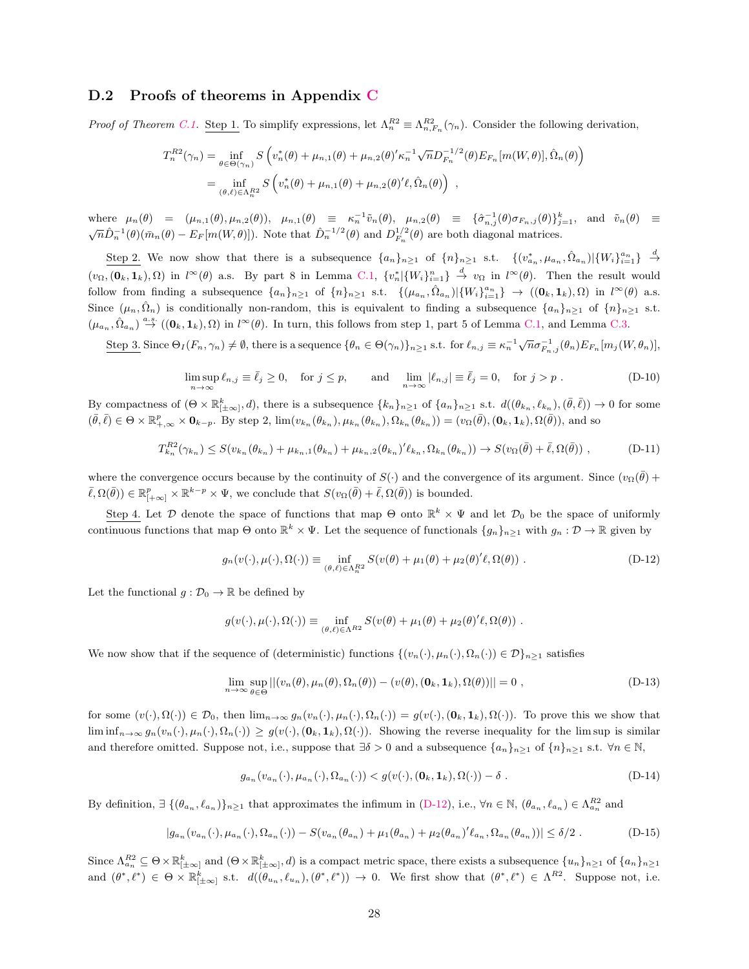### D.2 Proofs of theorems in Appendix [C](#page-23-6)

*Proof of Theorem [C.1.](#page-23-5)* Step 1. To simplify expressions, let  $\Lambda_n^{R2} \equiv \Lambda_{n,F_n}^{R2}(\gamma_n)$ . Consider the following derivation,

$$
T_n^{R2}(\gamma_n) = \inf_{\theta \in \Theta(\gamma_n)} S\left(v_n^*(\theta) + \mu_{n,1}(\theta) + \mu_{n,2}(\theta)' \kappa_n^{-1} \sqrt{n} D_{F_n}^{-1/2}(\theta) E_{F_n}[m(W,\theta)], \hat{\Omega}_n(\theta)\right)
$$
  
= 
$$
\inf_{(\theta,\ell) \in \Lambda_n^{R2}} S\left(v_n^*(\theta) + \mu_{n,1}(\theta) + \mu_{n,2}(\theta)' \ell, \hat{\Omega}_n(\theta)\right),
$$

where  $\mu_n(\theta) = (\mu_{n,1}(\theta), \mu_{n,2}(\theta)), \mu_{n,1}(\theta) \equiv \kappa_n^{-1} \tilde{v}_n(\theta), \mu_{n,2}(\theta) \equiv \{\hat{\sigma}_{n,j}^{-1}(\theta)\sigma_{F_n,j}(\theta)\}_{j=1}^k$ , and  $\tilde{v}_n(\theta) \equiv \sqrt{n}\hat{D}_n^{-1}(\theta)(\bar{m}_n(\theta) - E_F[m(W, \theta)])$ . Note that  $\hat{D}_n^{-1/2}(\theta)$  and  $D_{F_n}^{1/2}(\theta)$  are both dia

Step 2. We now show that there is a subsequence  $\{a_n\}_{n\geq 1}$  of  $\{n\}_{n\geq 1}$  s.t.  $\{(v_{a_n}^*, \mu_{a_n}, \hat{\Omega}_{a_n}) | \{W_i\}_{i=1}^{a_n}\}$   $\stackrel{d}{\rightarrow}$  $(v_{\Omega},(\mathbf{0}_k,\mathbf{1}_k),\Omega)$  in  $l^{\infty}(\theta)$  a.s. By part 8 in Lemma [C.1,](#page-23-2)  $\{v_n^*|\{W_i\}_{i=1}^n\} \stackrel{d}{\rightarrow} v_{\Omega}$  in  $l^{\infty}(\theta)$ . Then the result would follow from finding a subsequence  $\{a_n\}_{n\geq 1}$  of  $\{n\}_{n\geq 1}$  s.t.  $\{(\mu_{a_n}, \hat{\Omega}_{a_n}) | \{W_i\}_{i=1}^{a_n}\} \rightarrow ((\mathbf{0}_k, \mathbf{1}_k), \Omega)$  in  $l^{\infty}(\theta)$  a.s. Since  $(\mu_n, \hat{\Omega}_n)$  is conditionally non-random, this is equivalent to finding a subsequence  $\{a_n\}_{n\geq 1}$  of  $\{n\}_{n\geq 1}$  s.t.  $(\mu_{a_n}, \hat{\Omega}_{a_n}) \stackrel{a.s.}{\rightarrow} ((\mathbf{0}_k, \mathbf{1}_k), \Omega)$  in  $l^{\infty}(\theta)$ . In turn, this follows from step 1, part 5 of Lemma [C.1,](#page-23-2) and Lemma [C.3.](#page-24-5)

Step 3. Since  $\Theta_I(F_n, \gamma_n) \neq \emptyset$ , there is a sequence  $\{\theta_n \in \Theta(\gamma_n)\}_{n \geq 1}$  s.t. for  $\ell_{n,j} \equiv \kappa_n^{-1} \sqrt{n} \sigma_{F_n,j}^{-1}(\theta_n) E_{F_n}[m_j(W, \theta_n)],$ 

$$
\limsup_{n \to \infty} \ell_{n,j} \equiv \bar{\ell}_j \ge 0, \quad \text{for } j \le p, \qquad \text{and} \quad \lim_{n \to \infty} |\ell_{n,j}| \equiv \bar{\ell}_j = 0, \quad \text{for } j > p. \tag{D-10}
$$

By compactness of  $(\Theta \times \mathbb{R}_{|\pm \infty|}^k, d)$ , there is a subsequence  $\{k_n\}_{n\geq 1}$  of  $\{a_n\}_{n\geq 1}$  s.t.  $d((\theta_{k_n}, \ell_{k_n}), (\bar{\theta}, \bar{\ell})) \to 0$  for some  $(\bar{\theta}, \bar{\ell}) \in \Theta \times \mathbb{R}_{+\infty}^p \times \mathbf{0}_{k-p}$ . By step 2,  $\lim(v_{k_n}(\theta_{k_n}), \mu_{k_n}(\theta_{k_n}), \Omega_{k_n}(\theta_{k_n})) = (v_{\Omega}(\bar{\theta}), (\mathbf{0}_k, \mathbf{1}_k), \Omega(\bar{\theta}))$ , and so

$$
T_{k_n}^{R2}(\gamma_{k_n}) \le S(v_{k_n}(\theta_{k_n}) + \mu_{k_n,1}(\theta_{k_n}) + \mu_{k_n,2}(\theta_{k_n})'\ell_{k_n}, \Omega_{k_n}(\theta_{k_n})) \to S(v_{\Omega}(\bar{\theta}) + \bar{\ell}, \Omega(\bar{\theta})) ,
$$
 (D-11)

where the convergence occurs because by the continuity of  $S(\cdot)$  and the convergence of its argument. Since  $(v_{\Omega}(\bar{\theta}) +$  $\overline{\ell}, \Omega(\overline{\theta}) \in \mathbb{R}^p_{[+\infty]} \times \mathbb{R}^{k-p} \times \Psi$ , we conclude that  $S(v_\Omega(\overline{\theta}) + \overline{\ell}, \Omega(\overline{\theta}))$  is bounded.

Step 4. Let D denote the space of functions that map  $\Theta$  onto  $\mathbb{R}^k \times \Psi$  and let  $\mathcal{D}_0$  be the space of uniformly continuous functions that map  $\Theta$  onto  $\mathbb{R}^k \times \Psi$ . Let the sequence of functionals  $\{g_n\}_{n\geq 1}$  with  $g_n : \mathcal{D} \to \mathbb{R}$  given by

<span id="page-28-0"></span>
$$
g_n(v(\cdot), \mu(\cdot), \Omega(\cdot)) \equiv \inf_{(\theta, \ell) \in \Lambda_n^R} S(v(\theta) + \mu_1(\theta) + \mu_2(\theta)' \ell, \Omega(\theta)). \tag{D-12}
$$

Let the functional  $g: \mathcal{D}_0 \to \mathbb{R}$  be defined by

<span id="page-28-1"></span>
$$
g(v(\cdot), \mu(\cdot), \Omega(\cdot)) \equiv \inf_{(\theta,\ell) \in \Lambda^{R2}} S(v(\theta) + \mu_1(\theta) + \mu_2(\theta)' \ell, \Omega(\theta)).
$$

We now show that if the sequence of (deterministic) functions  $\{(v_n(\cdot), \mu_n(\cdot), \Omega_n(\cdot)) \in \mathcal{D}\}_{n \geq 1}$  satisfies

$$
\lim_{n \to \infty} \sup_{\theta \in \Theta} || (v_n(\theta), \mu_n(\theta), \Omega_n(\theta)) - (v(\theta), (\mathbf{0}_k, \mathbf{1}_k), \Omega(\theta)) || = 0 ,
$$
\n(D-13)

for some  $(v(\cdot), \Omega(\cdot)) \in \mathcal{D}_0$ , then  $\lim_{n\to\infty} g_n(v_n(\cdot), \mu_n(\cdot), \Omega_n(\cdot)) = g(v(\cdot), (\mathbf{0}_k, \mathbf{1}_k), \Omega(\cdot))$ . To prove this we show that  $\liminf_{n\to\infty} g_n(v_n(\cdot), \mu_n(\cdot), \Omega_n(\cdot)) \geq g(v(\cdot), (\mathbf{0}_k, \mathbf{1}_k), \Omega(\cdot)).$  Showing the reverse inequality for the lim sup is similar and therefore omitted. Suppose not, i.e., suppose that  $\exists \delta > 0$  and a subsequence  $\{a_n\}_{n\geq 1}$  of  $\{n\}_{n\geq 1}$  s.t.  $\forall n \in \mathbb{N}$ ,

<span id="page-28-3"></span><span id="page-28-2"></span>
$$
g_{a_n}(v_{a_n}(\cdot), \mu_{a_n}(\cdot), \Omega_{a_n}(\cdot)) < g(v(\cdot), (\mathbf{0}_k, \mathbf{1}_k), \Omega(\cdot)) - \delta.
$$
 (D-14)

By definition,  $\exists \{(\theta_{a_n}, \ell_{a_n})\}_{n \geq 1}$  that approximates the infimum in [\(D-12\)](#page-28-0), i.e.,  $\forall n \in \mathbb{N}$ ,  $(\theta_{a_n}, \ell_{a_n}) \in \Lambda_{a_n}^{R_2}$  and

$$
|g_{a_n}(v_{a_n}(\cdot), \mu_{a_n}(\cdot), \Omega_{a_n}(\cdot)) - S(v_{a_n}(\theta_{a_n}) + \mu_1(\theta_{a_n}) + \mu_2(\theta_{a_n})' \ell_{a_n}, \Omega_{a_n}(\theta_{a_n}))| \le \delta/2.
$$
 (D-15)

Since  $\Lambda_{a_n}^{R_2} \subseteq \Theta \times \mathbb{R}_{[\pm \infty]}^k$  and  $(\Theta \times \mathbb{R}_{[\pm \infty]}^k, d)$  is a compact metric space, there exists a subsequence  $\{u_n\}_{n \geq 1}$  of  $\{a_n\}_{n \geq 1}$ and  $(\theta^*, \ell^*) \in \Theta \times \mathbb{R}^k_{[\pm \infty]}$  s.t.  $d((\theta_{u_n}, \ell_{u_n}), (\theta^*, \ell^*)) \to 0$ . We first show that  $(\theta^*, \ell^*) \in \Lambda^{R_2}$ . Suppose not, i.e.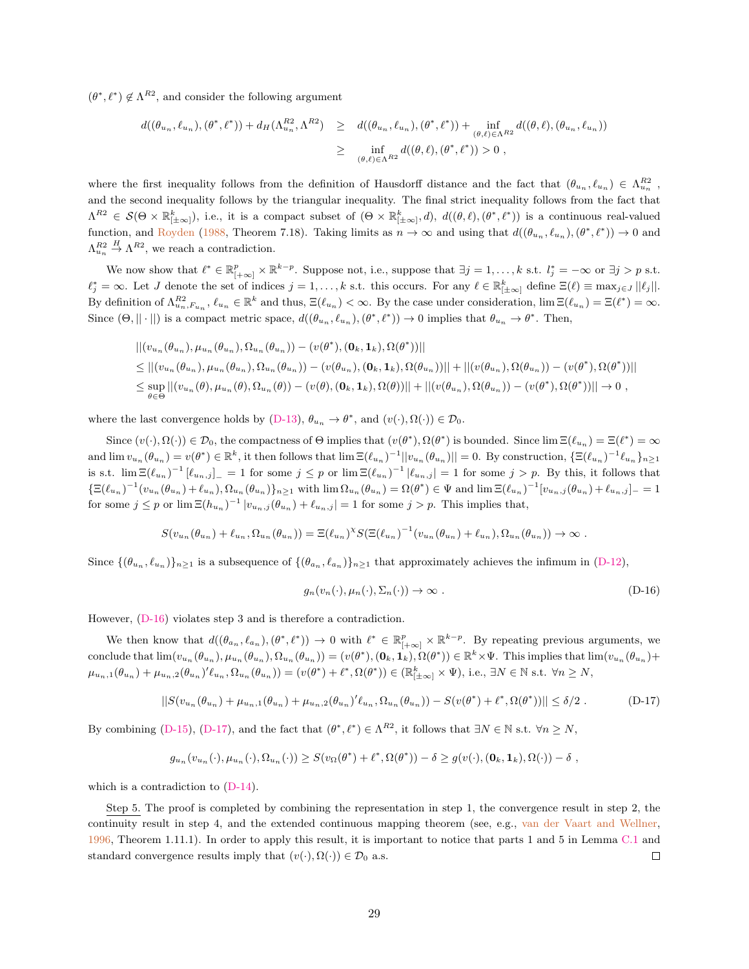$(\theta^*, \ell^*) \notin \Lambda^{R2}$ , and consider the following argument

$$
d((\theta_{u_n}, \ell_{u_n}), (\theta^*, \ell^*)) + d_H(\Lambda_{u_n}^{R^2}, \Lambda^{R^2}) \geq d((\theta_{u_n}, \ell_{u_n}), (\theta^*, \ell^*)) + \inf_{(\theta, \ell) \in \Lambda^{R^2}} d((\theta, \ell), (\theta_{u_n}, \ell_{u_n}))
$$
  

$$
\geq \inf_{(\theta, \ell) \in \Lambda^{R^2}} d((\theta, \ell), (\theta^*, \ell^*)) > 0,
$$

where the first inequality follows from the definition of Hausdorff distance and the fact that  $(\theta_{u_n}, \ell_{u_n}) \in \Lambda_{u_n}^{R_2}$ , and the second inequality follows by the triangular inequality. The final strict inequality follows from the fact that  $\Lambda^{R2} \in \mathcal{S}(\Theta \times \mathbb{R}_{[\pm \infty]}^k)$ , i.e., it is a compact subset of  $(\Theta \times \mathbb{R}_{[\pm \infty]}^k, d)$ ,  $d((\theta, \ell), (\theta^*, \ell^*))$  is a continuous real-valued function, and [Royden](#page-40-16) [\(1988,](#page-40-16) Theorem 7.18). Taking limits as  $n \to \infty$  and using that  $d((\theta_{u_n}, \ell_{u_n}), (\theta^*, \ell^*)) \to 0$  and  $\Lambda_{u_n}^{R2} \stackrel{H}{\rightarrow} \Lambda^{R2}$ , we reach a contradiction.

We now show that  $\ell^* \in \mathbb{R}_{[+\infty]}^p \times \mathbb{R}^{k-p}$ . Suppose not, i.e., suppose that  $\exists j = 1, \ldots, k$  s.t.  $l_j^* = -\infty$  or  $\exists j > p$  s.t.  $\ell_j^* = \infty$ . Let J denote the set of indices  $j = 1, ..., k$  s.t. this occurs. For any  $\ell \in \mathbb{R}^k_{[\pm \infty]}$  define  $\Xi(\ell) \equiv \max_{j \in J} |\ell_j|!$ . By definition of  $\Lambda_{u_n,F_{u_n}}^{R^2}$ ,  $\ell_{u_n} \in \mathbb{R}^k$  and thus,  $\Xi(\ell_{u_n}) < \infty$ . By the case under consideration,  $\lim \Xi(\ell_{u_n}) = \Xi(\ell^*) = \infty$ . Since  $(\Theta, || \cdot ||)$  is a compact metric space,  $d((\theta_{u_n}, \ell_{u_n}), (\theta^*, \ell^*)) \to 0$  implies that  $\theta_{u_n} \to \theta^*$ . Then,

$$
|| (v_{u_n}(\theta_{u_n}), \mu_{u_n}(\theta_{u_n}), \Omega_{u_n}(\theta_{u_n})) - (v(\theta^*), (\mathbf{0}_k, \mathbf{1}_k), \Omega(\theta^*))||
$$
  
\n
$$
\leq || (v_{u_n}(\theta_{u_n}), \mu_{u_n}(\theta_{u_n}), \Omega_{u_n}(\theta_{u_n})) - (v(\theta_{u_n}), (\mathbf{0}_k, \mathbf{1}_k), \Omega(\theta_{u_n}))|| + || (v(\theta_{u_n}), \Omega(\theta_{u_n})) - (v(\theta^*), \Omega(\theta^*))||
$$
  
\n
$$
\leq \sup_{\theta \in \Theta} || (v_{u_n}(\theta), \mu_{u_n}(\theta), \Omega_{u_n}(\theta)) - (v(\theta), (\mathbf{0}_k, \mathbf{1}_k), \Omega(\theta))|| + || (v(\theta_{u_n}), \Omega(\theta_{u_n})) - (v(\theta^*), \Omega(\theta^*))|| \to 0 ,
$$

where the last convergence holds by  $(D-13)$ ,  $\theta_{u_n} \to \theta^*$ , and  $(v(\cdot), \Omega(\cdot)) \in \mathcal{D}_0$ .

Since  $(v(\cdot), \Omega(\cdot)) \in \mathcal{D}_0$ , the compactness of  $\Theta$  implies that  $(v(\theta^*), \Omega(\theta^*)$  is bounded. Since  $\lim \Xi(\ell_{u_n}) = \Xi(\ell^*) = \infty$ and  $\lim v_{u_n}(\theta_{u_n}) = v(\theta^*) \in \mathbb{R}^k$ , it then follows that  $\lim_{n \to \infty} \mathbb{E}(\ell_{u_n})^{-1} ||v_{u_n}(\theta_{u_n})|| = 0$ . By construction,  $\{\Xi(\ell_{u_n})^{-1}\ell_{u_n}\}_{n \geq 1}$ is s.t.  $\lim_{n} \mathbb{E}(\ell_{u_n})^{-1} [\ell_{u_n,j}]_ = 1$  for some  $j \leq p$  or  $\lim_{n} \mathbb{E}(\ell_{u_n})^{-1} |\ell_{u_n,j}| = 1$  for some  $j > p$ . By this, it follows that  $\{\Xi(\ell_{u_n})^{-1}(v_{u_n}(\theta_{u_n})+\ell_{u_n}),\Omega_{u_n}(\theta_{u_n})\}_{n\geq 1}$  with  $\lim \Omega_{u_n}(\theta_{u_n}) = \Omega(\theta^*) \in \Psi$  and  $\lim \Xi(\ell_{u_n})^{-1}[v_{u_n,j}(\theta_{u_n})+\ell_{u_n,j}]_-=1$ for some  $j \leq p$  or  $\lim_{n \to \infty} \mathbb{E}(h_{u_n})^{-1} |v_{u_n,j}(\theta_{u_n}) + \ell_{u_n,j}| = 1$  for some  $j > p$ . This implies that,

$$
S(v_{u_n}(\theta_{u_n}) + \ell_{u_n}, \Omega_{u_n}(\theta_{u_n})) = \Xi(\ell_{u_n})^X S(\Xi(\ell_{u_n})^{-1}(v_{u_n}(\theta_{u_n}) + \ell_{u_n}), \Omega_{u_n}(\theta_{u_n})) \to \infty.
$$

Since  $\{(\theta_{u_n}, \ell_{u_n})\}_{n\geq 1}$  is a subsequence of  $\{(\theta_{a_n}, \ell_{a_n})\}_{n\geq 1}$  that approximately achieves the infimum in [\(D-12\)](#page-28-0),

<span id="page-29-1"></span><span id="page-29-0"></span>
$$
g_n(v_n(\cdot), \mu_n(\cdot), \Sigma_n(\cdot)) \to \infty . \tag{D-16}
$$

However, [\(D-16\)](#page-29-0) violates step 3 and is therefore a contradiction.

We then know that  $d((\theta_{a_n}, \ell_{a_n}), (\theta^*, \ell^*)) \to 0$  with  $\ell^* \in \mathbb{R}^p_{[+\infty]} \times \mathbb{R}^{k-p}$ . By repeating previous arguments, we conclude that  $\lim(v_{u_n}(\theta_{u_n}), \mu_{u_n}(\theta_{u_n}), \Omega_{u_n}(\theta_{u_n})) = (v(\theta^*), (\mathbf{0}_k, \mathbf{1}_k), \Omega(\theta^*)) \in \mathbb{R}^k \times \Psi$ . This implies that  $\lim(v_{u_n}(\theta_{u_n}) + \mathbf{1}_k)$  $\mu_{u_n,1}(\theta_{u_n}) + \mu_{u_n,2}(\theta_{u_n})'\ell_{u_n}, \Omega_{u_n}(\theta_{u_n}) = (v(\theta^*) + \ell^*, \Omega(\theta^*)) \in (\mathbb{R}_{|\pm \infty|}^k \times \Psi)$ , i.e.,  $\exists N \in \mathbb{N} \text{ s.t. } \forall n \ge N$ ,

$$
||S(v_{u_n}(\theta_{u_n}) + \mu_{u_n,1}(\theta_{u_n}) + \mu_{u_n,2}(\theta_{u_n})'\ell_{u_n},\Omega_{u_n}(\theta_{u_n})) - S(v(\theta^*) + \ell^*,\Omega(\theta^*))|| \le \delta/2.
$$
 (D-17)

By combining [\(D-15\)](#page-28-2), [\(D-17\)](#page-29-1), and the fact that  $(\theta^*, \ell^*) \in \Lambda^{R2}$ , it follows that  $\exists N \in \mathbb{N}$  s.t.  $\forall n \ge N$ ,

$$
g_{u_n}(v_{u_n}(\cdot),\mu_{u_n}(\cdot),\Omega_{u_n}(\cdot))\geq S(v_\Omega(\theta^*)+\ell^*,\Omega(\theta^*))-\delta\geq g(v(\cdot),(\mathbf{0}_k,\mathbf{1}_k),\Omega(\cdot))-\delta\;,
$$

which is a contradiction to  $(D-14)$ .

Step 5. The proof is completed by combining the representation in step 1, the convergence result in step 2, the continuity result in step 4, and the extended continuous mapping theorem (see, e.g., [van der Vaart and Wellner,](#page-40-15) [1996,](#page-40-15) Theorem 1.11.1). In order to apply this result, it is important to notice that parts 1 and 5 in Lemma [C.1](#page-23-2) and standard convergence results imply that  $(v(\cdot), \Omega(\cdot)) \in \mathcal{D}_0$  a.s.  $\Box$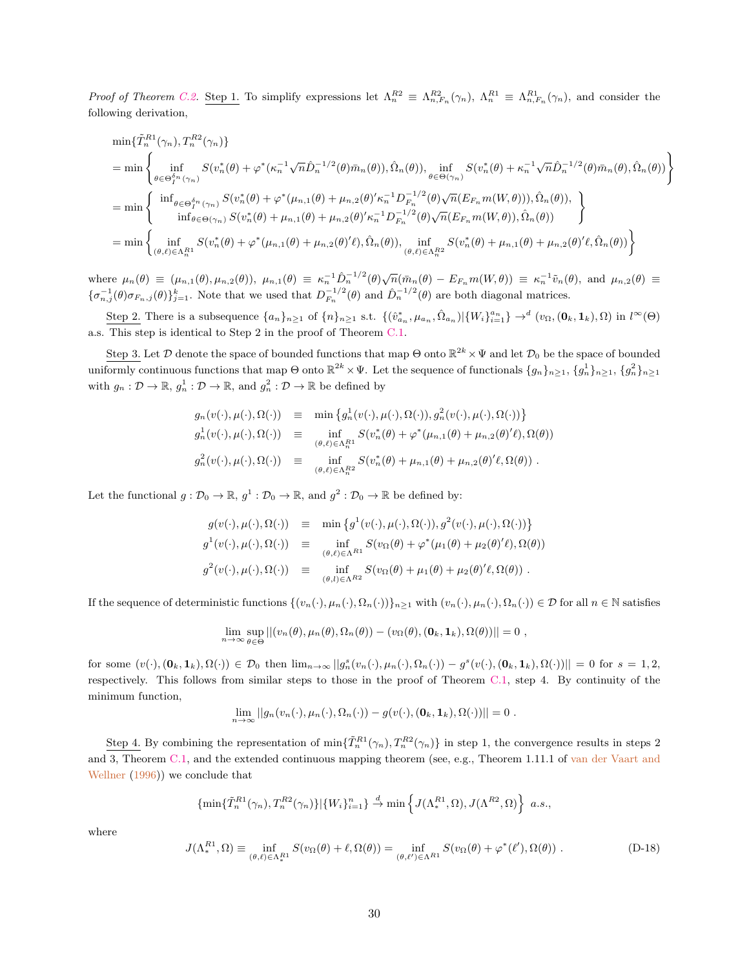Proof of Theorem [C.2.](#page-23-4) Step 1. To simplify expressions let  $\Lambda_n^{R2} \equiv \Lambda_{n,F_n}^{R2}(\gamma_n)$ ,  $\Lambda_n^{R1} \equiv \Lambda_{n,F_n}^{R1}(\gamma_n)$ , and consider the following derivation,

$$
\min\{\tilde{T}_{n}^{R1}(\gamma_{n}),T_{n}^{R2}(\gamma_{n})\}\n= \min\left\{\n\inf_{\theta\in\Theta_{1}^{\delta_{n}}(\gamma_{n})} S(v_{n}^{*}(\theta)+\varphi^{*}(\kappa_{n}^{-1}\sqrt{n}\hat{D}_{n}^{-1/2}(\theta)\bar{m}_{n}(\theta)),\n\hat{\Omega}_{n}(\theta)),\n\inf_{\theta\in\Theta_{(\gamma_{n})}(\gamma_{n})} S(v_{n}^{*}(\theta)+\kappa_{n}^{-1}\sqrt{n}\hat{D}_{n}^{-1/2}(\theta)\bar{m}_{n}(\theta),\n\hat{\Omega}_{n}(\theta))\n\right\}
$$
\n
$$
= \min\left\{\n\inf_{\theta\in\Theta_{1}^{\delta_{n}}(\gamma_{n})} S(v_{n}^{*}(\theta)+\varphi^{*}(\mu_{n,1}(\theta)+\mu_{n,2}(\theta)^{\prime}\kappa_{n}^{-1}D_{F_{n}}^{-1/2}(\theta)\sqrt{n}(E_{F_{n}}m(W,\theta))),\n\hat{\Omega}_{n}(\theta)),\n\right\}
$$
\n
$$
= \min\left\{\n\inf_{\theta\in\Theta_{(\gamma_{n})}(\gamma_{n}^{*}(\theta)+\mu_{n,1}(\theta)+\mu_{n,2}(\theta)^{\prime}\kappa_{n}^{-1}D_{F_{n}}^{-1/2}(\theta)\sqrt{n}(E_{F_{n}}m(W,\theta)),\n\hat{\Omega}_{n}(\theta))\n\right\}
$$
\n
$$
= \min\left\{\n\inf_{(\theta,\ell)\in\Lambda_{n}^{R1}} S(v_{n}^{*}(\theta)+\varphi^{*}(\mu_{n,1}(\theta)+\mu_{n,2}(\theta)^{\prime}\ell),\n\hat{\Omega}_{n}(\theta)),\n\inf_{(\theta,\ell)\in\Lambda_{n}^{R2}} S(v_{n}^{*}(\theta)+\mu_{n,1}(\theta)+\mu_{n,2}(\theta)^{\prime}\ell,\hat{\Omega}_{n}(\theta))\n\right\}
$$

where  $\mu_n(\theta) \equiv (\mu_{n,1}(\theta), \mu_{n,2}(\theta)), \mu_{n,1}(\theta) \equiv \kappa_n^{-1} \hat{D}_n^{-1/2}(\theta) \sqrt{n} (\bar{m}_n(\theta) - E_{F_n} m(W, \theta)) \equiv \kappa_n^{-1} \tilde{v}_n(\theta),$  and  $\mu_{n,2}(\theta) \equiv$  ${\{\sigma_{n,j}^{-1}(\theta)\sigma_{F_n,j}(\theta)\}_{j=1}^k}$ . Note that we used that  $D_{F_n}^{-1/2}(\theta)$  and  $\hat{D}_n^{-1/2}(\theta)$  are both diagonal matrices.

Step 2. There is a subsequence  $\{a_n\}_{n\geq 1}$  of  $\{n\}_{n\geq 1}$  s.t.  $\{(\hat{v}_{a_n}^*, \mu_{a_n}, \hat{\Omega}_{a_n}) | \{W_i\}_{i=1}^{a_n}\} \rightarrow^d (v_{\Omega}, (\mathbf{0}_k, \mathbf{1}_k), \Omega)$  in  $l^{\infty}(\Theta)$ a.s. This step is identical to Step 2 in the proof of Theorem [C.1.](#page-23-5)

Step 3. Let  $\mathcal D$  denote the space of bounded functions that map  $\Theta$  onto  $\mathbb{R}^{2k}\times\Psi$  and let  $\mathcal D_0$  be the space of bounded uniformly continuous functions that map  $\Theta$  onto  $\mathbb{R}^{2k}\times\Psi$ . Let the sequence of functionals  $\{g_n\}_{n\geq 1}, \{g_n^1\}_{n\geq 1}, \{g_n^2\}_{n\geq 1}$ with  $g_n: \mathcal{D} \to \mathbb{R}, g_n^1: \mathcal{D} \to \mathbb{R}$ , and  $g_n^2: \mathcal{D} \to \mathbb{R}$  be defined by

$$
g_n(v(\cdot), \mu(\cdot), \Omega(\cdot)) \equiv \min \left\{ g_n^1(v(\cdot), \mu(\cdot), \Omega(\cdot)), g_n^2(v(\cdot), \mu(\cdot), \Omega(\cdot)) \right\}
$$
  
\n
$$
g_n^1(v(\cdot), \mu(\cdot), \Omega(\cdot)) \equiv \inf_{(\theta, \ell) \in \Lambda_n^R} S(v_n^*(\theta) + \varphi^*(\mu_{n,1}(\theta) + \mu_{n,2}(\theta)'\ell), \Omega(\theta))
$$
  
\n
$$
g_n^2(v(\cdot), \mu(\cdot), \Omega(\cdot)) \equiv \inf_{(\theta, \ell) \in \Lambda_n^R} S(v_n^*(\theta) + \mu_{n,1}(\theta) + \mu_{n,2}(\theta)'\ell, \Omega(\theta)).
$$

Let the functional  $g: \mathcal{D}_0 \to \mathbb{R}, g^1: \mathcal{D}_0 \to \mathbb{R}, \text{ and } g^2: \mathcal{D}_0 \to \mathbb{R}$  be defined by:

$$
g(v(\cdot), \mu(\cdot), \Omega(\cdot)) \equiv \min \{g^1(v(\cdot), \mu(\cdot), \Omega(\cdot)), g^2(v(\cdot), \mu(\cdot), \Omega(\cdot))\}
$$
  

$$
g^1(v(\cdot), \mu(\cdot), \Omega(\cdot)) \equiv \inf_{(\theta, \ell) \in \Lambda^{R1}} S(v_{\Omega}(\theta) + \varphi^*(\mu_1(\theta) + \mu_2(\theta)^{\prime}\ell), \Omega(\theta))
$$
  

$$
g^2(v(\cdot), \mu(\cdot), \Omega(\cdot)) \equiv \inf_{(\theta, l) \in \Lambda^{R2}} S(v_{\Omega}(\theta) + \mu_1(\theta) + \mu_2(\theta)^{\prime}\ell, \Omega(\theta)).
$$

If the sequence of deterministic functions  $\{(v_n(\cdot), \mu_n(\cdot), \Omega_n(\cdot))\}_{n\geq 1}$  with  $(v_n(\cdot), \mu_n(\cdot), \Omega_n(\cdot)) \in \mathcal{D}$  for all  $n \in \mathbb{N}$  satisfies

$$
\lim_{n\to\infty}\sup_{\theta\in\Theta}||(v_n(\theta),\mu_n(\theta),\Omega_n(\theta))-(v_\Omega(\theta),(\mathbf{0}_k,\mathbf{1}_k),\Omega(\theta))||=0,
$$

for some  $(v(\cdot),(\mathbf{0}_k,\mathbf{1}_k),\Omega(\cdot)) \in \mathcal{D}_0$  then  $\lim_{n\to\infty} ||g_n^s(v_n(\cdot),\mu_n(\cdot),\Omega_n(\cdot)) - g^s(v(\cdot),(\mathbf{0}_k,\mathbf{1}_k),\Omega(\cdot))|| = 0$  for  $s = 1,2$ , respectively. This follows from similar steps to those in the proof of Theorem [C.1,](#page-23-5) step 4. By continuity of the minimum function,

$$
\lim_{n\to\infty}||g_n(v_n(\cdot),\mu_n(\cdot),\Omega_n(\cdot))-g(v(\cdot),(\mathbf{0}_k,\mathbf{1}_k),\Omega(\cdot))||=0.
$$

Step 4. By combining the representation of  $\min\{\tilde{T}_n^{R1}(\gamma_n), T_n^{R2}(\gamma_n)\}\$ in step 1, the convergence results in steps 2 and 3, Theorem [C.1,](#page-23-5) and the extended continuous mapping theorem (see, e.g., Theorem 1.11.1 of [van der Vaart and](#page-40-15) [Wellner](#page-40-15) [\(1996\)](#page-40-15)) we conclude that

$$
\{\min\{\tilde{T}_n^{R1}(\gamma_n),T_n^{R2}(\gamma_n)\}\vert \{W_i\}_{i=1}^n\} \stackrel{d}{\to} \min\left\{J(\Lambda_*^{R1},\Omega),J(\Lambda^{R2},\Omega)\right\} a.s.,
$$

where

$$
J(\Lambda_*^{R1}, \Omega) \equiv \inf_{(\theta,\ell)\in\Lambda_*^{R1}} S(v_{\Omega}(\theta) + \ell, \Omega(\theta)) = \inf_{(\theta,\ell')\in\Lambda^{R1}} S(v_{\Omega}(\theta) + \varphi^*(\ell'), \Omega(\theta)).
$$
 (D-18)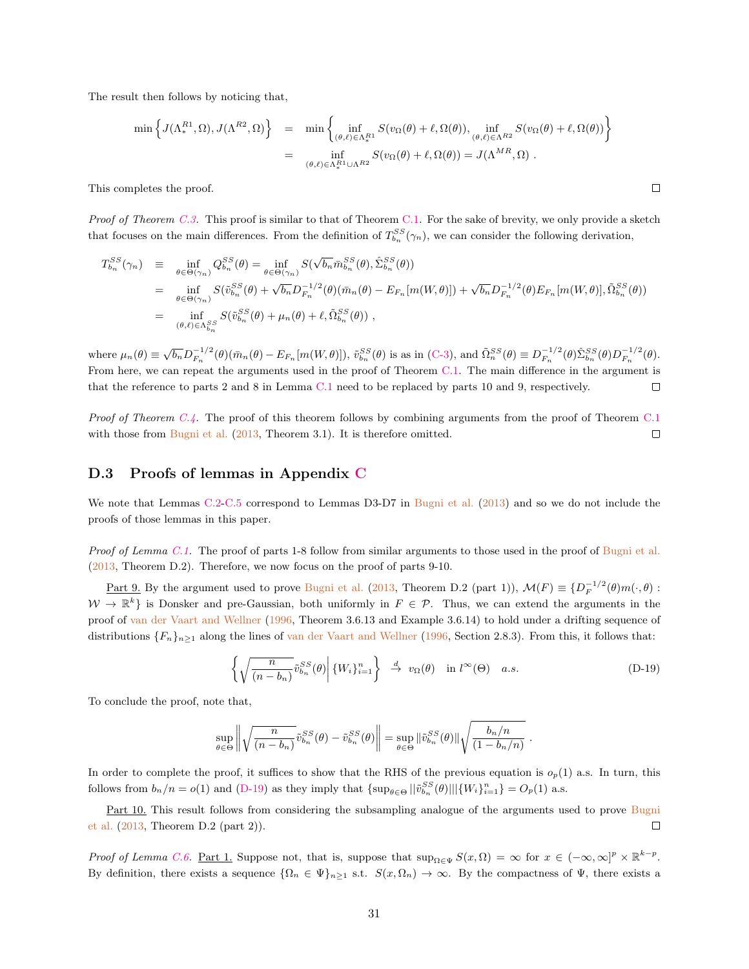The result then follows by noticing that,

$$
\min \left\{ J(\Lambda_*^{R1}, \Omega), J(\Lambda^{R2}, \Omega) \right\} = \min \left\{ \inf_{(\theta, \ell) \in \Lambda_*^{R1}} S(v_{\Omega}(\theta) + \ell, \Omega(\theta)), \inf_{(\theta, \ell) \in \Lambda^{R2}} S(v_{\Omega}(\theta) + \ell, \Omega(\theta)) \right\}
$$
  

$$
= \inf_{(\theta, \ell) \in \Lambda_*^{R1} \cup \Lambda^{R2}} S(v_{\Omega}(\theta) + \ell, \Omega(\theta)) = J(\Lambda^{MR}, \Omega) .
$$

 $\Box$ 

This completes the proof.

*Proof of Theorem [C.3.](#page-23-1)* This proof is similar to that of Theorem [C.1.](#page-23-5) For the sake of brevity, we only provide a sketch that focuses on the main differences. From the definition of  $T_{b_n}^{SS}(\gamma_n)$ , we can consider the following derivation,

$$
T_{b_n}^{SS}(\gamma_n) \equiv \inf_{\theta \in \Theta(\gamma_n)} Q_{b_n}^{SS}(\theta) = \inf_{\theta \in \Theta(\gamma_n)} S(\sqrt{b_n} \bar{m}_{b_n}^{SS}(\theta), \hat{\Sigma}_{b_n}^{SS}(\theta))
$$
  
\n
$$
= \inf_{\theta \in \Theta(\gamma_n)} S(\tilde{v}_{b_n}^{SS}(\theta) + \sqrt{b_n} D_{F_n}^{-1/2}(\theta) (\bar{m}_n(\theta) - E_{F_n}[m(W, \theta)]) + \sqrt{b_n} D_{F_n}^{-1/2}(\theta) E_{F_n}[m(W, \theta)], \tilde{\Omega}_{b_n}^{SS}(\theta))
$$
  
\n
$$
= \inf_{(\theta, \ell) \in \Lambda_{b_n}^{SS}} S(\tilde{v}_{b_n}^{SS}(\theta) + \mu_n(\theta) + \ell, \tilde{\Omega}_{b_n}^{SS}(\theta)),
$$

where  $\mu_n(\theta) \equiv \sqrt{b_n} D_{F_n}^{-1/2}(\theta) (\bar{m}_n(\theta) - E_{F_n}[m(W, \theta)]), \tilde{v}_{b_n}^{SS}(\theta)$  is as in [\(C-3\)](#page-24-6), and  $\tilde{\Omega}_n^{SS}(\theta) \equiv D_{F_n}^{-1/2}(\theta) \tilde{\Sigma}_{b_n}^{SS}(\theta) D_{F_n}^{-1/2}(\theta)$ . From here, we can repeat the arguments used in the proof of Theorem [C.1.](#page-23-5) The main difference in the argument is that the reference to parts 2 and 8 in Lemma [C.1](#page-23-2) need to be replaced by parts 10 and 9, respectively.  $\Box$ 

Proof of Theorem [C.4.](#page-23-0) The proof of this theorem follows by combining arguments from the proof of Theorem [C.1](#page-23-5) with those from [Bugni et al.](#page-39-10)  $(2013,$  Theorem 3.1). It is therefore omitted.  $\Box$ 

### D.3 Proofs of lemmas in Appendix [C](#page-23-6)

We note that Lemmas [C.2-](#page-24-3)[C.5](#page-24-7) correspond to Lemmas D3-D7 in [Bugni et al.](#page-39-10) [\(2013\)](#page-39-10) and so we do not include the proofs of those lemmas in this paper.

Proof of Lemma [C.1.](#page-23-2) The proof of parts 1-8 follow from similar arguments to those used in the proof of [Bugni et al.](#page-39-10) [\(2013,](#page-39-10) Theorem D.2). Therefore, we now focus on the proof of parts 9-10.

<u>Part 9.</u> By the argument used to prove [Bugni et al.](#page-39-10) [\(2013,](#page-39-10) Theorem D.2 (part 1)),  $\mathcal{M}(F) \equiv \{D_F^{-1/2}(\theta)m(\cdot,\theta):$  $W \to \mathbb{R}^k$  is Donsker and pre-Gaussian, both uniformly in  $F \in \mathcal{P}$ . Thus, we can extend the arguments in the proof of [van der Vaart and Wellner](#page-40-15) [\(1996,](#page-40-15) Theorem 3.6.13 and Example 3.6.14) to hold under a drifting sequence of distributions  $\{F_n\}_{n>1}$  along the lines of [van der Vaart and Wellner](#page-40-15) [\(1996,](#page-40-15) Section 2.8.3). From this, it follows that:

<span id="page-31-0"></span>
$$
\left\{ \sqrt{\frac{n}{(n-b_n)}} \tilde{v}_{b_n}^{SS}(\theta) \middle| \{W_i\}_{i=1}^n \right\} \stackrel{d}{\to} v_\Omega(\theta) \quad \text{in } l^\infty(\Theta) \quad a.s. \tag{D-19}
$$

To conclude the proof, note that,

$$
\sup_{\theta \in \Theta} \left\| \sqrt{\frac{n}{(n - b_n)}} \tilde{v}_{b_n}^{SS}(\theta) - \tilde{v}_{b_n}^{SS}(\theta) \right\| = \sup_{\theta \in \Theta} \|\tilde{v}_{b_n}^{SS}(\theta)\| \sqrt{\frac{b_n/n}{(1 - b_n/n)}}.
$$

In order to complete the proof, it suffices to show that the RHS of the previous equation is  $o_p(1)$  a.s. In turn, this follows from  $b_n/n = o(1)$  and [\(D-19\)](#page-31-0) as they imply that  $\{\sup_{\theta \in \Theta} ||\tilde{v}_{b_n}^{SS}(\theta)|| | \{W_i\}_{i=1}^n\} = O_p(1)$  a.s.

Part 10. This result follows from considering the subsampling analogue of the arguments used to prove [Bugni](#page-39-10) [et al.](#page-39-10) [\(2013,](#page-39-10) Theorem D.2 (part 2)).  $\Box$ 

Proof of Lemma [C.6.](#page-24-4) Part 1. Suppose not, that is, suppose that  $\sup_{\Omega \in \Psi} S(x, \Omega) = \infty$  for  $x \in (-\infty, \infty]^p \times \mathbb{R}^{k-p}$ . By definition, there exists a sequence  $\{\Omega_n \in \Psi\}_{n\geq 1}$  s.t.  $S(x, \Omega_n) \to \infty$ . By the compactness of  $\Psi$ , there exists a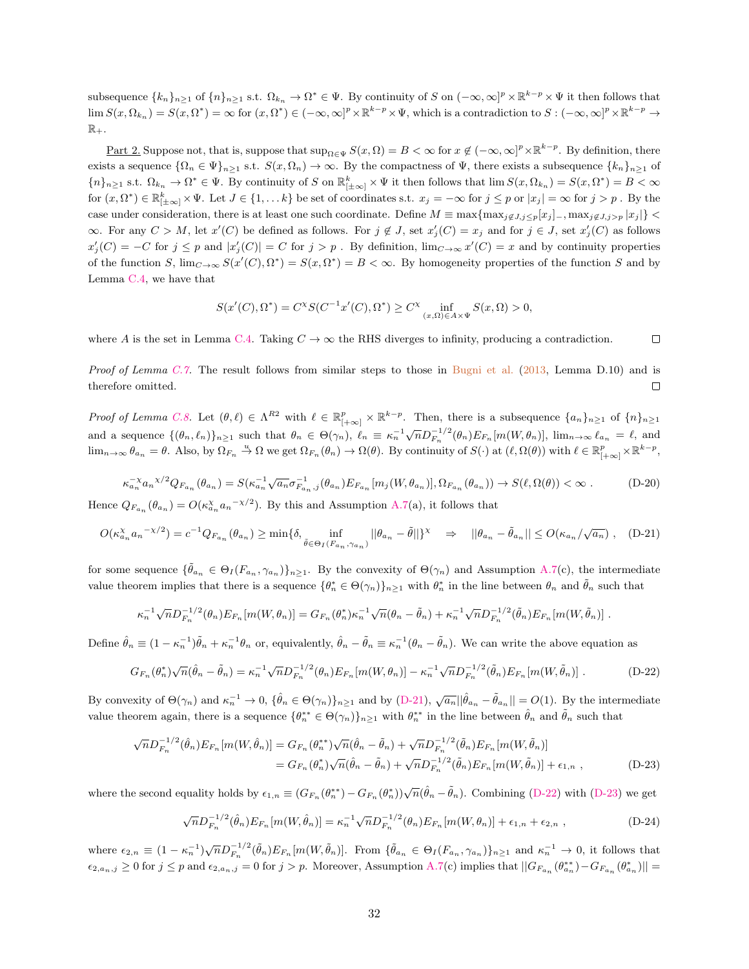subsequence  $\{k_n\}_{n\geq 1}$  of  $\{n\}_{n\geq 1}$  s.t.  $\Omega_{k_n}\to\Omega^*\in\Psi$ . By continuity of S on  $(-\infty,\infty]^p\times\mathbb{R}^{k-p}\times\Psi$  it then follows that  $\lim S(x, \Omega_{k_n}) = S(x, \Omega^*) = \infty$  for  $(x, \Omega^*) \in (-\infty, \infty]^p \times \mathbb{R}^{k-p} \times \Psi$ , which is a contradiction to  $S: (-\infty, \infty]^p \times \mathbb{R}^{k-p} \to$  $\mathbb{R}_+$ .

<u>Part 2</u>. Suppose not, that is, suppose that  $\sup_{\Omega \in \Psi} S(x, \Omega) = B < \infty$  for  $x \notin (-\infty, \infty]^p \times \mathbb{R}^{k-p}$ . By definition, there exists a sequence  $\{\Omega_n \in \Psi\}_{n\geq 1}$  s.t.  $S(x, \Omega_n) \to \infty$ . By the compactness of  $\Psi$ , there exists a subsequence  $\{k_n\}_{n\geq 1}$  of  ${n}_{n \geq 1}$  s.t.  $\Omega_{k_n} \to \Omega^* \in \Psi$ . By continuity of S on  $\mathbb{R}_{\left[\pm \infty\right]}^k \times \Psi$  it then follows that  $\lim S(x, \Omega_{k_n}) = S(x, \Omega^*) = B < \infty$ for  $(x, \Omega^*) \in \mathbb{R}^k_{\vert \pm \infty \vert} \times \Psi$ . Let  $J \in \{1, \dots k\}$  be set of coordinates s.t.  $x_j = -\infty$  for  $j \leq p$  or  $|x_j| = \infty$  for  $j > p$ . By the case under consideration, there is at least one such coordinate. Define  $M \equiv \max\{\max_{j \notin J, j \leq p} [x_j] -, \max_{j \notin J, j > p} |x_j|\}$  $\infty$ . For any  $C > M$ , let  $x'(C)$  be defined as follows. For  $j \notin J$ , set  $x'_{j}(C) = x_{j}$  and for  $j \in J$ , set  $x'_{j}(C)$  as follows  $x'_{j}(C) = -C$  for  $j \leq p$  and  $|x'_{j}(C)| = C$  for  $j > p$ . By definition,  $\lim_{C \to \infty} x'(C) = x$  and by continuity properties of the function S,  $\lim_{C\to\infty} S(x'(C), \Omega^*) = S(x, \Omega^*) = B < \infty$ . By homogeneity properties of the function S and by Lemma [C.4,](#page-24-8) we have that

<span id="page-32-0"></span>
$$
S(x'(C), \Omega^*) = C^{\chi} S(C^{-1} x'(C), \Omega^*) \ge C^{\chi} \inf_{(x, \Omega) \in A \times \Psi} S(x, \Omega) > 0,
$$

where A is the set in Lemma [C.4.](#page-24-8) Taking  $C \to \infty$  the RHS diverges to infinity, producing a contradiction.  $\Box$ 

Proof of Lemma [C.7.](#page-24-1) The result follows from similar steps to those in [Bugni et al.](#page-39-10) [\(2013,](#page-39-10) Lemma D.10) and is therefore omitted.  $\Box$ 

Proof of Lemma [C.8.](#page-24-2) Let  $(\theta, \ell) \in \Lambda^{R2}$  with  $\ell \in \mathbb{R}^p_{[+\infty]} \times \mathbb{R}^{k-p}$ . Then, there is a subsequence  $\{a_n\}_{n\geq 1}$  of  $\{n\}_{n\geq 1}$ and a sequence  $\{(\theta_n, \ell_n)\}_{n\geq 1}$  such that  $\theta_n \in \Theta(\gamma_n)$ ,  $\ell_n \equiv \kappa_n^{-1} \sqrt{n} D_{F_n}^{-1/2}(\theta_n) E_{F_n}[m(W, \theta_n)]$ ,  $\lim_{n\to\infty} \ell_{a_n} = \ell$ , and  $\lim_{n\to\infty}\theta_{a_n}=\theta$ . Also, by  $\Omega_{F_n}\stackrel{u}{\to}\Omega$  we get  $\Omega_{F_n}(\theta_n)\to\Omega(\theta)$ . By continuity of  $S(\cdot)$  at  $(\ell,\Omega(\theta))$  with  $\ell\in\mathbb{R}_{[+\infty]}^p\times\mathbb{R}^{k-p}$ ,

<span id="page-32-4"></span>
$$
\kappa_{a_n}^{-\chi} a_n{}^{\chi/2} Q_{F_{a_n}}(\theta_{a_n}) = S(\kappa_{a_n}^{-1} \sqrt{a_n} \sigma_{F_{a_n},j}^{-1}(\theta_{a_n}) E_{F_{a_n}}[m_j(W, \theta_{a_n})], \Omega_{F_{a_n}}(\theta_{a_n})) \to S(\ell, \Omega(\theta)) < \infty
$$
 (D-20)

Hence  $Q_{F_{a_n}}(\theta_{a_n}) = O(\kappa_{a_n}^{\chi} a_n^{-\chi/2})$ . By this and Assumption [A.7\(](#page-20-0)a), it follows that

$$
O(\kappa_{a_n}^{\chi} a_n^{-\chi/2}) = c^{-1} Q_{F_{a_n}}(\theta_{a_n}) \ge \min\{\delta, \inf_{\tilde{\theta} \in \Theta_I(F_{a_n}, \gamma_{a_n})} ||\theta_{a_n} - \tilde{\theta}||\}^{\chi} \Rightarrow ||\theta_{a_n} - \tilde{\theta}_{a_n}|| \le O(\kappa_{a_n}/\sqrt{a_n}) , \quad (D-21)
$$

for some sequence  $\{\tilde{\theta}_{a_n} \in \Theta_I(F_{a_n}, \gamma_{a_n})\}_{n \geq 1}$ . By the convexity of  $\Theta(\gamma_n)$  and Assumption [A.7\(](#page-20-0)c), the intermediate value theorem implies that there is a sequence  $\{\theta_n^* \in \Theta(\gamma_n)\}_{n\geq 1}$  with  $\theta_n^*$  in the line between  $\theta_n$  and  $\tilde{\theta}_n$  such that

$$
\kappa_n^{-1} \sqrt{n} D_{F_n}^{-1/2} (\theta_n) E_{F_n} [m(W, \theta_n)] = G_{F_n} (\theta_n^*) \kappa_n^{-1} \sqrt{n} (\theta_n - \tilde{\theta}_n) + \kappa_n^{-1} \sqrt{n} D_{F_n}^{-1/2} (\tilde{\theta}_n) E_{F_n} [m(W, \tilde{\theta}_n)] .
$$

Define  $\hat{\theta}_n \equiv (1 - \kappa_n^{-1})\tilde{\theta}_n + \kappa_n^{-1}\theta_n$  or, equivalently,  $\hat{\theta}_n - \tilde{\theta}_n \equiv \kappa_n^{-1}(\theta_n - \tilde{\theta}_n)$ . We can write the above equation as

$$
G_{F_n}(\theta_n^*)\sqrt{n}(\hat{\theta}_n - \tilde{\theta}_n) = \kappa_n^{-1} \sqrt{n} D_{F_n}^{-1/2}(\theta_n) E_{F_n}[m(W, \theta_n)] - \kappa_n^{-1} \sqrt{n} D_{F_n}^{-1/2}(\tilde{\theta}_n) E_{F_n}[m(W, \tilde{\theta}_n)] .
$$
 (D-22)

By convexity of  $\Theta(\gamma_n)$  and  $\kappa_n^{-1} \to 0$ ,  $\{\hat{\theta}_n \in \Theta(\gamma_n)\}_{n\geq 1}$  and by [\(D-21\)](#page-32-0),  $\sqrt{a_n} || \hat{\theta}_{a_n} - \tilde{\theta}_{a_n} || = O(1)$ . By the intermediate value theorem again, there is a sequence  $\{\theta_n^{**} \in \Theta(\gamma_n)\}_{n\geq 1}$  with  $\theta_n^{**}$  in the line between  $\hat{\theta}_n$  and  $\tilde{\theta}_n$  such that

$$
\sqrt{n}D_{F_n}^{-1/2}(\hat{\theta}_n)E_{F_n}[m(W,\hat{\theta}_n)] = G_{F_n}(\theta_n^{**})\sqrt{n}(\hat{\theta}_n - \tilde{\theta}_n) + \sqrt{n}D_{F_n}^{-1/2}(\tilde{\theta}_n)E_{F_n}[m(W,\tilde{\theta}_n)]
$$
  
=  $G_{F_n}(\theta_n^{*})\sqrt{n}(\hat{\theta}_n - \tilde{\theta}_n) + \sqrt{n}D_{F_n}^{-1/2}(\tilde{\theta}_n)E_{F_n}[m(W,\tilde{\theta}_n)] + \epsilon_{1,n}$ , (D-23)

where the second equality holds by  $\epsilon_{1,n} \equiv (G_{F_n}(\theta_n^{*}) - G_{F_n}(\theta_n^{*})) \sqrt{n}(\hat{\theta}_n - \tilde{\theta}_n)$ . Combining [\(D-22\)](#page-32-1) with [\(D-23\)](#page-32-2) we get

<span id="page-32-3"></span><span id="page-32-2"></span><span id="page-32-1"></span>
$$
\sqrt{n}D_{F_n}^{-1/2}(\hat{\theta}_n)E_{F_n}[m(W,\hat{\theta}_n)] = \kappa_n^{-1}\sqrt{n}D_{F_n}^{-1/2}(\theta_n)E_{F_n}[m(W,\theta_n)] + \epsilon_{1,n} + \epsilon_{2,n}, \qquad (D-24)
$$

where  $\epsilon_{2,n} \equiv (1 - \kappa_n^{-1}) \sqrt{n} D_{F_n}^{-1/2}(\tilde{\theta}_n) E_{F_n}[m(W, \tilde{\theta}_n)]$ . From  $\{\tilde{\theta}_{a_n} \in \Theta_I(F_{a_n}, \gamma_{a_n})\}_{n \geq 1}$  and  $\kappa_n^{-1} \to 0$ , it follows that  $\epsilon_{2,a_n,j} \geq 0$  for  $j \leq p$  and  $\epsilon_{2,a_n,j} = 0$  for  $j > p$ . Moreover, Assumption [A.7\(](#page-20-0)c) implies that  $||G_{F_{a_n}}(\theta_{a_n}^{**}) - G_{F_{a_n}}(\theta_{a_n}^{*})|| =$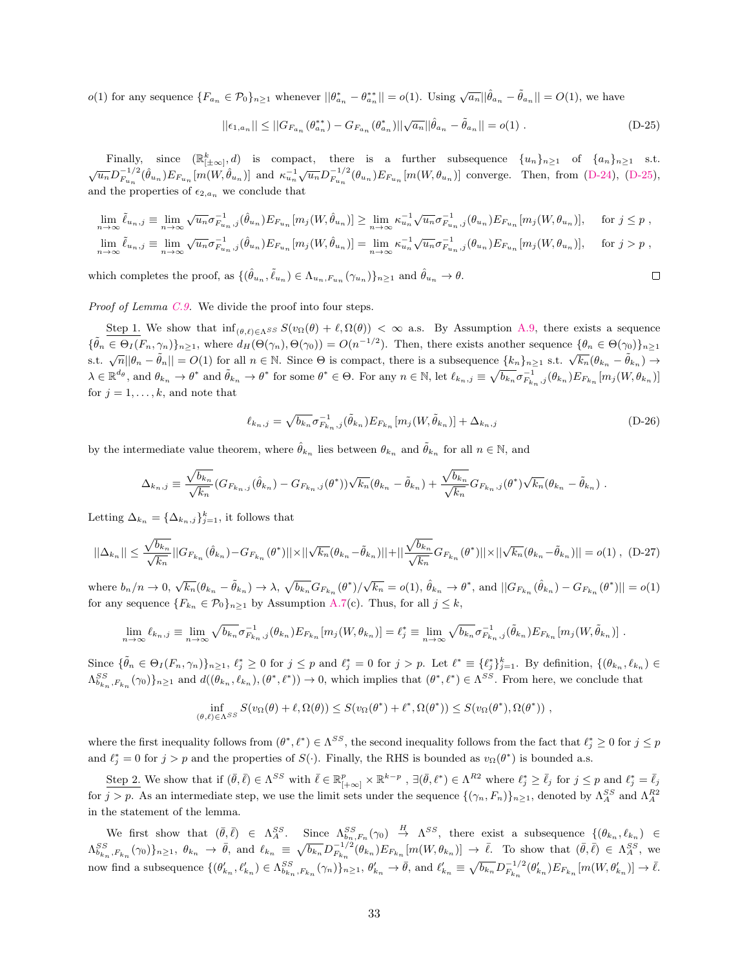$o(1)$  for any sequence  ${F_{a_n} \in \mathcal{P}_0}_{n \ge 1}$  whenever  $||\theta^*_{a_n} - \theta^{**}_{a_n}|| = o(1)$ . Using  $\sqrt{a_n} || \hat{\theta}_{a_n} - \tilde{\theta}_{a_n}|| = O(1)$ , we have

$$
||\epsilon_{1,a_n}|| \le ||G_{F_{a_n}}(\theta_{a_n}^{*}) - G_{F_{a_n}}(\theta_{a_n}^{*})||\sqrt{a_n}||\hat{\theta}_{a_n} - \tilde{\theta}_{a_n}|| = o(1).
$$
 (D-25)

Finally, since  $(\mathbb{R}_{|\pm \infty]}^k, d)$  is compact, there is a further subsequence  $\{u_n\}_{n\geq 1}$  of  $\{a_n\}_{n\geq 1}$  s.t.  $\sqrt{u_n}D_{F_{u_n}}^{-1/2}(\hat{\theta}_{u_n})E_{F_{u_n}}[m(W,\hat{\theta}_{u_n})]$  and  $\kappa_{u_n}^{-1}\sqrt{u_n}D_{F_{u_n}}^{-1/2}(\theta_{u_n})E_{F_{u_n}}[m(W,\theta_{u_n})]$  converge. Then, from [\(D-24\)](#page-32-3), [\(D-25\)](#page-33-0), and the properties of  $\epsilon_{2,a_n}$  we conclude that

$$
\lim_{n \to \infty} \tilde{\ell}_{u_n,j} \equiv \lim_{n \to \infty} \sqrt{u_n} \sigma_{F_{u_n},j}^{-1} (\hat{\theta}_{u_n}) E_{F_{u_n}}[m_j(W, \hat{\theta}_{u_n})] \ge \lim_{n \to \infty} \kappa_{u_n}^{-1} \sqrt{u_n} \sigma_{F_{u_n},j}^{-1} (\theta_{u_n}) E_{F_{u_n}}[m_j(W, \theta_{u_n})], \quad \text{for } j \le p ,
$$
  

$$
\lim_{n \to \infty} \tilde{\ell}_{u_n,j} \equiv \lim_{n \to \infty} \sqrt{u_n} \sigma_{F_{u_n},j}^{-1} (\hat{\theta}_{u_n}) E_{F_{u_n}}[m_j(W, \hat{\theta}_{u_n})] = \lim_{n \to \infty} \kappa_{u_n}^{-1} \sqrt{u_n} \sigma_{F_{u_n},j}^{-1} (\theta_{u_n}) E_{F_{u_n}}[m_j(W, \theta_{u_n})], \quad \text{for } j > p ,
$$

which completes the proof, as  $\{(\hat{\theta}_{u_n}, \tilde{\ell}_{u_n}) \in \Lambda_{u_n}, F_{u_n}(\gamma_{u_n})\}_{n \geq 1}$  and  $\hat{\theta}_{u_n} \to \theta$ .

Proof of Lemma [C.9.](#page-24-9) We divide the proof into four steps.

Step 1. We show that  $\inf_{(\theta,\ell)\in\Lambda^{SS}} S(v_{\Omega}(\theta) + \ell, \Omega(\theta)) < \infty$  a.s. By Assumption [A.9,](#page-21-1) there exists a sequence  $\{\tilde{\theta}_n \in \Theta_I(F_n, \gamma_n)\}_{n \geq 1}$ , where  $d_H(\Theta(\gamma_n), \Theta(\gamma_0)) = O(n^{-1/2})$ . Then, there exists another sequence  $\{\theta_n \in \Theta(\gamma_0)\}_{n \geq 1}$ s.t.  $\sqrt{n} ||\theta_n - \tilde{\theta}_n|| = O(1)$  for all  $n \in \mathbb{N}$ . Since  $\Theta$  is compact, there is a subsequence  $\{k_n\}_{n\geq 1}$  s.t.  $\sqrt{k_n}(\theta_{k_n} - \tilde{\theta}_{k_n}) \rightarrow$  $\lambda \in \mathbb{R}^{d_{\theta}}, \text{ and } \theta_{k_n} \to \theta^* \text{ and } \tilde{\theta}_{k_n} \to \theta^* \text{ for some } \theta^* \in \Theta.$  For any  $n \in \mathbb{N}$ , let  $\ell_{k_n,j} \equiv \sqrt{b_{k_n}} \sigma_{F_{k_n,j}}^{-1}(\theta_{k_n}) E_{F_{k_n}}[m_j(W, \theta_{k_n})]$ for  $j = 1, \ldots, k$ , and note that

<span id="page-33-1"></span>
$$
\ell_{k_n,j} = \sqrt{b_{k_n}} \sigma_{F_{k_n},j}^{-1}(\tilde{\theta}_{k_n}) E_{F_{k_n}}[m_j(W, \tilde{\theta}_{k_n})] + \Delta_{k_n,j}
$$
 (D-26)

<span id="page-33-0"></span> $\Box$ 

by the intermediate value theorem, where  $\hat{\theta}_{k_n}$  lies between  $\theta_{k_n}$  and  $\tilde{\theta}_{k_n}$  for all  $n \in \mathbb{N}$ , and

$$
\Delta_{k_n,j} \equiv \frac{\sqrt{b_{k_n}}}{\sqrt{k_n}} \left( G_{F_{k_n,j}}(\hat{\theta}_{k_n}) - G_{F_{k_n,j}}(\theta^*) \right) \sqrt{k_n} \left( \theta_{k_n} - \tilde{\theta}_{k_n} \right) + \frac{\sqrt{b_{k_n}}}{\sqrt{k_n}} G_{F_{k_n,j}}(\theta^*) \sqrt{k_n} \left( \theta_{k_n} - \tilde{\theta}_{k_n} \right).
$$

Letting  $\Delta_{k_n} = {\Delta_{k_n,j}}_{j=1}^k$ , it follows that

$$
||\Delta_{k_n}|| \leq \frac{\sqrt{b_{k_n}}}{\sqrt{k_n}} ||G_{F_{k_n}}(\hat{\theta}_{k_n}) - G_{F_{k_n}}(\theta^*)|| \times ||\sqrt{k_n}(\theta_{k_n} - \tilde{\theta}_{k_n})|| + ||\frac{\sqrt{b_{k_n}}}{\sqrt{k_n}} G_{F_{k_n}}(\theta^*)|| \times ||\sqrt{k_n}(\theta_{k_n} - \tilde{\theta}_{k_n})|| = o(1), (D-27)
$$

where  $b_n/n \to 0$ ,  $\sqrt{k_n}(\theta_{k_n} - \tilde{\theta}_{k_n}) \to \lambda$ ,  $\sqrt{b_{k_n}}G_{F_{k_n}}(\theta^*)/\sqrt{k_n} = o(1)$ ,  $\hat{\theta}_{k_n} \to \theta^*$ , and  $||G_{F_{k_n}}(\hat{\theta}_{k_n}) - G_{F_{k_n}}(\theta^*)|| = o(1)$ for any sequence  ${F_{k_n} \in \mathcal{P}_0}_{n \geq 1}$  by Assumption [A.7\(](#page-20-0)c). Thus, for all  $j \leq k$ ,

$$
\lim_{n\to\infty} \ell_{k_n,j} \equiv \lim_{n\to\infty} \sqrt{b_{k_n}} \sigma_{F_{k_n},j}^{-1}(\theta_{k_n}) E_{F_{k_n}}[m_j(W,\theta_{k_n})] = \ell_j^* \equiv \lim_{n\to\infty} \sqrt{b_{k_n}} \sigma_{F_{k_n},j}^{-1}(\tilde{\theta}_{k_n}) E_{F_{k_n}}[m_j(W,\tilde{\theta}_{k_n})].
$$

Since  $\{\tilde{\theta}_n \in \Theta_I(F_n, \gamma_n)\}_{n \geq 1}$ ,  $\ell_j^* \geq 0$  for  $j \leq p$  and  $\ell_j^* = 0$  for  $j > p$ . Let  $\ell^* \equiv {\{\ell_j^*\}_{j=1}^k}$ . By definition,  $\{(\theta_{k_n}, \ell_{k_n}) \in$  $\Lambda_{b_{k_n},F_{k_n}}^{SS}(\gamma_0)\}_{n\geq 1}$  and  $d((\theta_{k_n},\ell_{k_n}),(\theta^*,\ell^*))\to 0$ , which implies that  $(\theta^*,\ell^*)\in \Lambda^{SS}$ . From here, we conclude that

$$
\inf_{(\theta,\ell)\in\Lambda^{SS}} S(v_{\Omega}(\theta)+\ell,\Omega(\theta))\leq S(v_{\Omega}(\theta^*)+\ell^*,\Omega(\theta^*))\leq S(v_{\Omega}(\theta^*),\Omega(\theta^*))\;,
$$

where the first inequality follows from  $(\theta^*, \ell^*) \in \Lambda^{SS}$ , the second inequality follows from the fact that  $\ell_j^* \geq 0$  for  $j \leq p$ and  $\ell_j^* = 0$  for  $j > p$  and the properties of  $S(\cdot)$ . Finally, the RHS is bounded as  $v_{\Omega}(\theta^*)$  is bounded a.s.

Step 2. We show that if  $(\bar{\theta}, \bar{\ell}) \in \Lambda^{SS}$  with  $\bar{\ell} \in \mathbb{R}_{[+\infty]}^p \times \mathbb{R}^{k-p}$ ,  $\exists (\bar{\theta}, \ell^*) \in \Lambda^{R2}$  where  $\ell_j^* \geq \bar{\ell}_j$  for  $j \leq p$  and  $\ell_j^* = \bar{\ell}_j$ for  $j > p$ . As an intermediate step, we use the limit sets under the sequence  $\{(\gamma_n, F_n)\}_{n \geq 1}$ , denoted by  $\Lambda_A^{SS}$  and  $\Lambda_A^{R2}$ in the statement of the lemma.

We first show that  $(\bar{\theta}, \bar{\ell}) \in \Lambda_A^{SS}$ . Since  $\Lambda_{b_n, F_n}^{SS}(\gamma_0) \stackrel{H}{\to} \Lambda^{SS}$ , there exist a subsequence  $\{(\theta_{k_n}, \ell_{k_n}) \in$  $\Lambda_{b_{k_n},F_{k_n}}^{SS}(\gamma_0)\}_{n\geq 1}$ ,  $\theta_{k_n} \to \bar{\theta}$ , and  $\ell_{k_n} \equiv \sqrt{b_{k_n}} D_{F_{k_n}}^{-1/2}(\theta_{k_n}) E_{F_{k_n}}[m(W,\theta_{k_n})] \to \bar{\ell}$ . To show that  $(\bar{\theta},\bar{\ell}) \in \Lambda_A^{SS}$ , we now find a subsequence  $\{(\theta'_{k_n}, \ell'_{k_n}) \in \Lambda_{b_{k_n}, F_{k_n}}^{SS}(\gamma_n)\}_{n\geq 1}, \theta'_{k_n} \to \bar{\theta}$ , and  $\ell'_{k_n} \equiv \sqrt{b_{k_n}} D_{F_{k_n}}^{-1/2}(\theta'_{k_n}) E_{F_{k_n}}[m(W, \theta'_{k_n})] \to \bar{\ell}$ .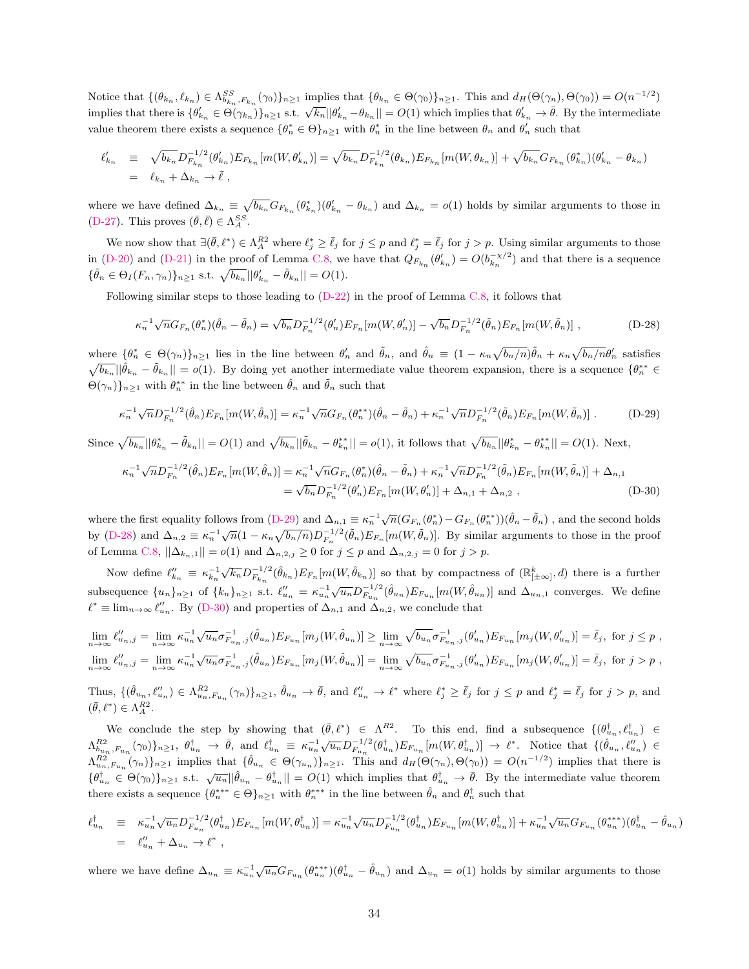Notice that  $\{(\theta_{k_n}, \ell_{k_n}) \in \Lambda_{b_{k_n},F_{k_n}}^{SS}(\gamma_0)\}_{n\geq 1}$  implies that  $\{\theta_{k_n} \in \Theta(\gamma_0)\}_{n\geq 1}$ . This and  $d_H(\Theta(\gamma_n), \Theta(\gamma_0)) = O(n^{-1/2})$ implies that there is  $\{\theta'_{k_n} \in \Theta(\gamma_{k_n})\}_{n\geq 1}$  s.t.  $\sqrt{k_n} ||\theta'_{k_n} - \theta_{k_n}|| = O(1)$  which implies that  $\theta'_{k_n} \to \bar{\theta}$ . By the intermediate value theorem there exists a sequence  $\{\theta_n^* \in \Theta\}_{n\geq 1}$  with  $\theta_n^*$  in the line between  $\theta_n$  and  $\theta_n'$  such that

$$
\ell'_{k_n} \equiv \sqrt{b_{k_n}} D_{F_{k_n}}^{-1/2} (\theta'_{k_n}) E_{F_{k_n}} [m(W, \theta'_{k_n})] = \sqrt{b_{k_n}} D_{F_{k_n}}^{-1/2} (\theta_{k_n}) E_{F_{k_n}} [m(W, \theta_{k_n})] + \sqrt{b_{k_n}} G_{F_{k_n}} (\theta^*_{k_n}) (\theta'_{k_n} - \theta_{k_n})
$$
  
=  $\ell_{k_n} + \Delta_{k_n} \to \bar{\ell}$ ,

where we have defined  $\Delta_{k_n} \equiv \sqrt{b_{k_n}} G_{F_{k_n}} (\theta_{k_n}^*) (\theta_{k_n}' - \theta_{k_n})$  and  $\Delta_{k_n} = o(1)$  holds by similar arguments to those in [\(D-27\)](#page-33-1). This proves  $(\bar{\theta}, \bar{\ell}) \in \Lambda_A^{SS}$ .

We now show that  $\exists (\bar{\theta}, \ell^*) \in \Lambda_A^{R2}$  where  $\ell_j^* \geq \bar{\ell}_j$  for  $j \leq p$  and  $\ell_j^* = \bar{\ell}_j$  for  $j > p$ . Using similar arguments to those in [\(D-20\)](#page-32-4) and [\(D-21\)](#page-32-0) in the proof of Lemma [C.8,](#page-24-2) we have that  $Q_{F_{k_n}}(\theta'_{k_n}) = O(b_{k_n}^{-\chi/2})$  and that there is a sequence  $\{\tilde{\theta}_n \in \Theta_I(F_n, \gamma_n)\}_{n \geq 1}$  s.t.  $\sqrt{b_{k_n}} ||\theta'_{k_n} - \tilde{\theta}_{k_n}|| = O(1)$ .

Following similar steps to those leading to [\(D-22\)](#page-32-1) in the proof of Lemma [C.8,](#page-24-2) it follows that

<span id="page-34-1"></span><span id="page-34-0"></span>
$$
\kappa_n^{-1} \sqrt{n} G_{F_n}(\theta_n^*) (\hat{\theta}_n - \tilde{\theta}_n) = \sqrt{b_n} D_{F_n}^{-1/2}(\theta_n') E_{F_n}[m(W, \theta_n')] - \sqrt{b_n} D_{F_n}^{-1/2}(\tilde{\theta}_n) E_{F_n}[m(W, \tilde{\theta}_n)] ,
$$
\n(D-28)

where  $\{\theta_n^* \in \Theta(\gamma_n)\}_{n\geq 1}$  lies in the line between  $\theta_n'$  and  $\tilde{\theta}_n$ , and  $\hat{\theta}_n \equiv (1 - \kappa_n \sqrt{b_n/n})\tilde{\theta}_n + \kappa_n \sqrt{b_n/n}\theta_n'$  satisfies  $\sqrt{b_{k_n}} || \hat{\theta}_{k_n} - \tilde{\theta}_{k_n} || = o(1)$ . By doing yet another intermediate value theorem expansion, there is a sequence  $\{\theta_n^{**} \in$  $\Theta(\gamma_n)$ <sub> $n \geq 1$ </sub> with  $\theta_n^{**}$  in the line between  $\hat{\theta}_n$  and  $\tilde{\theta}_n$  such that

$$
\kappa_n^{-1} \sqrt{n} D_{F_n}^{-1/2}(\hat{\theta}_n) E_{F_n}[m(W,\hat{\theta}_n)] = \kappa_n^{-1} \sqrt{n} G_{F_n}(\theta_n^{**}) (\hat{\theta}_n - \tilde{\theta}_n) + \kappa_n^{-1} \sqrt{n} D_{F_n}^{-1/2}(\tilde{\theta}_n) E_{F_n}[m(W,\tilde{\theta}_n)] .
$$
 (D-29)

Since  $\sqrt{b_{k_n}} ||\theta^*_{k_n} - \tilde{\theta}_{k_n}|| = O(1)$  and  $\sqrt{b_{k_n}} ||\tilde{\theta}_{k_n} - \theta^{**}_{k_n}|| = o(1)$ , it follows that  $\sqrt{b_{k_n}} ||\theta^*_{k_n} - \theta^{**}_{k_n}|| = O(1)$ . Next,

<span id="page-34-2"></span>
$$
\kappa_n^{-1} \sqrt{n} D_{F_n}^{-1/2}(\hat{\theta}_n) E_{F_n}[m(W,\hat{\theta}_n)] = \kappa_n^{-1} \sqrt{n} G_{F_n}(\theta_n^*)(\hat{\theta}_n - \tilde{\theta}_n) + \kappa_n^{-1} \sqrt{n} D_{F_n}^{-1/2}(\tilde{\theta}_n) E_{F_n}[m(W,\tilde{\theta}_n)] + \Delta_{n,1} = \sqrt{b_n} D_{F_n}^{-1/2}(\theta_n') E_{F_n}[m(W,\theta_n')] + \Delta_{n,1} + \Delta_{n,2} ,
$$
\n(D-30)

where the first equality follows from [\(D-29\)](#page-34-0) and  $\Delta_{n,1} \equiv \kappa_n^{-1} \sqrt{n} (G_{F_n}(\theta_n^*) - G_{F_n}(\theta_n^{**})) (\hat{\theta}_n - \tilde{\theta}_n)$ , and the second holds by [\(D-28\)](#page-34-1) and  $\Delta_{n,2} \equiv \kappa_n^{-1} \sqrt{n} (1 - \kappa_n \sqrt{b_n/n}) D_{F_n}^{-1/2}(\tilde{\theta}_n) E_{F_n}[m(W, \tilde{\theta}_n)]$ . By similar arguments to those in the proof of Lemma [C.8,](#page-24-2)  $||\Delta_{k_n,1}|| = o(1)$  and  $\Delta_{n,2,j} \geq 0$  for  $j \leq p$  and  $\Delta_{n,2,j} = 0$  for  $j > p$ .

Now define  $\ell_{k_n}'' \equiv \kappa_{k_n}^{-1}$  $\sqrt{k_n}D_{F_{k_n}}^{-1/2}(\hat{\theta}_{k_n})E_{F_n}[m(W,\hat{\theta}_{k_n})]$  so that by compactness of  $(\mathbb{R}_{\lfloor\pm\infty\rfloor}^k,d)$  there is a further subsequence  ${u_n}_{n \geq 1}$  of  ${k_n}_{n \geq 1}$  s.t.  $\ell_{u_n}'' = \kappa_{u_n}^{-1} \sqrt{u_n} D_{F_{u_n}}^{-1/2}(\hat{\theta}_{u_n}) E_{F_{u_n}}[m(W, \hat{\theta}_{u_n})]$  and  $\Delta_{u_n, 1}$  converges. We define  $\ell^* \equiv \lim_{n \to \infty} \ell_{u_n}''$ . By [\(D-30\)](#page-34-2) and properties of  $\Delta_{n,1}$  and  $\Delta_{n,2}$ , we conclude that

$$
\lim_{n \to \infty} \ell_{u_{n},j}'' = \lim_{n \to \infty} \kappa_{u_{n}}^{-1} \sqrt{u_{n}} \sigma_{F_{u_{n}},j}^{-1}(\hat{\theta}_{u_{n}}) E_{F_{u_{n}}}[m_{j}(W,\hat{\theta}_{u_{n}})] \geq \lim_{n \to \infty} \sqrt{b_{u_{n}}} \sigma_{F_{u_{n}},j}^{-1}(\theta_{u_{n}}') E_{F_{u_{n}}}[m_{j}(W,\theta_{u_{n}}')] = \bar{\ell}_{j}, \text{ for } j \leq p ,
$$
  

$$
\lim_{n \to \infty} \ell_{u_{n},j}'' = \lim_{n \to \infty} \kappa_{u_{n}}^{-1} \sqrt{u_{n}} \sigma_{F_{u_{n}},j}^{-1}(\hat{\theta}_{u_{n}}) E_{F_{u_{n}}}[m_{j}(W,\hat{\theta}_{u_{n}})] = \lim_{n \to \infty} \sqrt{b_{u_{n}}} \sigma_{F_{u_{n}},j}^{-1}(\theta_{u_{n}}') E_{F_{u_{n}}}[m_{j}(W,\theta_{u_{n}}')] = \bar{\ell}_{j}, \text{ for } j > p ,
$$

Thus,  $\{(\hat{\theta}_{u_n}, \ell_{u_n}^{\prime\prime}) \in \Lambda_{u_n, F_{u_n}}^{R^2}(\gamma_n)\}_{n\geq 1}$ ,  $\hat{\theta}_{u_n} \to \bar{\theta}$ , and  $\ell_{u_n}^{\prime\prime} \to \ell^*$  where  $\ell_j^* \geq \bar{\ell}_j$  for  $j \leq p$  and  $\ell_j^* = \bar{\ell}_j$  for  $j > p$ , and  $(\bar{\theta}, \ell^*) \in \Lambda_A^{R2}.$ 

We conclude the step by showing that  $(\bar{\theta}, \ell^*) \in \Lambda^{R2}$ . To this end, find a subsequence  $\{(\theta_{u_n}^{\dagger}, \ell_{u_n}^{\dagger}) \in$  $\Lambda_{b_{u_n},F_{u_n}}^{R2}(\gamma_0)\}_{n\geq 1}$ ,  $\theta_{u_n}^{\dagger} \rightarrow \bar{\theta}$ , and  $\ell_{u_n}^{\dagger} \equiv \kappa_{u_n}^{-1}\sqrt{u_n}D_{F_{u_n}}^{-1/2}(\theta_{u_n}^{\dagger})E_{F_{u_n}}[m(W,\theta_{u_n}^{\dagger})] \rightarrow \ell^*$ . Notice that  $\{(\hat{\theta}_{u_n},\ell_{u_n}^{\prime\prime})\in\ell^*$  $\Lambda_{u_n,F_{u_n}}^{R2}(\gamma_n)\}_{n\geq 1}$  implies that  $\{\hat{\theta}_{u_n} \in \Theta(\gamma_{u_n})\}_{n\geq 1}$ . This and  $d_H(\Theta(\gamma_n),\Theta(\gamma_0)) = O(n^{-1/2})$  implies that there is  ${\{\theta_{u_n}^{\dagger}, \mu_{u_n}, \mu_{u_n}, \mu_{u_n}\}_{n\geq 1}}$  s.t.  $\sqrt{u_n} ||\hat{\theta}_{u_n} - \theta_{u_n}^{\dagger}|| = O(1)$  which implies that  $\theta_{u_n}^{\dagger} \to \bar{\theta}$ . By the intermediate value theorem there exists a sequence  $\{\theta_n^{***} \in \Theta\}_{n\geq 1}$  with  $\theta_n^{***}$  in the line between  $\hat{\theta}_n$  and  $\theta_n^{\dagger}$  such that

$$
\ell_{u_n}^{\dagger} \equiv \kappa_{u_n}^{-1} \sqrt{u_n} D_{F_{u_n}}^{-1/2} (\theta_{u_n}^{\dagger}) E_{F_{u_n}} [m(W, \theta_{u_n}^{\dagger})] = \kappa_{u_n}^{-1} \sqrt{u_n} D_{F_{u_n}}^{-1/2} (\theta_{u_n}^{\dagger}) E_{F_{u_n}} [m(W, \theta_{u_n}^{\dagger})] + \kappa_{u_n}^{-1} \sqrt{u_n} G_{F_{u_n}} (\theta_{u_n}^{***}) (\theta_{u_n}^{+} - \theta_{u_n}^{+})
$$
  
=  $\ell_{u_n}'' + \Delta_{u_n} \to \ell^*$ ,

where we have define  $\Delta_{u_n} \equiv \kappa_{u_n}^{-1} \sqrt{u_n} G_{F_{u_n}} (\theta_{u_n}^{***}) (\theta_{u_n}^{\dagger} - \hat{\theta}_{u_n})$  and  $\Delta_{u_n} = o(1)$  holds by similar arguments to those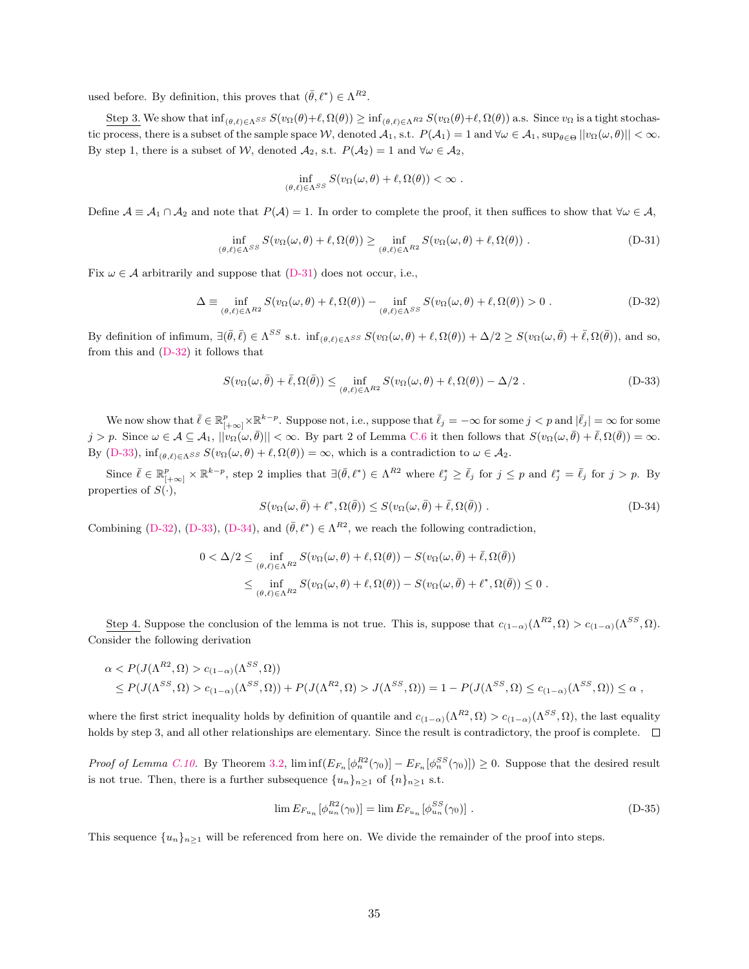used before. By definition, this proves that  $(\bar{\theta}, \ell^*) \in \Lambda^{R2}$ .

Step 3. We show that  $\inf_{(\theta,\ell)\in\Delta S} S(v_{\Omega}(\theta)+\ell, \Omega(\theta)) \geq \inf_{(\theta,\ell)\in\Delta R^2} S(v_{\Omega}(\theta)+\ell, \Omega(\theta))$  a.s. Since  $v_{\Omega}$  is a tight stochastic process, there is a subset of the sample space W, denoted  $\mathcal{A}_1$ , s.t.  $P(\mathcal{A}_1) = 1$  and  $\forall \omega \in \mathcal{A}_1$ ,  $\sup_{\theta \in \Theta} ||v_{\Omega}(\omega, \theta)|| < \infty$ . By step 1, there is a subset of W, denoted  $A_2$ , s.t.  $P(A_2) = 1$  and  $\forall \omega \in A_2$ ,

<span id="page-35-1"></span><span id="page-35-0"></span>
$$
\inf_{(\theta,\ell)\in\Lambda^{SS}} S(v_{\Omega}(\omega,\theta)+\ell,\Omega(\theta))<\infty.
$$

Define  $A \equiv A_1 \cap A_2$  and note that  $P(A) = 1$ . In order to complete the proof, it then suffices to show that  $\forall \omega \in A$ ,

$$
\inf_{(\theta,\ell)\in\Lambda^{SS}} S(v_{\Omega}(\omega,\theta)+\ell,\Omega(\theta)) \ge \inf_{(\theta,\ell)\in\Lambda^{RS}} S(v_{\Omega}(\omega,\theta)+\ell,\Omega(\theta)).
$$
 (D-31)

Fix  $\omega \in A$  arbitrarily and suppose that [\(D-31\)](#page-35-0) does not occur, i.e.,

$$
\Delta \equiv \inf_{(\theta,\ell)\in\Lambda^{R2}} S(v_{\Omega}(\omega,\theta) + \ell, \Omega(\theta)) - \inf_{(\theta,\ell)\in\Lambda^{SS}} S(v_{\Omega}(\omega,\theta) + \ell, \Omega(\theta)) > 0.
$$
 (D-32)

By definition of infimum,  $\exists (\bar{\theta}, \bar{\ell}) \in \Lambda^{SS} \text{ s.t. } \inf_{(\theta,\ell) \in \Lambda^{SS}} S(v_{\Omega}(\omega,\theta) + \ell, \Omega(\theta)) + \Delta/2 \geq S(v_{\Omega}(\omega,\bar{\theta}) + \bar{\ell}, \Omega(\bar{\theta})), \text{ and so,}$ from this and [\(D-32\)](#page-35-1) it follows that

<span id="page-35-2"></span>
$$
S(v_{\Omega}(\omega,\bar{\theta})+\bar{\ell},\Omega(\bar{\theta})) \le \inf_{(\theta,\ell)\in\Lambda^{R2}} S(v_{\Omega}(\omega,\theta)+\ell,\Omega(\theta)) - \Delta/2.
$$
 (D-33)

We now show that  $\bar{\ell} \in \mathbb{R}_{[+\infty]}^p \times \mathbb{R}^{k-p}$ . Suppose not, i.e., suppose that  $\bar{\ell}_j = -\infty$  for some  $j < p$  and  $|\bar{\ell}_j| = \infty$  for some j > p. Since  $\omega \in A \subseteq A_1$ ,  $||v_{\Omega}(\omega, \bar{\theta})|| < \infty$ . By part 2 of Lemma [C.6](#page-24-4) it then follows that  $S(v_{\Omega}(\omega, \bar{\theta}) + \bar{\ell}, \Omega(\bar{\theta})) = \infty$ . By [\(D-33\)](#page-35-2),  $\inf_{(\theta,\ell)\in\Lambda^{SS}} S(v_{\Omega}(\omega,\theta) + \ell, \Omega(\theta)) = \infty$ , which is a contradiction to  $\omega \in \mathcal{A}_2$ .

Since  $\bar{\ell} \in \mathbb{R}_{[+\infty]}^p \times \mathbb{R}^{k-p}$ , step 2 implies that  $\exists (\bar{\theta}, \ell^*) \in \Lambda^{R2}$  where  $\ell_j^* \geq \bar{\ell}_j$  for  $j \leq p$  and  $\ell_j^* = \bar{\ell}_j$  for  $j > p$ . By properties of  $S(\cdot)$ ,

$$
S(v_{\Omega}(\omega,\bar{\theta}) + \ell^*, \Omega(\bar{\theta})) \le S(v_{\Omega}(\omega,\bar{\theta}) + \bar{\ell}, \Omega(\bar{\theta})).
$$
 (D-34)

Combining [\(D-32\)](#page-35-1), [\(D-33\)](#page-35-2), [\(D-34\)](#page-35-3), and  $(\bar{\theta}, \ell^*) \in \Lambda^{R2}$ , we reach the following contradiction,

<span id="page-35-3"></span>
$$
0 < \Delta/2 \leq \inf_{(\theta,\ell) \in \Lambda^{R2}} S(v_{\Omega}(\omega,\theta) + \ell, \Omega(\theta)) - S(v_{\Omega}(\omega,\bar{\theta}) + \bar{\ell}, \Omega(\bar{\theta}))
$$
  

$$
\leq \inf_{(\theta,\ell) \in \Lambda^{R2}} S(v_{\Omega}(\omega,\theta) + \ell, \Omega(\theta)) - S(v_{\Omega}(\omega,\bar{\theta}) + \ell^*, \Omega(\bar{\theta})) \leq 0.
$$

Step 4. Suppose the conclusion of the lemma is not true. This is, suppose that  $c_{(1-\alpha)}(\Lambda^{R2}, \Omega) > c_{(1-\alpha)}(\Lambda^{SS}, \Omega)$ . Consider the following derivation

$$
\alpha < P(J(\Lambda^{R^2}, \Omega) > c_{(1-\alpha)}(\Lambda^{SS}, \Omega)) \\
\leq P(J(\Lambda^{SS}, \Omega) > c_{(1-\alpha)}(\Lambda^{SS}, \Omega)) + P(J(\Lambda^{R^2}, \Omega) > J(\Lambda^{SS}, \Omega)) = 1 - P(J(\Lambda^{SS}, \Omega) \leq c_{(1-\alpha)}(\Lambda^{SS}, \Omega)) \leq \alpha,
$$

where the first strict inequality holds by definition of quantile and  $c_{(1-\alpha)}(\Lambda^{R2}, \Omega) > c_{(1-\alpha)}(\Lambda^{SS}, \Omega)$ , the last equality holds by step 3, and all other relationships are elementary. Since the result is contradictory, the proof is complete.  $\Box$ 

*Proof of Lemma [C.10.](#page-24-0)* By Theorem [3.2,](#page-10-0)  $\liminf (E_{F_n} [\phi_n^{R2}(\gamma_0)] - E_{F_n} [\phi_n^{SS}(\gamma_0)]) \geq 0$ . Suppose that the desired result is not true. Then, there is a further subsequence  $\{u_n\}_{n\geq 1}$  of  $\{n\}_{n\geq 1}$  s.t.

<span id="page-35-4"></span>
$$
\lim E_{F_{u_n}}[\phi_{u_n}^{R2}(\gamma_0)] = \lim E_{F_{u_n}}[\phi_{u_n}^{SS}(\gamma_0)] . \tag{D-35}
$$

This sequence  ${u_n}_{n\geq 1}$  will be referenced from here on. We divide the remainder of the proof into steps.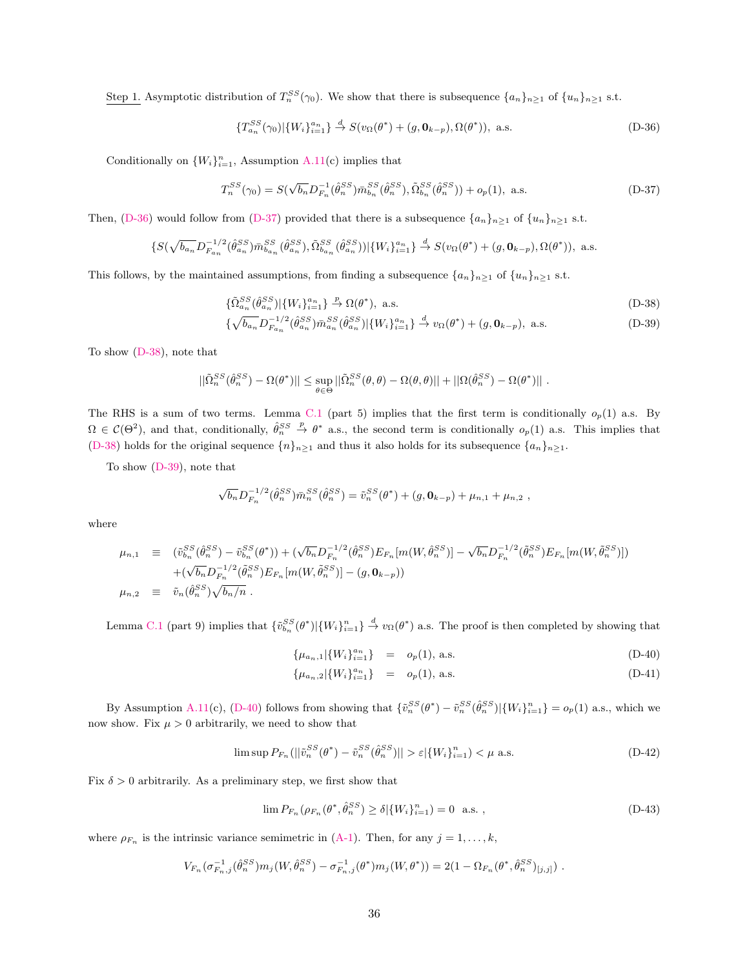Step 1. Asymptotic distribution of  $T_n^{SS}(\gamma_0)$ . We show that there is subsequence  $\{a_n\}_{n\geq 1}$  of  $\{u_n\}_{n\geq 1}$  s.t.

<span id="page-36-1"></span><span id="page-36-0"></span>
$$
\{T_{a_n}^{SS}(\gamma_0)|\{W_i\}_{i=1}^{a_n}\}\stackrel{d}{\to} S(v_{\Omega}(\theta^*)+(g,\mathbf{0}_{k-p}),\Omega(\theta^*)), \text{ a.s.}\tag{D-36}
$$

Conditionally on  $\{W_i\}_{i=1}^n$ , Assumption [A.11\(](#page-21-3)c) implies that

$$
T_n^{SS}(\gamma_0) = S(\sqrt{b_n}D_{F_n}^{-1}(\hat{\theta}_n^{SS})\bar{m}_{b_n}^{SS}(\hat{\theta}_n^{SS}), \tilde{\Omega}_{b_n}^{SS}(\hat{\theta}_n^{SS})) + o_p(1), \text{ a.s.}
$$
 (D-37)

Then, [\(D-36\)](#page-36-0) would follow from [\(D-37\)](#page-36-1) provided that there is a subsequence  $\{a_n\}_{n\geq 1}$  of  $\{u_n\}_{n\geq 1}$  s.t.

$$
\{S(\sqrt{b_{a_n}}D_{F_{a_n}}^{-1/2}(\hat{\theta}_{a_n}^{SS})\bar{m}_{b_{a_n}}^{SS}(\hat{\theta}_{a_n}^{SS}),\tilde{\Omega}_{b_{a_n}}^{SS}(\hat{\theta}_{a_n}^{SS}))|\{W_i\}_{i=1}^{a_n}\} \stackrel{d}{\to} S(v_{\Omega}(\theta^*) + (g, \mathbf{0}_{k-p}), \Omega(\theta^*)), \text{ a.s.}
$$

This follows, by the maintained assumptions, from finding a subsequence  $\{a_n\}_{n\geq 1}$  of  $\{u_n\}_{n\geq 1}$  s.t.

<span id="page-36-2"></span>
$$
\{\tilde{\Omega}_{a_n}^{SS}(\hat{\theta}_{a_n}^{SS})|\{W_i\}_{i=1}^{a_n}\} \stackrel{p}{\rightarrow} \Omega(\theta^*), \text{ a.s.}\tag{D-38}
$$

$$
\{\sqrt{b_{a_n}}D_{F_{a_n}}^{-1/2}(\hat{\theta}_{a_n}^{SS})\bar{m}_{a_n}^{SS}(\hat{\theta}_{a_n}^{SS})|\{W_i\}_{i=1}^{a_n}\} \stackrel{d}{\to} v_\Omega(\theta^*) + (g, \mathbf{0}_{k-p}), \text{ a.s.} \tag{D-39}
$$

To show [\(D-38\)](#page-36-2), note that

$$
||\tilde{\Omega}_n^{SS}(\hat{\theta}_n^{SS}) - \Omega(\theta^*)|| \leq \sup_{\theta \in \Theta} ||\tilde{\Omega}_n^{SS}(\theta, \theta) - \Omega(\theta, \theta)|| + ||\Omega(\hat{\theta}_n^{SS}) - \Omega(\theta^*)||.
$$

The RHS is a sum of two terms. Lemma [C.1](#page-23-2) (part 5) implies that the first term is conditionally  $o_p(1)$  a.s. By  $\Omega \in \mathcal{C}(\Theta^2)$ , and that, conditionally,  $\hat{\theta}_n^{SS} \stackrel{p}{\rightarrow} \theta^*$  a.s., the second term is conditionally  $o_p(1)$  a.s. This implies that [\(D-38\)](#page-36-2) holds for the original sequence  $\{n\}_{n\geq 1}$  and thus it also holds for its subsequence  $\{a_n\}_{n\geq 1}$ .

To show [\(D-39\)](#page-36-2), note that

$$
\sqrt{b_n}D_{F_n}^{-1/2}(\hat{\theta}_n^{SS})\bar{m}_n^{SS}(\hat{\theta}_n^{SS}) = \tilde{v}_n^{SS}(\theta^*) + (g, \mathbf{0}_{k-p}) + \mu_{n,1} + \mu_{n,2} ,
$$

where

$$
\mu_{n,1} \equiv (\tilde{v}_{b_n}^{SS}(\hat{\theta}_n^{SS}) - \tilde{v}_{b_n}^{SS}(\theta^*)) + (\sqrt{b_n}D_{F_n}^{-1/2}(\hat{\theta}_n^{SS})E_{F_n}[m(W,\hat{\theta}_n^{SS})] - \sqrt{b_n}D_{F_n}^{-1/2}(\tilde{\theta}_n^{SS})E_{F_n}[m(W,\tilde{\theta}_n^{SS})]) \n+ (\sqrt{b_n}D_{F_n}^{-1/2}(\tilde{\theta}_n^{SS})E_{F_n}[m(W,\tilde{\theta}_n^{SS})] - (g, \mathbf{0}_{k-p})) \n\mu_{n,2} \equiv \tilde{v}_n(\hat{\theta}_n^{SS})\sqrt{b_n/n} .
$$

Lemma [C.1](#page-23-2) (part 9) implies that  $\{\tilde{v}_{b_n}^{SS}(\theta^*)|\{W_i\}_{i=1}^n\}\stackrel{d}{\to}v_{\Omega}(\theta^*)$  a.s. The proof is then completed by showing that

<span id="page-36-3"></span>
$$
\{\mu_{a_n,1}|\{W_i\}_{i=1}^{a_n}\} = o_p(1), \text{ a.s.}
$$
\n(D-40)

<span id="page-36-5"></span>
$$
\{\mu_{a_n,2}|\{W_i\}_{i=1}^{a_n}\} = o_p(1), \text{ a.s.}
$$
\n(D-41)

By Assumption [A.11\(](#page-21-3)c), [\(D-40\)](#page-36-3) follows from showing that  $\{\tilde{v}_n^{SS}(\theta^*) - \tilde{v}_n^{SS}(\hat{\theta}_n^{SS}) | \{W_i\}_{i=1}^n\} = o_p(1)$  a.s., which we now show. Fix  $\mu > 0$  arbitrarily, we need to show that

$$
\limsup P_{F_n} (||\tilde{v}_n^{SS}(\theta^*) - \tilde{v}_n^{SS}(\hat{\theta}_n^{SS})|| > \varepsilon |\{W_i\}_{i=1}^n) < \mu \text{ a.s.}
$$
\n(D-42)

Fix  $\delta > 0$  arbitrarily. As a preliminary step, we first show that

<span id="page-36-4"></span>
$$
\lim P_{F_n}(\rho_{F_n}(\theta^*, \hat{\theta}_n^{SS}) \ge \delta | \{W_i\}_{i=1}^n) = 0 \text{ a.s. },
$$
\n(D-43)

where  $\rho_{F_n}$  is the intrinsic variance semimetric in [\(A-1\)](#page-18-3). Then, for any  $j = 1, ..., k$ ,

$$
V_{F_n}(\sigma_{F_n,j}^{-1}(\hat{\theta}_n^{SS})m_j(W,\hat{\theta}_n^{SS}) - \sigma_{F_n,j}^{-1}(\theta^*)m_j(W,\theta^*)) = 2(1 - \Omega_{F_n}(\theta^*,\hat{\theta}_n^{SS})_{[j,j]}) .
$$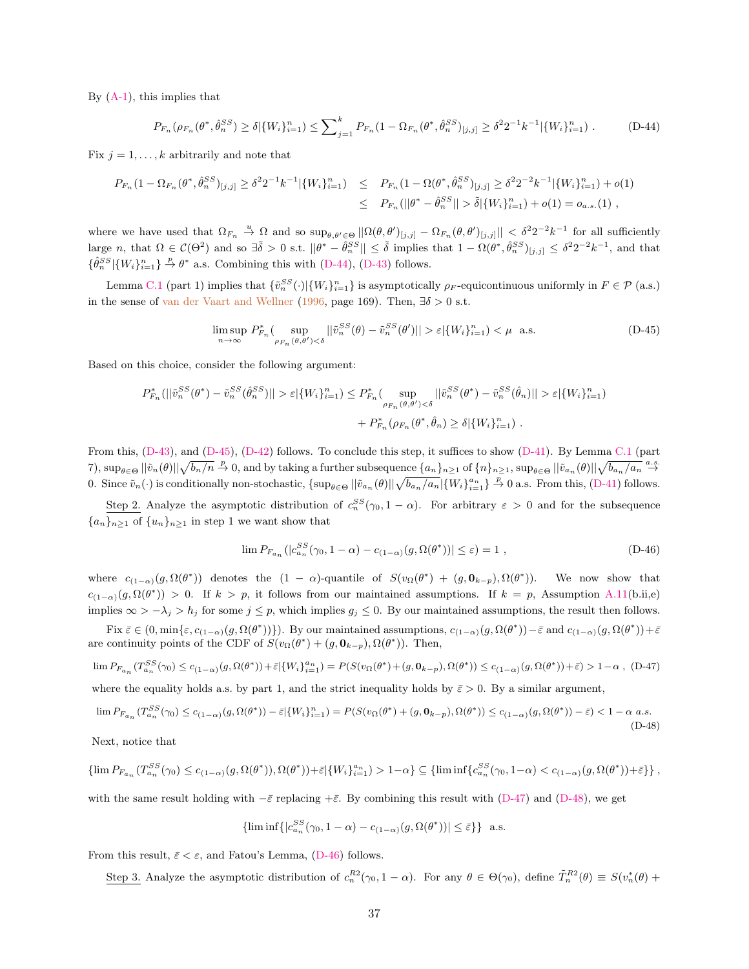By [\(A-1\)](#page-18-3), this implies that

<span id="page-37-0"></span>
$$
P_{F_n}(\rho_{F_n}(\theta^*, \hat{\theta}_n^{SS}) \ge \delta |\{W_i\}_{i=1}^n) \le \sum_{j=1}^k P_{F_n}(1 - \Omega_{F_n}(\theta^*, \hat{\theta}_n^{SS})_{[j,j]} \ge \delta^2 2^{-1} k^{-1} |\{W_i\}_{i=1}^n). \tag{D-44}
$$

Fix  $j = 1, \ldots, k$  arbitrarily and note that

$$
P_{F_n}(1 - \Omega_{F_n}(\theta^*, \hat{\theta}_n^{SS})_{[j,j]} \ge \delta^2 2^{-1} k^{-1} |\{W_i\}_{i=1}^n) \le P_{F_n}(1 - \Omega(\theta^*, \hat{\theta}_n^{SS})_{[j,j]} \ge \delta^2 2^{-2} k^{-1} |\{W_i\}_{i=1}^n) + o(1)
$$
  

$$
\le P_{F_n}(||\theta^* - \hat{\theta}_n^{SS}|| > \tilde{\delta} |\{W_i\}_{i=1}^n) + o(1) = o_{a.s.}(1),
$$

where we have used that  $\Omega_{F_n} \stackrel{u}{\to} \Omega$  and so  $\sup_{\theta, \theta' \in \Theta} ||\Omega(\theta, \theta')_{[j,j]} - \Omega_{F_n}(\theta, \theta')_{[j,j]}|| < \delta^2 2^{-2} k^{-1}$  for all sufficiently large n, that  $\Omega \in \mathcal{C}(\Theta^2)$  and so  $\exists \tilde{\delta} > 0$  s.t.  $||\theta^* - \hat{\theta}_n^{SS}|| \leq \tilde{\delta}$  implies that  $1 - \Omega(\theta^*, \hat{\theta}_n^{SS})_{[j,j]} \leq \delta^2 2^{-2} k^{-1}$ , and that  $\{\hat{\theta}_n^{SS}|\{W_i\}_{i=1}^n\}\stackrel{p}{\rightarrow}\theta^*$  a.s. Combining this with [\(D-44\)](#page-37-0), [\(D-43\)](#page-36-4) follows.

Lemma [C.1](#page-23-2) (part 1) implies that  $\{\tilde{v}_n^{SS}(\cdot)|\{W_i\}_{i=1}^n\}$  is asymptotically  $\rho_F$ -equicontinuous uniformly in  $F \in \mathcal{P}$  (a.s.) in the sense of [van der Vaart and Wellner](#page-40-15) [\(1996,](#page-40-15) page 169). Then,  $\exists \delta > 0$  s.t.

<span id="page-37-1"></span>
$$
\limsup_{n \to \infty} P_{F_n}^* \left( \sup_{\rho_{F_n}(\theta, \theta') < \delta} ||\tilde{v}_n^{SS}(\theta) - \tilde{v}_n^{SS}(\theta')|| > \varepsilon |\{W_i\}_{i=1}^n \right) < \mu \quad \text{a.s.} \tag{D-45}
$$

Based on this choice, consider the following argument:

$$
P_{F_n}^* (||\tilde{v}_n^{SS}(\theta^*) - \tilde{v}_n^{SS}(\hat{\theta}_n^{SS})|| > \varepsilon |\{W_i\}_{i=1}^n) \le P_{F_n}^* (\sup_{\rho_{F_n}(\theta, \theta') < \delta} ||\tilde{v}_n^{SS}(\theta^*) - \tilde{v}_n^{SS}(\hat{\theta}_n)|| > \varepsilon |\{W_i\}_{i=1}^n)
$$
  
+  $P_{F_n}^* (\rho_{F_n}(\theta^*, \hat{\theta}_n) \ge \delta |\{W_i\}_{i=1}^n).$ 

From this, [\(D-43\)](#page-36-4), and [\(D-45\)](#page-37-1), [\(D-42\)](#page-36-5) follows. To conclude this step, it suffices to show [\(D-41\)](#page-36-3). By Lemma [C.1](#page-23-2) (part  $(7), \sup_{\theta \in \Theta} ||\tilde{v}_n(\theta)|| \sqrt{b_n/n} \stackrel{p}{\to} 0$ , and by taking a further subsequence  $\{a_n\}_{n\geq 1}$  of  $\{n\}_{n\geq 1}$ ,  $\sup_{\theta \in \Theta} ||\tilde{v}_{a_n}(\theta)|| \sqrt{b_{a_n}/a_n} \stackrel{a.s.}{\to} 0$ 0. Since  $\tilde{v}_n(\cdot)$  is conditionally non-stochastic,  $\{\sup_{\theta \in \Theta} ||\tilde{v}_{a_n}(\theta)||\sqrt{b_{a_n}/a_n}|\{W_i\}_{i=1}^{a_n}\}\stackrel{p}{\to} 0$  a.s. From this, [\(D-41\)](#page-36-3) follows.

Step 2. Analyze the asymptotic distribution of  $c_n^{SS}(\gamma_0, 1 - \alpha)$ . For arbitrary  $\varepsilon > 0$  and for the subsequence  ${a_n}_{n>1}$  of  ${u_n}_{n>1}$  in step 1 we want show that

<span id="page-37-4"></span><span id="page-37-2"></span>
$$
\lim P_{F_{a_n}} (|c_{a_n}^{SS}(\gamma_0, 1 - \alpha) - c_{(1-\alpha)}(g, \Omega(\theta^*))| \le \varepsilon) = 1 , \qquad (D-46)
$$

where  $c_{(1-\alpha)}(g,\Omega(\theta^*))$  denotes the  $(1-\alpha)$ -quantile of  $S(v_{\Omega}(\theta^*) + (g,\mathbf{0}_{k-p}),\Omega(\theta^*))$ . We now show that  $c_{(1-\alpha)}(g,\Omega(\theta^*))$  > 0. If  $k > p$ , it follows from our maintained assumptions. If  $k = p$ , Assumption [A.11\(](#page-21-3)b.ii,e) implies  $\infty > -\lambda_j > h_j$  for some  $j \leq p$ , which implies  $g_j \leq 0$ . By our maintained assumptions, the result then follows.

Fix  $\bar{\varepsilon} \in (0, \min\{\varepsilon, c_{(1-\alpha)}(g, \Omega(\theta^*))\})$ . By our maintained assumptions,  $c_{(1-\alpha)}(g, \Omega(\theta^*)) - \bar{\varepsilon}$  and  $c_{(1-\alpha)}(g, \Omega(\theta^*)) + \bar{\varepsilon}$ are continuity points of the CDF of  $S(v_{\Omega}(\theta^*) + (g, \mathbf{0}_{k-p}), \Omega(\theta^*))$ . Then,

$$
\lim P_{F_{a_n}}(T_{a_n}^{SS}(\gamma_0) \le c_{(1-\alpha)}(g,\Omega(\theta^*)) + \bar{\varepsilon} \left\{ W_i \right\}_{i=1}^{a_n} = P(S(v_\Omega(\theta^*) + (g,\mathbf{0}_{k-p}),\Omega(\theta^*)) \le c_{(1-\alpha)}(g,\Omega(\theta^*)) + \bar{\varepsilon}) > 1-\alpha, \quad (D-47)
$$

where the equality holds a.s. by part 1, and the strict inequality holds by  $\bar{\varepsilon} > 0$ . By a similar argument,

$$
\lim_{n \to \infty} P_{F_{a_n}}(T_{a_n}^{SS}(\gamma_0) \le c_{(1-\alpha)}(g, \Omega(\theta^*)) - \bar{\varepsilon} \left[ \{ W_i \}_{i=1}^n \right] = P(S(v_\Omega(\theta^*) + (g, \mathbf{0}_{k-p}), \Omega(\theta^*)) \le c_{(1-\alpha)}(g, \Omega(\theta^*)) - \bar{\varepsilon}) < 1 - \alpha \text{ a.s.}
$$
\n(D-48)

Next, notice that

$$
\{\lim P_{F_{a_n}}(T_{a_n}^{SS}(\gamma_0) \le c_{(1-\alpha)}(g,\Omega(\theta^*)),\Omega(\theta^*))+\bar{\varepsilon}|\{W_i\}_{i=1}^{a_n}\} > 1-\alpha\} \subseteq \{\liminf \{c_{a_n}^{SS}(\gamma_0,1-\alpha) < c_{(1-\alpha)}(g,\Omega(\theta^*))+\bar{\varepsilon}\}\},
$$

with the same result holding with  $-\bar{\varepsilon}$  replacing  $+\bar{\varepsilon}$ . By combining this result with [\(D-47\)](#page-37-2) and [\(D-48\)](#page-37-3), we get

<span id="page-37-3"></span> $\overline{a}$ 

$$
\{\liminf\{|c_{a_n}^{SS}(\gamma_0, 1-\alpha) - c_{(1-\alpha)}(g, \Omega(\theta^*))| \le \bar{\varepsilon}\}\}\quad \text{a.s.}
$$

From this result,  $\bar{\varepsilon} < \varepsilon$ , and Fatou's Lemma, [\(D-46\)](#page-37-4) follows.

Step 3. Analyze the asymptotic distribution of  $c_n^{R2}(\gamma_0, 1 - \alpha)$ . For any  $\theta \in \Theta(\gamma_0)$ , define  $\tilde{T}_n^{R2}(\theta) \equiv S(v_n^*(\theta) +$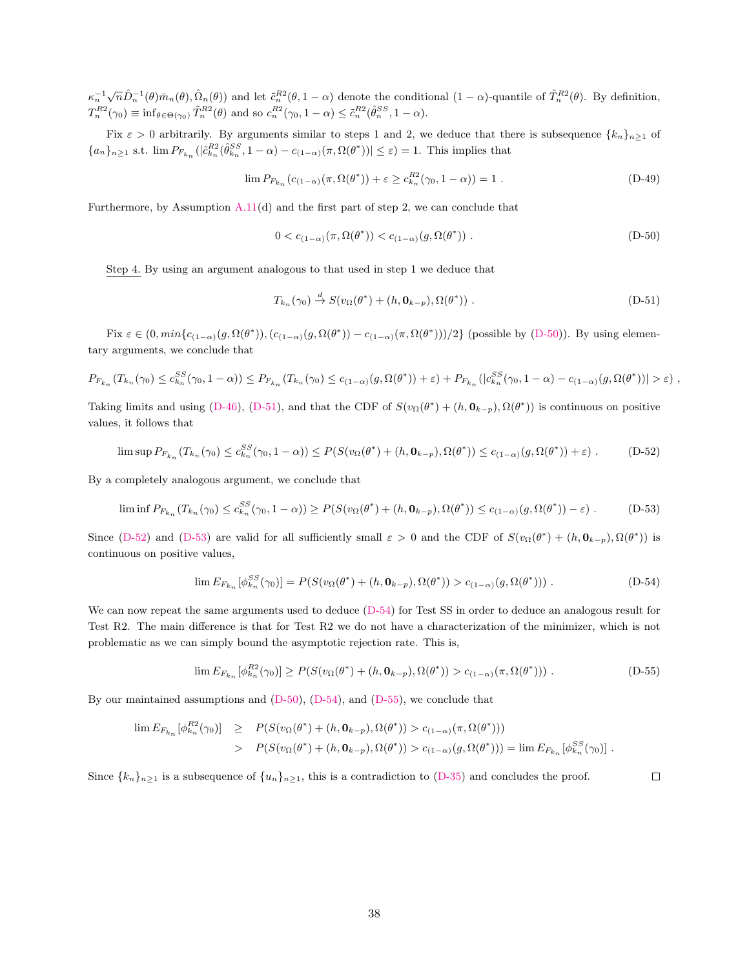$\kappa_n^{-1} \sqrt{n} \hat{D}_n^{-1}(\theta) \bar{m}_n(\theta), \hat{\Omega}_n(\theta)$  and let  $\tilde{c}_n^{R2}(\theta, 1-\alpha)$  denote the conditional  $(1-\alpha)$ -quantile of  $\tilde{T}_n^{R2}(\theta)$ . By definition,  $T_n^{R2}(\gamma_0) \equiv \inf_{\theta \in \Theta(\gamma_0)} \tilde{T}_n^{R2}(\theta)$  and so  $c_n^{R2}(\gamma_0, 1 - \alpha) \leq \tilde{c}_n^{R2}(\hat{\theta}_n^{SS}, 1 - \alpha)$ .

Fix  $\varepsilon > 0$  arbitrarily. By arguments similar to steps 1 and 2, we deduce that there is subsequence  $\{k_n\}_{n\geq 1}$  of  ${a_n}_{n\geq 1}$  s.t.  $\lim P_{F_{k_n}}(|\tilde{c}_{k_n}^{RS}(\hat{\theta}_{k_n}^{SS}, 1-\alpha) - c_{(1-\alpha)}(\pi, \Omega(\theta^*))| \leq \varepsilon) = 1$ . This implies that

$$
\lim P_{F_{k_n}}(c_{(1-\alpha)}(\pi, \Omega(\theta^*)) + \varepsilon \ge c_{k_n}^{R2}(\gamma_0, 1-\alpha)) = 1.
$$
 (D-49)

Furthermore, by Assumption [A.11\(](#page-21-3)d) and the first part of step 2, we can conclude that

<span id="page-38-1"></span><span id="page-38-0"></span>
$$
0 < c_{(1-\alpha)}(\pi, \Omega(\theta^*)) < c_{(1-\alpha)}(g, \Omega(\theta^*)) . \tag{D-50}
$$

Step 4. By using an argument analogous to that used in step 1 we deduce that

<span id="page-38-3"></span>
$$
T_{k_n}(\gamma_0) \stackrel{d}{\to} S(v_\Omega(\theta^*) + (h, \mathbf{0}_{k-p}), \Omega(\theta^*)) .
$$
 (D-51)

Fix  $\varepsilon \in (0, min\{c_{(1-\alpha)(g, \Omega(\theta^*)), (c_{(1-\alpha)(g, \Omega(\theta^*))}-c_{(1-\alpha)(\pi, \Omega(\theta^*))})/2\}$  (possible by [\(D-50\)](#page-38-0)). By using elementary arguments, we conclude that

$$
P_{F_{k_n}}(T_{k_n}(\gamma_0) \le c_{k_n}^{SS}(\gamma_0, 1 - \alpha)) \le P_{F_{k_n}}(T_{k_n}(\gamma_0) \le c_{(1-\alpha)}(g, \Omega(\theta^*)) + \varepsilon) + P_{F_{k_n}}(|c_{k_n}^{SS}(\gamma_0, 1 - \alpha) - c_{(1-\alpha)}(g, \Omega(\theta^*))| > \varepsilon),
$$

Taking limits and using [\(D-46\)](#page-37-4), [\(D-51\)](#page-38-1), and that the CDF of  $S(v_{\Omega}(\theta^*) + (h, \mathbf{0}_{k-p}), \Omega(\theta^*))$  is continuous on positive values, it follows that

<span id="page-38-2"></span>
$$
\limsup P_{F_{k_n}}(T_{k_n}(\gamma_0) \leq c_{k_n}^{SS}(\gamma_0, 1-\alpha)) \leq P(S(v_{\Omega}(\theta^*) + (h, \mathbf{0}_{k-p}), \Omega(\theta^*)) \leq c_{(1-\alpha)}(g, \Omega(\theta^*)) + \varepsilon).
$$
 (D-52)

By a completely analogous argument, we conclude that

$$
\liminf P_{F_{k_n}}(T_{k_n}(\gamma_0) \leq c_{k_n}^{SS}(\gamma_0, 1-\alpha)) \geq P(S(v_\Omega(\theta^*) + (h, \mathbf{0}_{k-p}), \Omega(\theta^*)) \leq c_{(1-\alpha)}(g, \Omega(\theta^*)) - \varepsilon).
$$
 (D-53)

Since [\(D-52\)](#page-38-2) and [\(D-53\)](#page-38-3) are valid for all sufficiently small  $\varepsilon > 0$  and the CDF of  $S(v_{\Omega}(\theta^*) + (h, \mathbf{0}_{k-p}), \Omega(\theta^*))$  is continuous on positive values,

<span id="page-38-4"></span>
$$
\lim E_{F_{k_n}}[\phi_{k_n}^{SS}(\gamma_0)] = P(S(v_{\Omega}(\theta^*) + (h, \mathbf{0}_{k-p}), \Omega(\theta^*)) > c_{(1-\alpha)}(g, \Omega(\theta^*))) .
$$
\n(D-54)

We can now repeat the same arguments used to deduce  $(D-54)$  for Test SS in order to deduce an analogous result for Test R2. The main difference is that for Test R2 we do not have a characterization of the minimizer, which is not problematic as we can simply bound the asymptotic rejection rate. This is,

$$
\lim E_{F_{k_n}}[\phi_{k_n}^{R2}(\gamma_0)] \ge P(S(v_{\Omega}(\theta^*) + (h, \mathbf{0}_{k-p}), \Omega(\theta^*)) > c_{(1-\alpha)}(\pi, \Omega(\theta^*))).
$$
 (D-55)

By our maintained assumptions and [\(D-50\)](#page-38-0), [\(D-54\)](#page-38-4), and [\(D-55\)](#page-38-5), we conclude that

$$
\begin{array}{rcl}\n\lim E_{F_{k_n}}[\phi_{k_n}^{R2}(\gamma_0)] & \geq & P(S(v_{\Omega}(\theta^*) + (h, \mathbf{0}_{k-p}), \Omega(\theta^*)) > c_{(1-\alpha)}(\pi, \Omega(\theta^*))) \\
& > & P(S(v_{\Omega}(\theta^*) + (h, \mathbf{0}_{k-p}), \Omega(\theta^*)) > c_{(1-\alpha)}(g, \Omega(\theta^*))) = \lim E_{F_{k_n}}[\phi_{k_n}^{SS}(\gamma_0)]\n\end{array}.
$$

Since  $\{k_n\}_{n\geq 1}$  is a subsequence of  $\{u_n\}_{n\geq 1}$ , this is a contradiction to [\(D-35\)](#page-35-4) and concludes the proof.

<span id="page-38-5"></span> $\Box$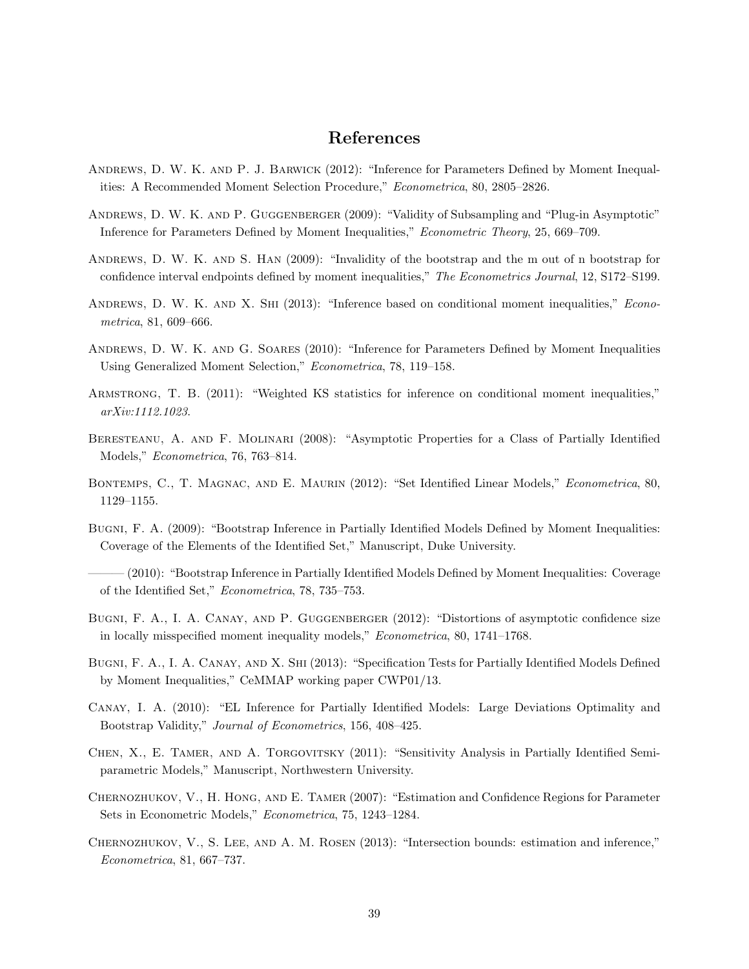# References

- <span id="page-39-15"></span>Andrews, D. W. K. and P. J. Barwick (2012): "Inference for Parameters Defined by Moment Inequalities: A Recommended Moment Selection Procedure," Econometrica, 80, 2805–2826.
- <span id="page-39-1"></span>Andrews, D. W. K. and P. Guggenberger (2009): "Validity of Subsampling and "Plug-in Asymptotic" Inference for Parameters Defined by Moment Inequalities," Econometric Theory, 25, 669–709.
- <span id="page-39-9"></span>ANDREWS, D. W. K. AND S. HAN (2009): "Invalidity of the bootstrap and the m out of n bootstrap for confidence interval endpoints defined by moment inequalities," The Econometrics Journal, 12, S172–S199.
- <span id="page-39-12"></span>ANDREWS, D. W. K. AND X. SHI (2013): "Inference based on conditional moment inequalities," Econometrica, 81, 609–666.
- <span id="page-39-2"></span>Andrews, D. W. K. and G. Soares (2010): "Inference for Parameters Defined by Moment Inequalities Using Generalized Moment Selection," Econometrica, 78, 119–158.
- <span id="page-39-14"></span>Armstrong, T. B. (2011): "Weighted KS statistics for inference on conditional moment inequalities," arXiv:1112.1023.
- <span id="page-39-3"></span>Beresteanu, A. and F. Molinari (2008): "Asymptotic Properties for a Class of Partially Identified Models," Econometrica, 76, 763–814.
- <span id="page-39-6"></span>BONTEMPS, C., T. MAGNAC, AND E. MAURIN (2012): "Set Identified Linear Models," Econometrica, 80, 1129–1155.
- <span id="page-39-11"></span>Bugni, F. A. (2009): "Bootstrap Inference in Partially Identified Models Defined by Moment Inequalities: Coverage of the Elements of the Identified Set," Manuscript, Duke University.
- <span id="page-39-4"></span>——— (2010): "Bootstrap Inference in Partially Identified Models Defined by Moment Inequalities: Coverage of the Identified Set," Econometrica, 78, 735–753.
- <span id="page-39-7"></span>BUGNI, F. A., I. A. CANAY, AND P. GUGGENBERGER (2012): "Distortions of asymptotic confidence size in locally misspecified moment inequality models," Econometrica, 80, 1741–1768.
- <span id="page-39-10"></span>Bugni, F. A., I. A. Canay, and X. Shi (2013): "Specification Tests for Partially Identified Models Defined by Moment Inequalities," CeMMAP working paper CWP01/13.
- <span id="page-39-5"></span>Canay, I. A. (2010): "EL Inference for Partially Identified Models: Large Deviations Optimality and Bootstrap Validity," Journal of Econometrics, 156, 408–425.
- <span id="page-39-8"></span>Chen, X., E. Tamer, and A. Torgovitsky (2011): "Sensitivity Analysis in Partially Identified Semiparametric Models," Manuscript, Northwestern University.
- <span id="page-39-0"></span>Chernozhukov, V., H. Hong, and E. Tamer (2007): "Estimation and Confidence Regions for Parameter Sets in Econometric Models," Econometrica, 75, 1243–1284.
- <span id="page-39-13"></span>CHERNOZHUKOV, V., S. LEE, AND A. M. ROSEN (2013): "Intersection bounds: estimation and inference," Econometrica, 81, 667–737.